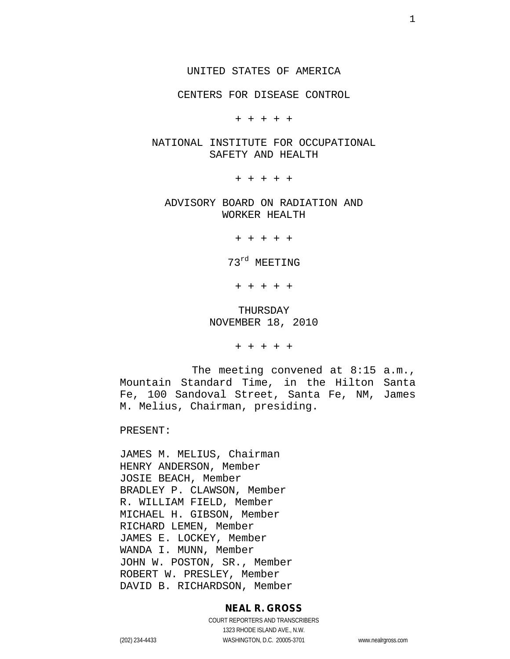CENTERS FOR DISEASE CONTROL

+ + + + +

#### NATIONAL INSTITUTE FOR OCCUPATIONAL SAFETY AND HEALTH

+ + + + +

ADVISORY BOARD ON RADIATION AND WORKER HEALTH

+ + + + +

73rd MEETING

+ + + + +

## THURSDAY NOVEMBER 18, 2010

+ + + + +

The meeting convened at 8:15 a.m., Mountain Standard Time, in the Hilton Santa Fe, 100 Sandoval Street, Santa Fe, NM, James M. Melius, Chairman, presiding.

PRESENT:

JAMES M. MELIUS, Chairman HENRY ANDERSON, Member JOSIE BEACH, Member BRADLEY P. CLAWSON, Member R. WILLIAM FIELD, Member MICHAEL H. GIBSON, Member RICHARD LEMEN, Member JAMES E. LOCKEY, Member WANDA I. MUNN, Member JOHN W. POSTON, SR., Member ROBERT W. PRESLEY, Member DAVID B. RICHARDSON, Member

#### **NEAL R. GROSS**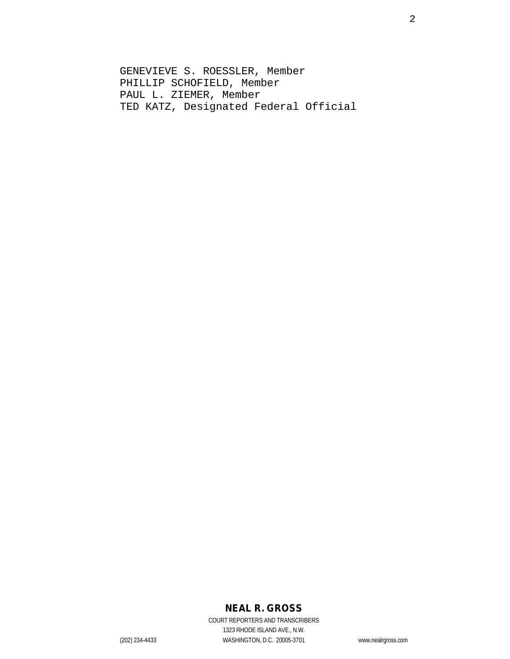GENEVIEVE S. ROESSLER, Member PHILLIP SCHOFIELD, Member PAUL L. ZIEMER, Member TED KATZ, Designated Federal Official

# **NEAL R. GROSS**

COURT REPORTERS AND TRANSCRIBERS 1323 RHODE ISLAND AVE., N.W. (202) 234-4433 WASHINGTON, D.C. 20005-3701 www.nealrgross.com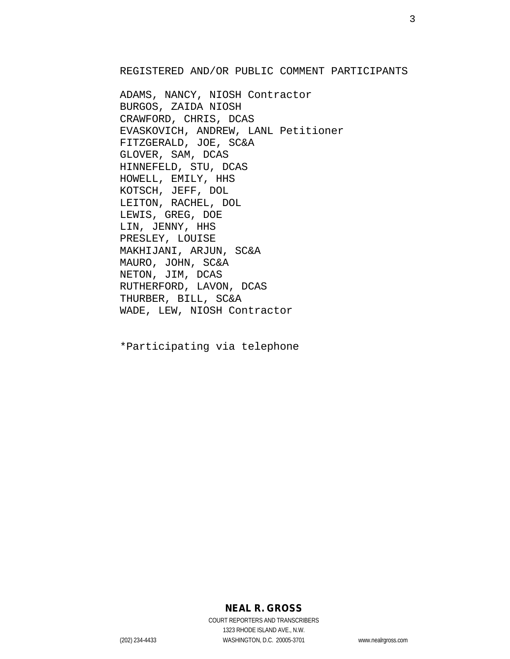REGISTERED AND/OR PUBLIC COMMENT PARTICIPANTS

ADAMS, NANCY, NIOSH Contractor BURGOS, ZAIDA NIOSH CRAWFORD, CHRIS, DCAS EVASKOVICH, ANDREW, LANL Petitioner FITZGERALD, JOE, SC&A GLOVER, SAM, DCAS HINNEFELD, STU, DCAS HOWELL, EMILY, HHS KOTSCH, JEFF, DOL LEITON, RACHEL, DOL LEWIS, GREG, DOE LIN, JENNY, HHS PRESLEY, LOUISE MAKHIJANI, ARJUN, SC&A MAURO, JOHN, SC&A NETON, JIM, DCAS RUTHERFORD, LAVON, DCAS THURBER, BILL, SC&A WADE, LEW, NIOSH Contractor

\*Participating via telephone

# **NEAL R. GROSS**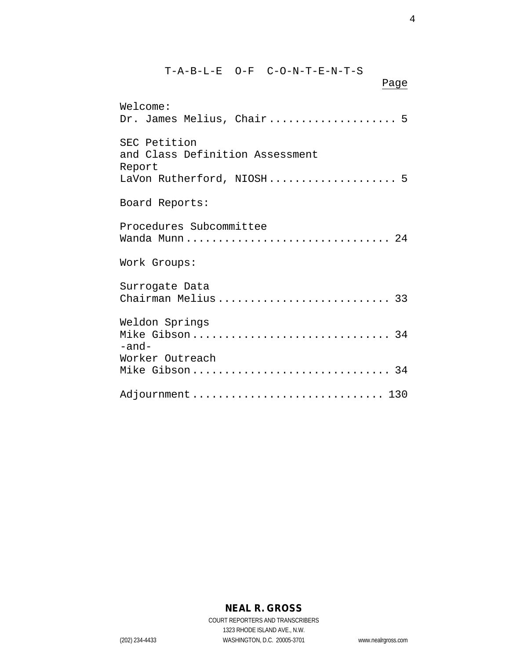| T-A-B-L-E O-F C-O-N-T-E-N-T-S<br>Page                                                  |
|----------------------------------------------------------------------------------------|
| Welcome:<br>Dr. James Melius, Chair 5                                                  |
| SEC Petition<br>and Class Definition Assessment<br>Report<br>LaVon Rutherford, NIOSH 5 |
| Board Reports:                                                                         |
| Procedures Subcommittee<br>Wanda Munn 24                                               |
| Work Groups:                                                                           |
| Surrogate Data<br>Chairman Melius 33                                                   |
| Weldon Springs<br>Mike Gibson 34<br>$-$ and $-$                                        |
| Worker Outreach<br>Mike Gibson 34                                                      |
| Adjournment  130                                                                       |

# **NEAL R. GROSS**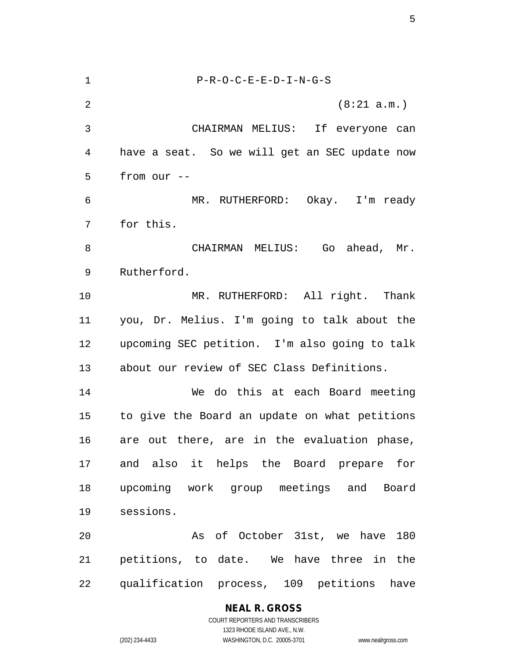P-R-O-C-E-E-D-I-N-G-S (8:21 a.m.) CHAIRMAN MELIUS: If everyone can have a seat. So we will get an SEC update now from our -- MR. RUTHERFORD: Okay. I'm ready for this. CHAIRMAN MELIUS: Go ahead, Mr. Rutherford. MR. RUTHERFORD: All right. Thank you, Dr. Melius. I'm going to talk about the upcoming SEC petition. I'm also going to talk about our review of SEC Class Definitions. We do this at each Board meeting to give the Board an update on what petitions are out there, are in the evaluation phase, and also it helps the Board prepare for upcoming work group meetings and Board sessions. As of October 31st, we have 180 petitions, to date. We have three in the qualification process, 109 petitions have

> **NEAL R. GROSS** COURT REPORTERS AND TRANSCRIBERS 1323 RHODE ISLAND AVE., N.W. (202) 234-4433 WASHINGTON, D.C. 20005-3701 www.nealrgross.com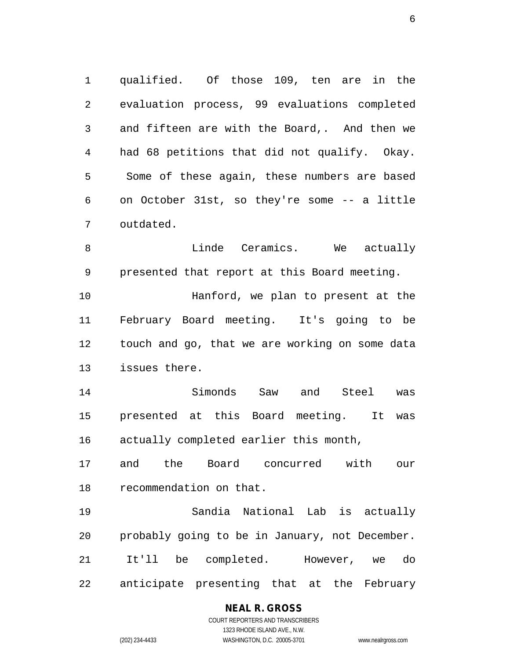qualified. Of those 109, ten are in the evaluation process, 99 evaluations completed and fifteen are with the Board,. And then we had 68 petitions that did not qualify. Okay. Some of these again, these numbers are based on October 31st, so they're some -- a little outdated.

8 Chamics. We actually Barry Mercent Mercent Mercent Mercent Mercent Mercent Mercent Mercent Mercent Mercent Me presented that report at this Board meeting. Hanford, we plan to present at the February Board meeting. It's going to be touch and go, that we are working on some data issues there.

 Simonds Saw and Steel was presented at this Board meeting. It was actually completed earlier this month,

 and the Board concurred with our recommendation on that.

 Sandia National Lab is actually probably going to be in January, not December. It'll be completed. However, we do anticipate presenting that at the February

> **NEAL R. GROSS** COURT REPORTERS AND TRANSCRIBERS 1323 RHODE ISLAND AVE., N.W.

(202) 234-4433 WASHINGTON, D.C. 20005-3701 www.nealrgross.com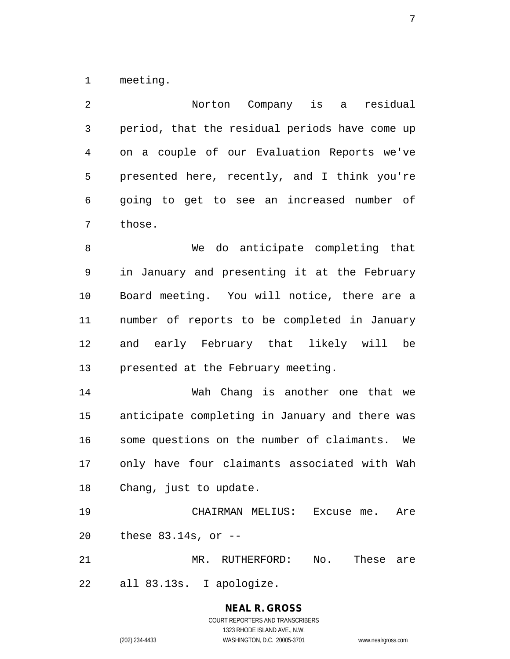meeting.

| 2           | Norton Company is a<br>residual                              |
|-------------|--------------------------------------------------------------|
| $\mathsf 3$ | period, that the residual periods have come up               |
| 4           | on a couple of our Evaluation Reports we've                  |
| 5           | presented here, recently, and I think you're                 |
| 6           | going to get to see an increased number of                   |
| 7           | those.                                                       |
| 8           | We do anticipate completing that                             |
| 9           | in January and presenting it at the February                 |
| 10          | Board meeting. You will notice, there are a                  |
| 11          | number of reports to be completed in January                 |
| 12          | and early February that likely will be                       |
| 13          | presented at the February meeting.                           |
| 14          | Wah Chang is another one that we                             |
| 15          | anticipate completing in January and there was               |
| 16          | some questions on the number of claimants.<br>We             |
| 17          | only have four claimants associated with Wah                 |
| 18          | Chang, just to update.                                       |
| 19          | CHAIRMAN MELIUS: Excuse me. Are                              |
| 20          | these $83.14s$ , or $-$                                      |
| 21          | MR. RUTHERFORD:<br>$\mathop{\rm No}\nolimits$ .<br>These are |
| 22          | all 83.13s. I apologize.                                     |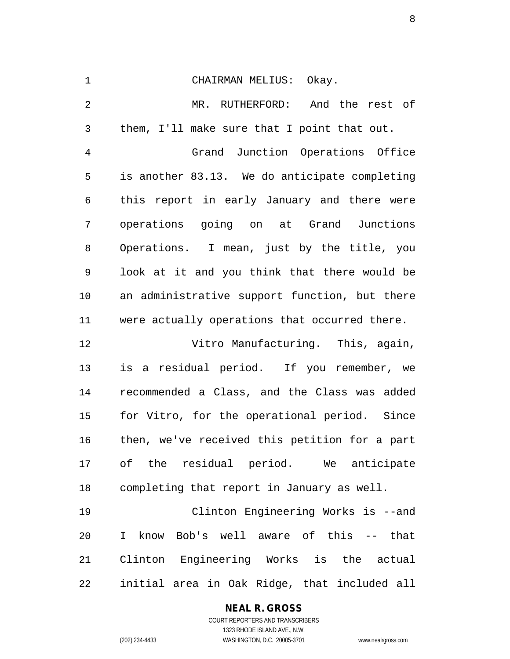| $\mathbf 1$ | CHAIRMAN MELIUS: Okay.                                |
|-------------|-------------------------------------------------------|
| 2           | MR. RUTHERFORD: And the rest of                       |
| 3           | them, I'll make sure that I point that out.           |
| 4           | Grand Junction Operations Office                      |
| 5           | is another 83.13. We do anticipate completing         |
| 6           | this report in early January and there were           |
| 7           | operations going on at Grand Junctions                |
| 8           | Operations. I mean, just by the title, you            |
| 9           | look at it and you think that there would be          |
| 10          | an administrative support function, but there         |
| 11          | were actually operations that occurred there.         |
| 12          | Vitro Manufacturing. This, again,                     |
| 13          | is a residual period. If you remember, we             |
| 14          | recommended a Class, and the Class was added          |
| 15          | for Vitro, for the operational period. Since          |
| 16          | then, we've received this petition for a part         |
| 17          | of the residual period. We anticipate                 |
| 18          | completing that report in January as well.            |
| 19          | Clinton Engineering Works is --and                    |
| 20          | know Bob's well aware of this -- that<br>$\mathbf{I}$ |
| 21          | Clinton Engineering Works is the actual               |
| 22          | initial area in Oak Ridge, that included all          |

# **NEAL R. GROSS**

COURT REPORTERS AND TRANSCRIBERS 1323 RHODE ISLAND AVE., N.W. (202) 234-4433 WASHINGTON, D.C. 20005-3701 www.nealrgross.com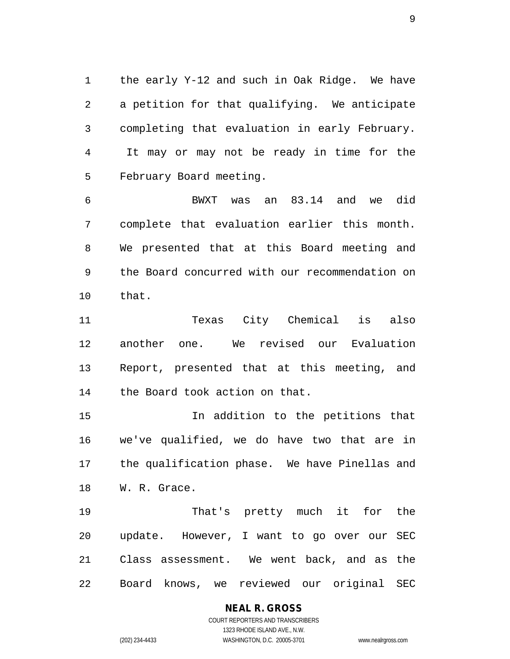the early Y-12 and such in Oak Ridge. We have a petition for that qualifying. We anticipate completing that evaluation in early February. It may or may not be ready in time for the February Board meeting.

 BWXT was an 83.14 and we did complete that evaluation earlier this month. We presented that at this Board meeting and the Board concurred with our recommendation on that.

 Texas City Chemical is also another one. We revised our Evaluation Report, presented that at this meeting, and the Board took action on that.

 In addition to the petitions that we've qualified, we do have two that are in the qualification phase. We have Pinellas and W. R. Grace.

 That's pretty much it for the update. However, I want to go over our SEC Class assessment. We went back, and as the Board knows, we reviewed our original SEC

**NEAL R. GROSS**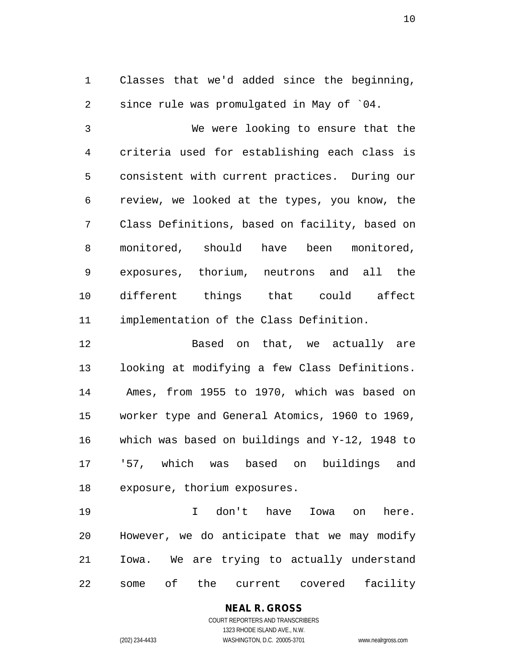Classes that we'd added since the beginning, since rule was promulgated in May of `04.

 We were looking to ensure that the criteria used for establishing each class is consistent with current practices. During our review, we looked at the types, you know, the Class Definitions, based on facility, based on monitored, should have been monitored, exposures, thorium, neutrons and all the different things that could affect implementation of the Class Definition.

 Based on that, we actually are looking at modifying a few Class Definitions. Ames, from 1955 to 1970, which was based on worker type and General Atomics, 1960 to 1969, which was based on buildings and Y-12, 1948 to '57, which was based on buildings and exposure, thorium exposures.

 I don't have Iowa on here. However, we do anticipate that we may modify Iowa. We are trying to actually understand some of the current covered facility

> **NEAL R. GROSS** COURT REPORTERS AND TRANSCRIBERS

1323 RHODE ISLAND AVE., N.W. (202) 234-4433 WASHINGTON, D.C. 20005-3701 www.nealrgross.com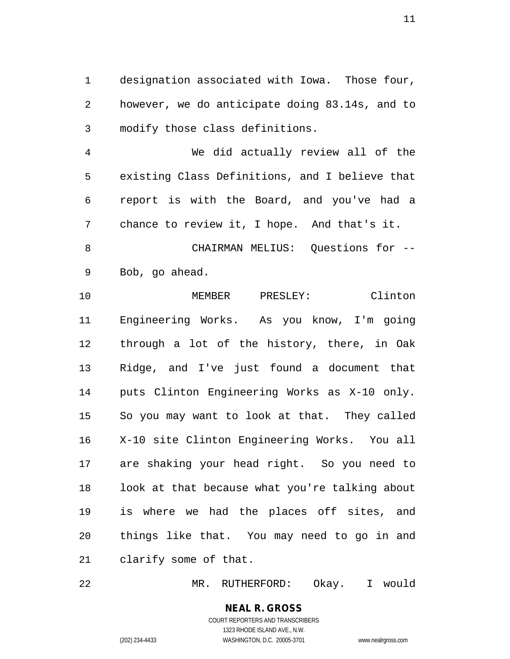designation associated with Iowa. Those four, however, we do anticipate doing 83.14s, and to modify those class definitions.

 We did actually review all of the existing Class Definitions, and I believe that report is with the Board, and you've had a chance to review it, I hope. And that's it.

 CHAIRMAN MELIUS: Questions for -- Bob, go ahead.

 MEMBER PRESLEY: Clinton Engineering Works. As you know, I'm going through a lot of the history, there, in Oak Ridge, and I've just found a document that puts Clinton Engineering Works as X-10 only. So you may want to look at that. They called X-10 site Clinton Engineering Works. You all are shaking your head right. So you need to look at that because what you're talking about is where we had the places off sites, and things like that. You may need to go in and clarify some of that.

MR. RUTHERFORD: Okay. I would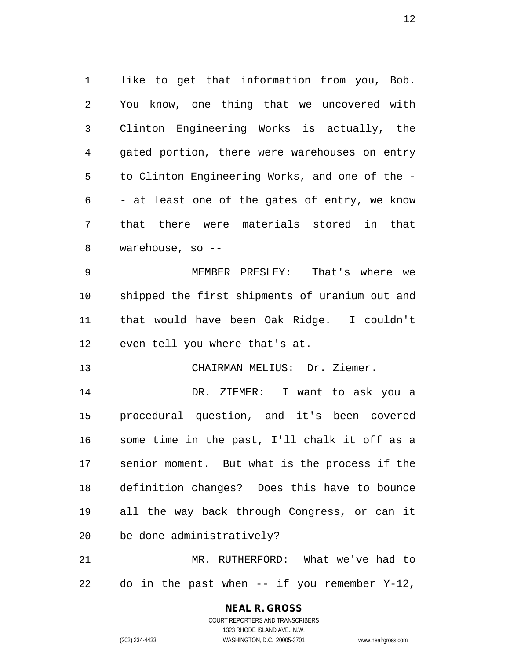like to get that information from you, Bob. You know, one thing that we uncovered with Clinton Engineering Works is actually, the gated portion, there were warehouses on entry to Clinton Engineering Works, and one of the - - at least one of the gates of entry, we know that there were materials stored in that warehouse, so --

 MEMBER PRESLEY: That's where we shipped the first shipments of uranium out and that would have been Oak Ridge. I couldn't even tell you where that's at.

CHAIRMAN MELIUS: Dr. Ziemer.

 DR. ZIEMER: I want to ask you a procedural question, and it's been covered some time in the past, I'll chalk it off as a senior moment. But what is the process if the definition changes? Does this have to bounce all the way back through Congress, or can it be done administratively?

 MR. RUTHERFORD: What we've had to do in the past when -- if you remember Y-12,

> COURT REPORTERS AND TRANSCRIBERS 1323 RHODE ISLAND AVE., N.W. (202) 234-4433 WASHINGTON, D.C. 20005-3701 www.nealrgross.com

**NEAL R. GROSS**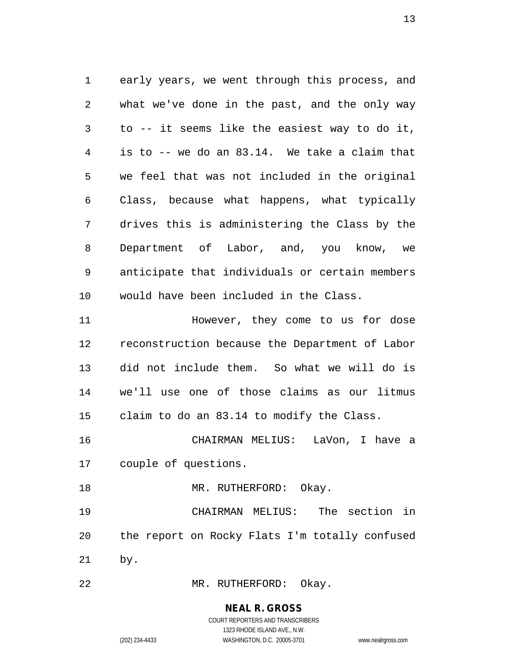early years, we went through this process, and what we've done in the past, and the only way to -- it seems like the easiest way to do it, is to -- we do an 83.14. We take a claim that we feel that was not included in the original Class, because what happens, what typically drives this is administering the Class by the Department of Labor, and, you know, we anticipate that individuals or certain members would have been included in the Class. However, they come to us for dose reconstruction because the Department of Labor did not include them. So what we will do is we'll use one of those claims as our litmus

CHAIRMAN MELIUS: LaVon, I have a

claim to do an 83.14 to modify the Class.

couple of questions.

18 MR. RUTHERFORD: Okay. CHAIRMAN MELIUS: The section in the report on Rocky Flats I'm totally confused by.

MR. RUTHERFORD: Okay.

# **NEAL R. GROSS**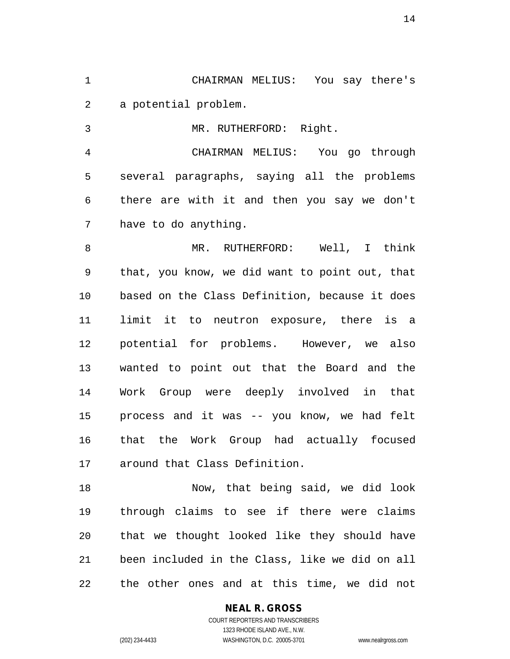CHAIRMAN MELIUS: You say there's a potential problem.

MR. RUTHERFORD: Right.

 CHAIRMAN MELIUS: You go through several paragraphs, saying all the problems there are with it and then you say we don't have to do anything.

8 MR. RUTHERFORD: Well, I think that, you know, we did want to point out, that based on the Class Definition, because it does limit it to neutron exposure, there is a potential for problems. However, we also wanted to point out that the Board and the Work Group were deeply involved in that process and it was -- you know, we had felt that the Work Group had actually focused around that Class Definition.

 Now, that being said, we did look through claims to see if there were claims that we thought looked like they should have been included in the Class, like we did on all the other ones and at this time, we did not

#### **NEAL R. GROSS** COURT REPORTERS AND TRANSCRIBERS

1323 RHODE ISLAND AVE., N.W. (202) 234-4433 WASHINGTON, D.C. 20005-3701 www.nealrgross.com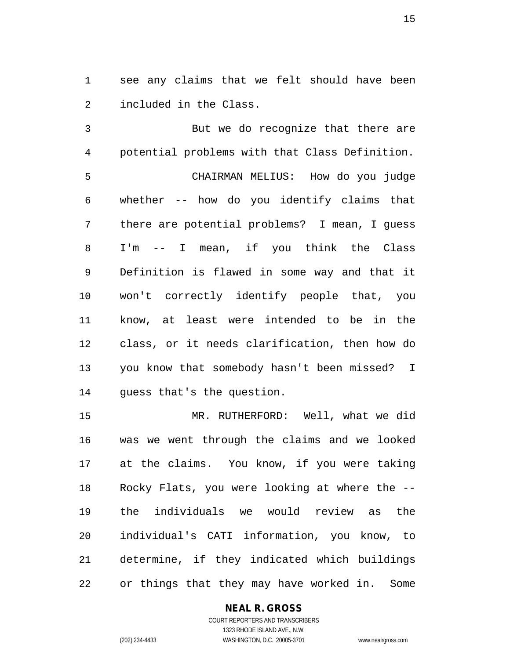see any claims that we felt should have been included in the Class.

 But we do recognize that there are potential problems with that Class Definition. CHAIRMAN MELIUS: How do you judge whether -- how do you identify claims that there are potential problems? I mean, I guess I'm -- I mean, if you think the Class Definition is flawed in some way and that it won't correctly identify people that, you know, at least were intended to be in the class, or it needs clarification, then how do you know that somebody hasn't been missed? I guess that's the question.

 MR. RUTHERFORD: Well, what we did was we went through the claims and we looked at the claims. You know, if you were taking Rocky Flats, you were looking at where the -- the individuals we would review as the individual's CATI information, you know, to determine, if they indicated which buildings or things that they may have worked in. Some

## **NEAL R. GROSS**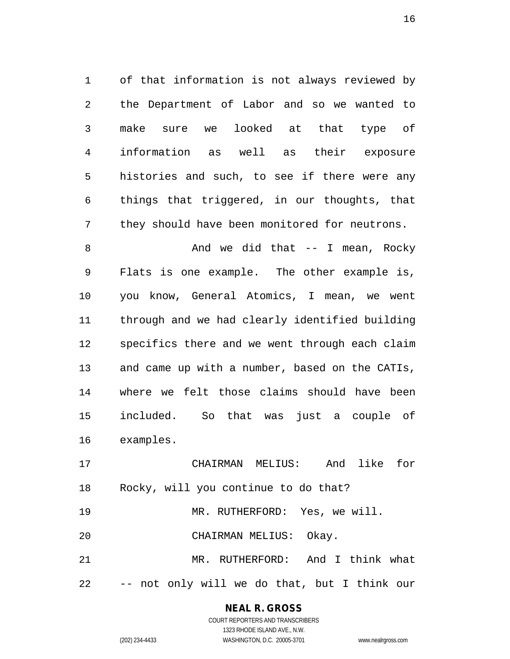of that information is not always reviewed by the Department of Labor and so we wanted to make sure we looked at that type of information as well as their exposure histories and such, to see if there were any things that triggered, in our thoughts, that they should have been monitored for neutrons.

8 And we did that -- I mean, Rocky Flats is one example. The other example is, you know, General Atomics, I mean, we went through and we had clearly identified building specifics there and we went through each claim and came up with a number, based on the CATIs, where we felt those claims should have been included. So that was just a couple of examples.

 CHAIRMAN MELIUS: And like for Rocky, will you continue to do that?

 MR. RUTHERFORD: Yes, we will. CHAIRMAN MELIUS: Okay.

 MR. RUTHERFORD: And I think what -- not only will we do that, but I think our

# **NEAL R. GROSS**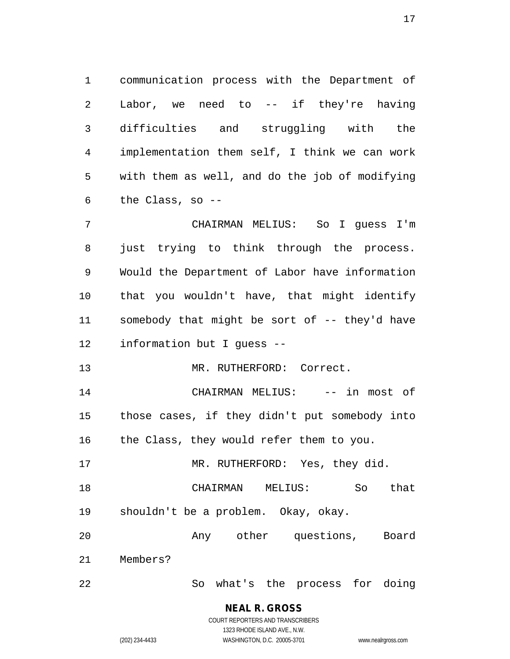communication process with the Department of Labor, we need to -- if they're having difficulties and struggling with the implementation them self, I think we can work with them as well, and do the job of modifying the Class, so --

 CHAIRMAN MELIUS: So I guess I'm just trying to think through the process. Would the Department of Labor have information that you wouldn't have, that might identify somebody that might be sort of -- they'd have information but I guess --

13 MR. RUTHERFORD: Correct.

 CHAIRMAN MELIUS: -- in most of those cases, if they didn't put somebody into 16 the Class, they would refer them to you.

17 MR. RUTHERFORD: Yes, they did.

 CHAIRMAN MELIUS: So that shouldn't be a problem. Okay, okay.

Any other questions, Board

Members?

So what's the process for doing

**NEAL R. GROSS** COURT REPORTERS AND TRANSCRIBERS

1323 RHODE ISLAND AVE., N.W. (202) 234-4433 WASHINGTON, D.C. 20005-3701 www.nealrgross.com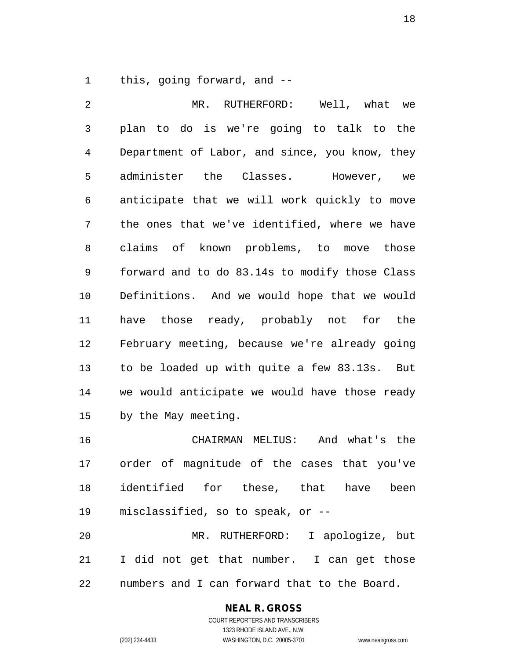this, going forward, and --

 MR. RUTHERFORD: Well, what we plan to do is we're going to talk to the Department of Labor, and since, you know, they administer the Classes. However, we anticipate that we will work quickly to move the ones that we've identified, where we have claims of known problems, to move those forward and to do 83.14s to modify those Class Definitions. And we would hope that we would have those ready, probably not for the February meeting, because we're already going to be loaded up with quite a few 83.13s. But we would anticipate we would have those ready by the May meeting. CHAIRMAN MELIUS: And what's the order of magnitude of the cases that you've

 identified for these, that have been misclassified, so to speak, or --

 MR. RUTHERFORD: I apologize, but I did not get that number. I can get those numbers and I can forward that to the Board.

# **NEAL R. GROSS**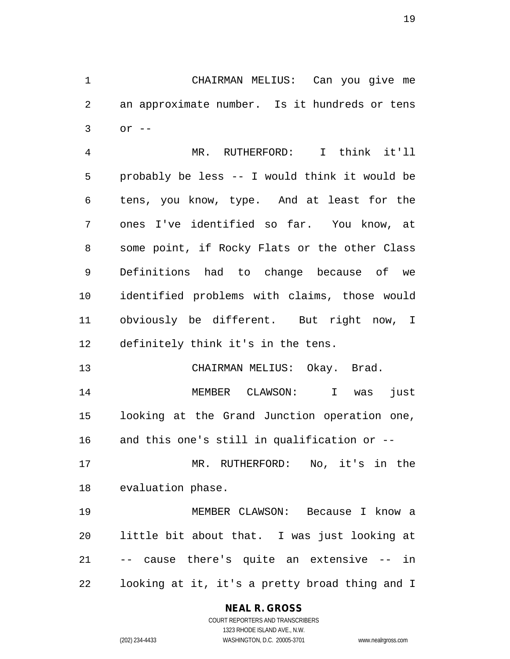CHAIRMAN MELIUS: Can you give me an approximate number. Is it hundreds or tens or --

 MR. RUTHERFORD: I think it'll probably be less -- I would think it would be tens, you know, type. And at least for the ones I've identified so far. You know, at some point, if Rocky Flats or the other Class Definitions had to change because of we identified problems with claims, those would obviously be different. But right now, I definitely think it's in the tens.

CHAIRMAN MELIUS: Okay. Brad.

 MEMBER CLAWSON: I was just looking at the Grand Junction operation one, and this one's still in qualification or --

 MR. RUTHERFORD: No, it's in the evaluation phase.

 MEMBER CLAWSON: Because I know a little bit about that. I was just looking at -- cause there's quite an extensive -- in looking at it, it's a pretty broad thing and I

# **NEAL R. GROSS**

COURT REPORTERS AND TRANSCRIBERS 1323 RHODE ISLAND AVE., N.W. (202) 234-4433 WASHINGTON, D.C. 20005-3701 www.nealrgross.com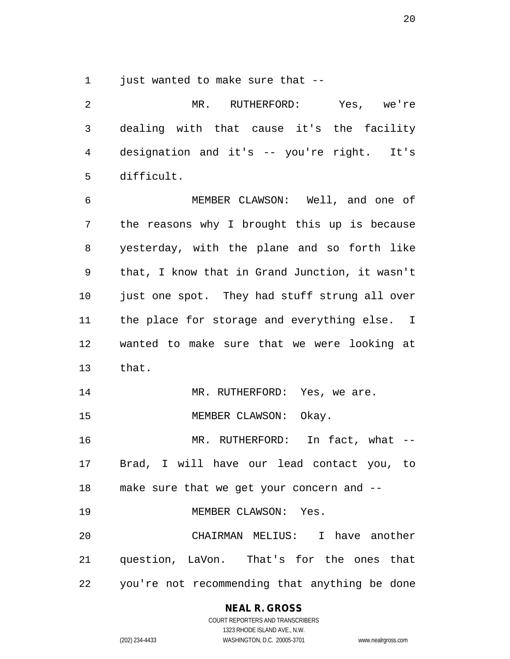1 just wanted to make sure that --

 MR. RUTHERFORD: Yes, we're dealing with that cause it's the facility designation and it's -- you're right. It's difficult. MEMBER CLAWSON: Well, and one of the reasons why I brought this up is because yesterday, with the plane and so forth like that, I know that in Grand Junction, it wasn't just one spot. They had stuff strung all over the place for storage and everything else. I wanted to make sure that we were looking at that. 14 MR. RUTHERFORD: Yes, we are. 15 MEMBER CLAWSON: Okay. MR. RUTHERFORD: In fact, what -- Brad, I will have our lead contact you, to make sure that we get your concern and -- 19 MEMBER CLAWSON: Yes. CHAIRMAN MELIUS: I have another question, LaVon. That's for the ones that you're not recommending that anything be done

## **NEAL R. GROSS**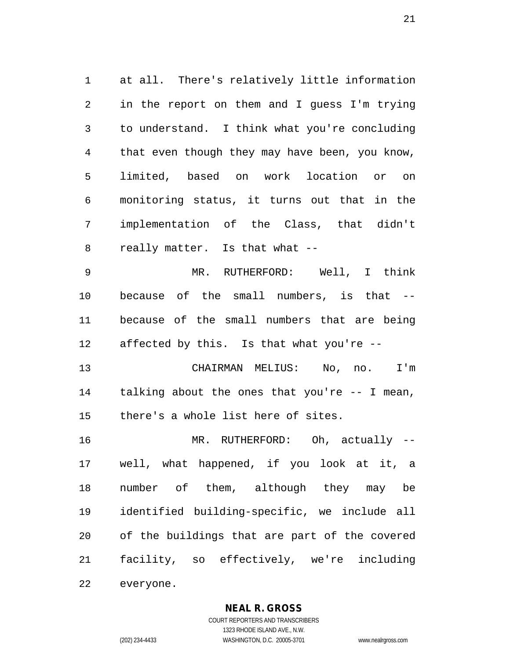at all. There's relatively little information in the report on them and I guess I'm trying to understand. I think what you're concluding that even though they may have been, you know, limited, based on work location or on monitoring status, it turns out that in the implementation of the Class, that didn't really matter. Is that what --

 MR. RUTHERFORD: Well, I think because of the small numbers, is that -- because of the small numbers that are being affected by this. Is that what you're --

 CHAIRMAN MELIUS: No, no. I'm talking about the ones that you're -- I mean, there's a whole list here of sites.

 MR. RUTHERFORD: Oh, actually -- well, what happened, if you look at it, a number of them, although they may be identified building-specific, we include all of the buildings that are part of the covered facility, so effectively, we're including everyone.

## **NEAL R. GROSS**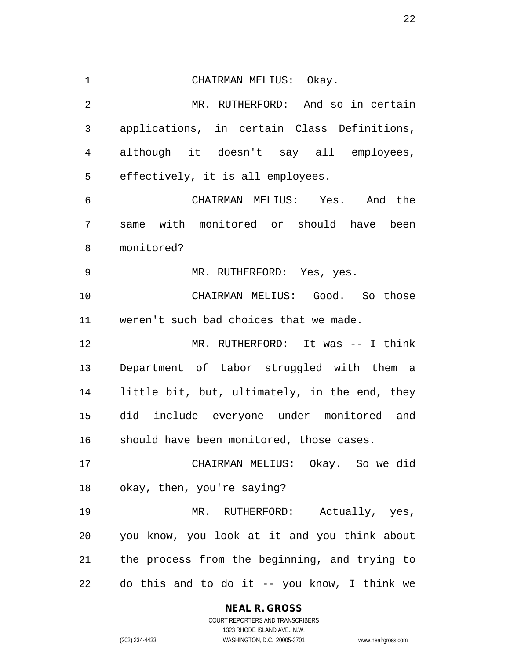CHAIRMAN MELIUS: Okay. MR. RUTHERFORD: And so in certain applications, in certain Class Definitions, although it doesn't say all employees, effectively, it is all employees. CHAIRMAN MELIUS: Yes. And the same with monitored or should have been monitored? MR. RUTHERFORD: Yes, yes. CHAIRMAN MELIUS: Good. So those weren't such bad choices that we made. MR. RUTHERFORD: It was -- I think Department of Labor struggled with them a little bit, but, ultimately, in the end, they did include everyone under monitored and should have been monitored, those cases. CHAIRMAN MELIUS: Okay. So we did okay, then, you're saying? MR. RUTHERFORD: Actually, yes, you know, you look at it and you think about the process from the beginning, and trying to do this and to do it -- you know, I think we

**NEAL R. GROSS**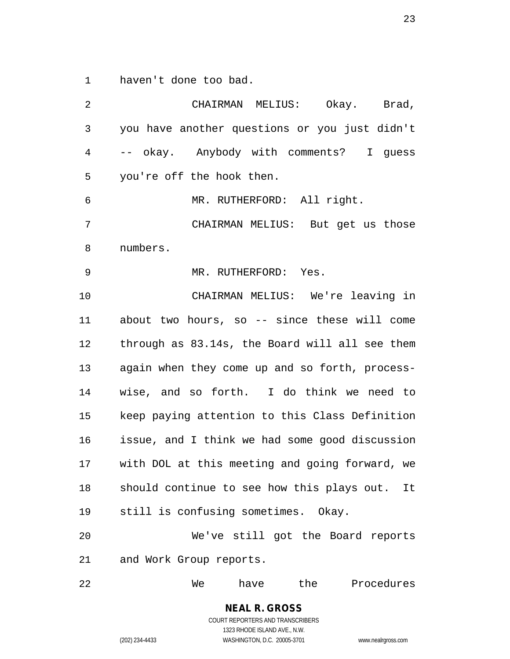haven't done too bad.

 CHAIRMAN MELIUS: Okay. Brad, you have another questions or you just didn't -- okay. Anybody with comments? I guess you're off the hook then. MR. RUTHERFORD: All right. CHAIRMAN MELIUS: But get us those numbers. MR. RUTHERFORD: Yes. CHAIRMAN MELIUS: We're leaving in about two hours, so -- since these will come through as 83.14s, the Board will all see them again when they come up and so forth, process- wise, and so forth. I do think we need to keep paying attention to this Class Definition issue, and I think we had some good discussion with DOL at this meeting and going forward, we should continue to see how this plays out. It still is confusing sometimes. Okay. We've still got the Board reports and Work Group reports. We have the Procedures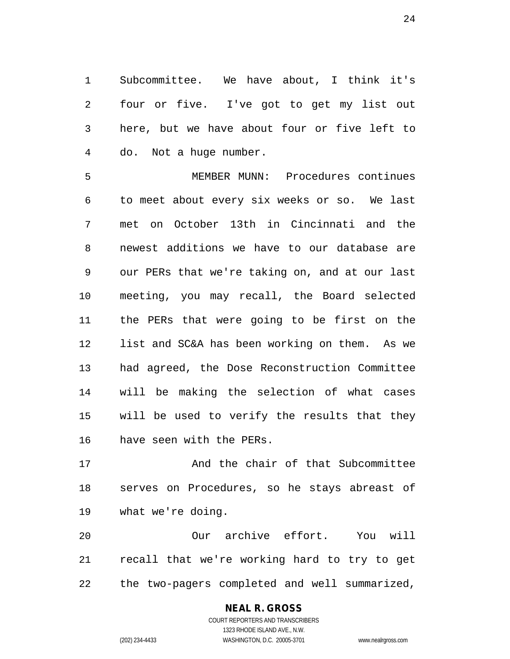Subcommittee. We have about, I think it's four or five. I've got to get my list out here, but we have about four or five left to do. Not a huge number.

 MEMBER MUNN: Procedures continues to meet about every six weeks or so. We last met on October 13th in Cincinnati and the newest additions we have to our database are our PERs that we're taking on, and at our last meeting, you may recall, the Board selected the PERs that were going to be first on the list and SC&A has been working on them. As we had agreed, the Dose Reconstruction Committee will be making the selection of what cases will be used to verify the results that they have seen with the PERs.

 And the chair of that Subcommittee serves on Procedures, so he stays abreast of what we're doing.

 Our archive effort. You will recall that we're working hard to try to get the two-pagers completed and well summarized,

# **NEAL R. GROSS**

COURT REPORTERS AND TRANSCRIBERS 1323 RHODE ISLAND AVE., N.W. (202) 234-4433 WASHINGTON, D.C. 20005-3701 www.nealrgross.com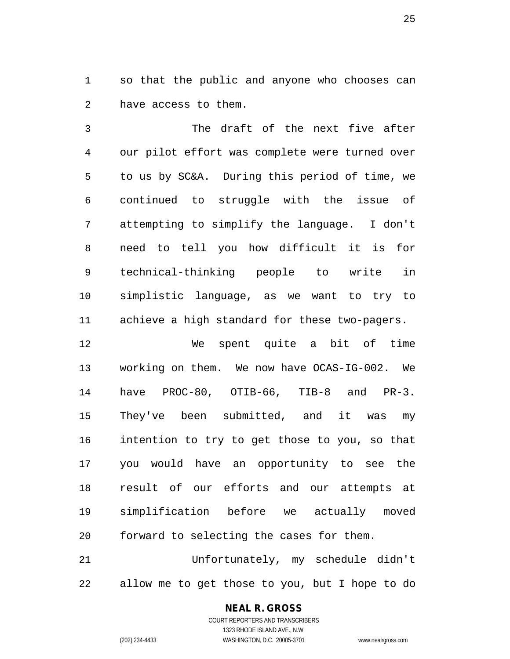so that the public and anyone who chooses can have access to them.

 The draft of the next five after our pilot effort was complete were turned over to us by SC&A. During this period of time, we continued to struggle with the issue of attempting to simplify the language. I don't need to tell you how difficult it is for technical-thinking people to write in simplistic language, as we want to try to achieve a high standard for these two-pagers.

 We spent quite a bit of time working on them. We now have OCAS-IG-002. We have PROC-80, OTIB-66, TIB-8 and PR-3. They've been submitted, and it was my intention to try to get those to you, so that you would have an opportunity to see the result of our efforts and our attempts at simplification before we actually moved forward to selecting the cases for them.

 Unfortunately, my schedule didn't allow me to get those to you, but I hope to do

# **NEAL R. GROSS**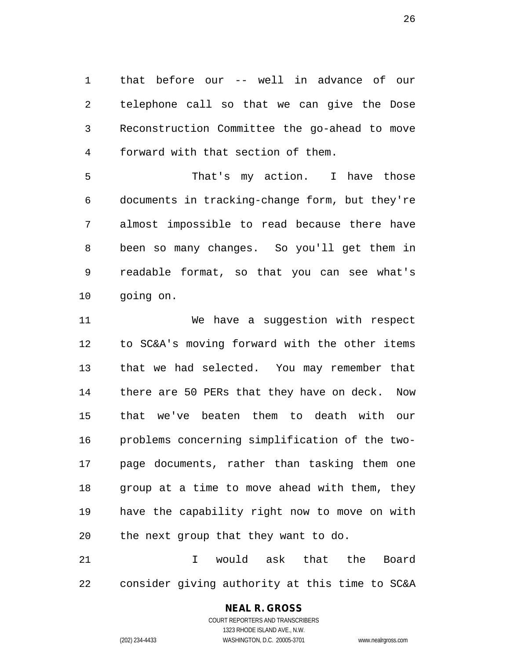that before our -- well in advance of our telephone call so that we can give the Dose Reconstruction Committee the go-ahead to move forward with that section of them.

 That's my action. I have those documents in tracking-change form, but they're almost impossible to read because there have been so many changes. So you'll get them in readable format, so that you can see what's going on.

 We have a suggestion with respect to SC&A's moving forward with the other items that we had selected. You may remember that there are 50 PERs that they have on deck. Now that we've beaten them to death with our problems concerning simplification of the two- page documents, rather than tasking them one group at a time to move ahead with them, they have the capability right now to move on with the next group that they want to do.

 I would ask that the Board consider giving authority at this time to SC&A

## **NEAL R. GROSS**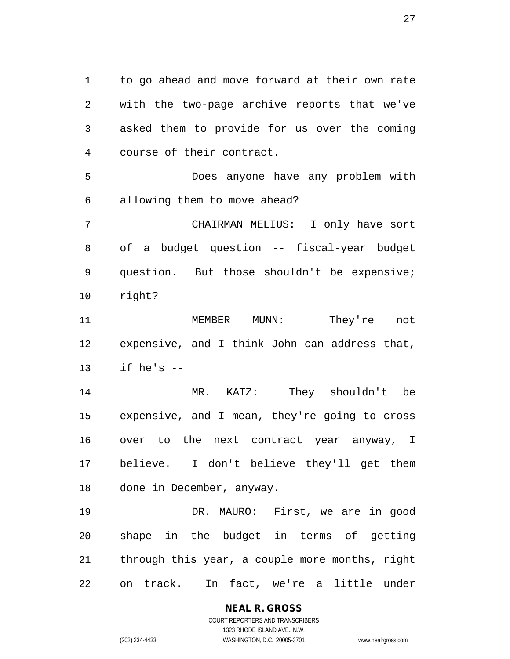to go ahead and move forward at their own rate with the two-page archive reports that we've asked them to provide for us over the coming course of their contract.

 Does anyone have any problem with allowing them to move ahead?

 CHAIRMAN MELIUS: I only have sort of a budget question -- fiscal-year budget question. But those shouldn't be expensive; right?

 MEMBER MUNN: They're not expensive, and I think John can address that, if he's --

 MR. KATZ: They shouldn't be expensive, and I mean, they're going to cross over to the next contract year anyway, I believe. I don't believe they'll get them done in December, anyway.

 DR. MAURO: First, we are in good shape in the budget in terms of getting through this year, a couple more months, right on track. In fact, we're a little under

> **NEAL R. GROSS** COURT REPORTERS AND TRANSCRIBERS 1323 RHODE ISLAND AVE., N.W.

(202) 234-4433 WASHINGTON, D.C. 20005-3701 www.nealrgross.com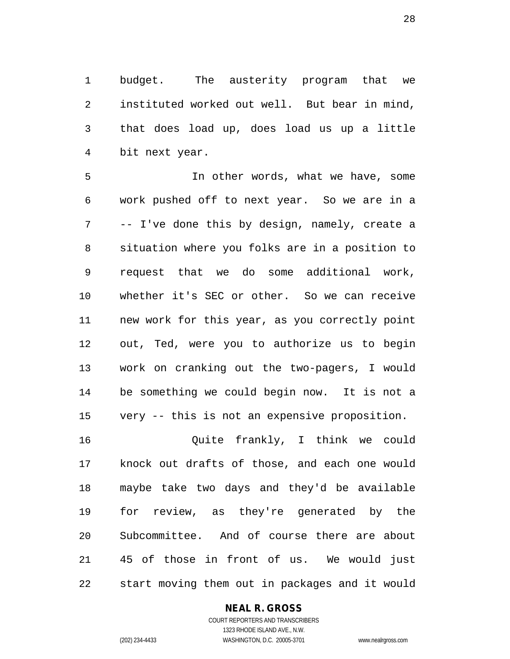budget. The austerity program that we instituted worked out well. But bear in mind, that does load up, does load us up a little bit next year.

 In other words, what we have, some work pushed off to next year. So we are in a -- I've done this by design, namely, create a situation where you folks are in a position to request that we do some additional work, whether it's SEC or other. So we can receive new work for this year, as you correctly point out, Ted, were you to authorize us to begin work on cranking out the two-pagers, I would be something we could begin now. It is not a very -- this is not an expensive proposition.

 Quite frankly, I think we could knock out drafts of those, and each one would maybe take two days and they'd be available for review, as they're generated by the Subcommittee. And of course there are about 45 of those in front of us. We would just start moving them out in packages and it would

## **NEAL R. GROSS**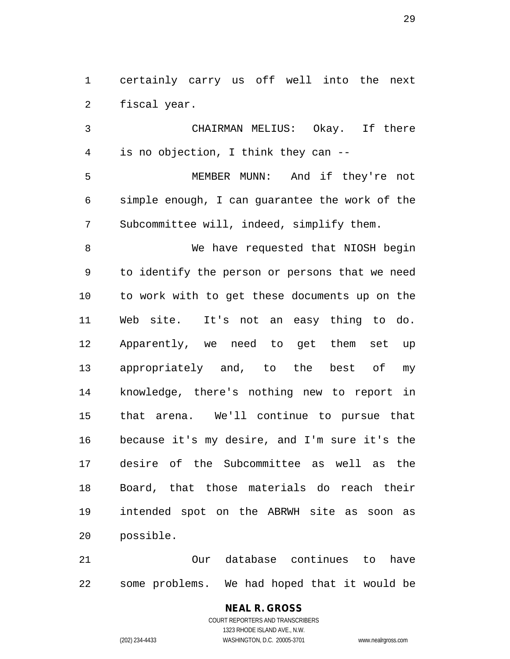certainly carry us off well into the next fiscal year.

 CHAIRMAN MELIUS: Okay. If there is no objection, I think they can -- MEMBER MUNN: And if they're not simple enough, I can guarantee the work of the Subcommittee will, indeed, simplify them. 8 We have requested that NIOSH begin to identify the person or persons that we need to work with to get these documents up on the Web site. It's not an easy thing to do. Apparently, we need to get them set up appropriately and, to the best of my knowledge, there's nothing new to report in that arena. We'll continue to pursue that because it's my desire, and I'm sure it's the desire of the Subcommittee as well as the Board, that those materials do reach their intended spot on the ABRWH site as soon as possible.

 Our database continues to have some problems. We had hoped that it would be

> **NEAL R. GROSS** COURT REPORTERS AND TRANSCRIBERS 1323 RHODE ISLAND AVE., N.W. (202) 234-4433 WASHINGTON, D.C. 20005-3701 www.nealrgross.com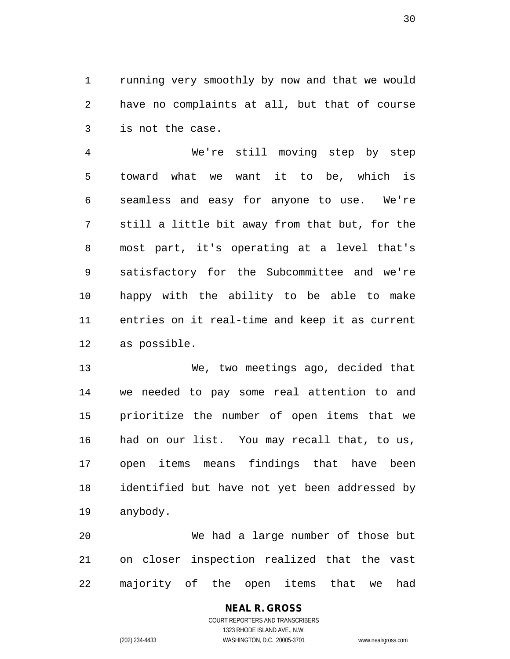running very smoothly by now and that we would have no complaints at all, but that of course is not the case.

 We're still moving step by step toward what we want it to be, which is seamless and easy for anyone to use. We're still a little bit away from that but, for the most part, it's operating at a level that's satisfactory for the Subcommittee and we're happy with the ability to be able to make entries on it real-time and keep it as current as possible.

 We, two meetings ago, decided that we needed to pay some real attention to and prioritize the number of open items that we had on our list. You may recall that, to us, open items means findings that have been identified but have not yet been addressed by anybody.

 We had a large number of those but on closer inspection realized that the vast majority of the open items that we had

# **NEAL R. GROSS**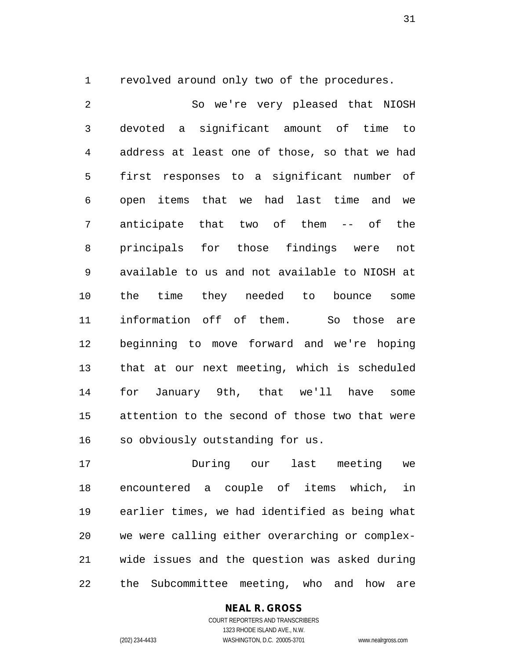revolved around only two of the procedures.

 So we're very pleased that NIOSH devoted a significant amount of time to address at least one of those, so that we had first responses to a significant number of open items that we had last time and we anticipate that two of them -- of the principals for those findings were not available to us and not available to NIOSH at the time they needed to bounce some information off of them. So those are beginning to move forward and we're hoping that at our next meeting, which is scheduled for January 9th, that we'll have some attention to the second of those two that were so obviously outstanding for us.

 During our last meeting we encountered a couple of items which, in earlier times, we had identified as being what we were calling either overarching or complex- wide issues and the question was asked during the Subcommittee meeting, who and how are

## **NEAL R. GROSS**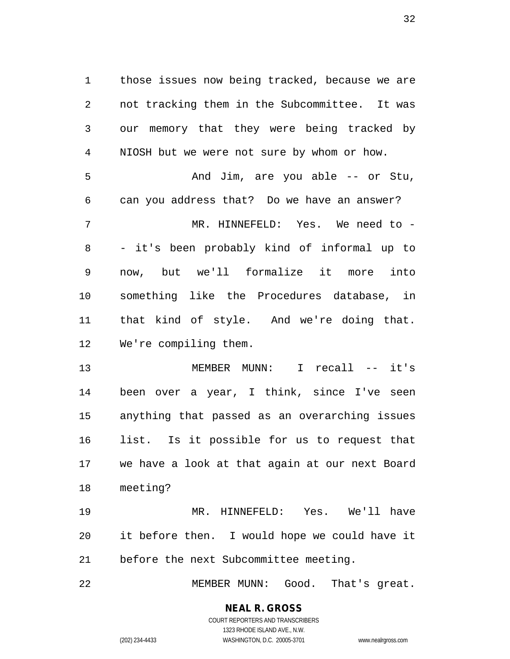those issues now being tracked, because we are not tracking them in the Subcommittee. It was our memory that they were being tracked by NIOSH but we were not sure by whom or how. And Jim, are you able -- or Stu, can you address that? Do we have an answer? MR. HINNEFELD: Yes. We need to - - it's been probably kind of informal up to now, but we'll formalize it more into something like the Procedures database, in that kind of style. And we're doing that. We're compiling them.

 MEMBER MUNN: I recall -- it's been over a year, I think, since I've seen anything that passed as an overarching issues list. Is it possible for us to request that we have a look at that again at our next Board meeting?

 MR. HINNEFELD: Yes. We'll have it before then. I would hope we could have it before the next Subcommittee meeting.

MEMBER MUNN: Good. That's great.

**NEAL R. GROSS** COURT REPORTERS AND TRANSCRIBERS 1323 RHODE ISLAND AVE., N.W.

(202) 234-4433 WASHINGTON, D.C. 20005-3701 www.nealrgross.com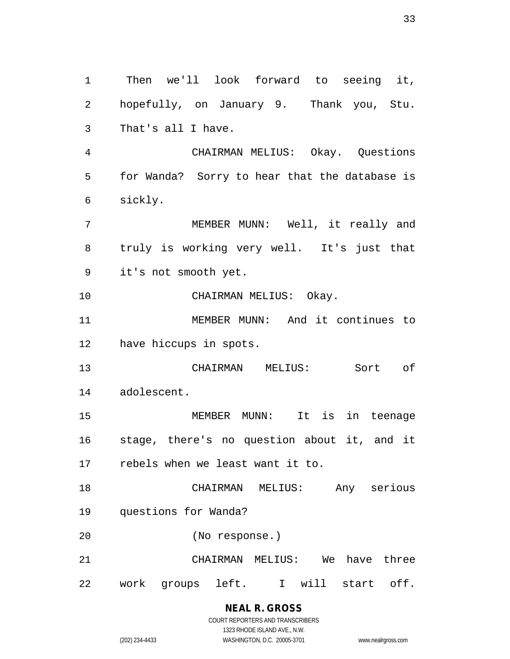Then we'll look forward to seeing it, hopefully, on January 9. Thank you, Stu. That's all I have. CHAIRMAN MELIUS: Okay. Questions for Wanda? Sorry to hear that the database is sickly. MEMBER MUNN: Well, it really and truly is working very well. It's just that it's not smooth yet. CHAIRMAN MELIUS: Okay. MEMBER MUNN: And it continues to have hiccups in spots. CHAIRMAN MELIUS: Sort of adolescent. MEMBER MUNN: It is in teenage stage, there's no question about it, and it rebels when we least want it to. CHAIRMAN MELIUS: Any serious questions for Wanda? (No response.) CHAIRMAN MELIUS: We have three work groups left. I will start off.

# **NEAL R. GROSS**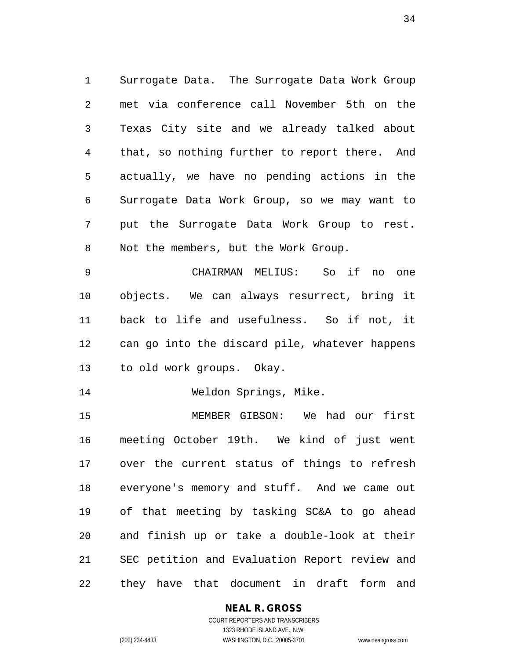Surrogate Data. The Surrogate Data Work Group met via conference call November 5th on the Texas City site and we already talked about that, so nothing further to report there. And actually, we have no pending actions in the Surrogate Data Work Group, so we may want to put the Surrogate Data Work Group to rest. Not the members, but the Work Group.

 CHAIRMAN MELIUS: So if no one objects. We can always resurrect, bring it back to life and usefulness. So if not, it can go into the discard pile, whatever happens to old work groups. Okay.

Weldon Springs, Mike.

 MEMBER GIBSON: We had our first meeting October 19th. We kind of just went over the current status of things to refresh everyone's memory and stuff. And we came out of that meeting by tasking SC&A to go ahead and finish up or take a double-look at their SEC petition and Evaluation Report review and they have that document in draft form and

## **NEAL R. GROSS**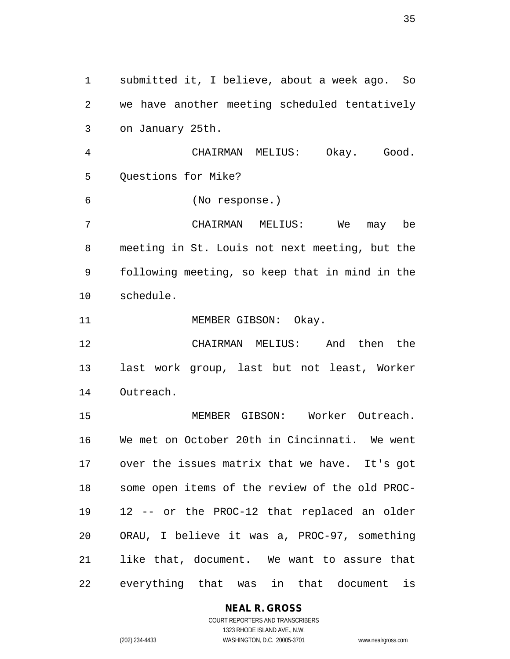submitted it, I believe, about a week ago. So we have another meeting scheduled tentatively on January 25th. CHAIRMAN MELIUS: Okay. Good. Questions for Mike? (No response.) CHAIRMAN MELIUS: We may be meeting in St. Louis not next meeting, but the following meeting, so keep that in mind in the schedule. 11 MEMBER GIBSON: Okay. CHAIRMAN MELIUS: And then the last work group, last but not least, Worker Outreach. MEMBER GIBSON: Worker Outreach. We met on October 20th in Cincinnati. We went over the issues matrix that we have. It's got some open items of the review of the old PROC- 12 -- or the PROC-12 that replaced an older ORAU, I believe it was a, PROC-97, something like that, document. We want to assure that everything that was in that document is

**NEAL R. GROSS**

COURT REPORTERS AND TRANSCRIBERS 1323 RHODE ISLAND AVE., N.W. (202) 234-4433 WASHINGTON, D.C. 20005-3701 www.nealrgross.com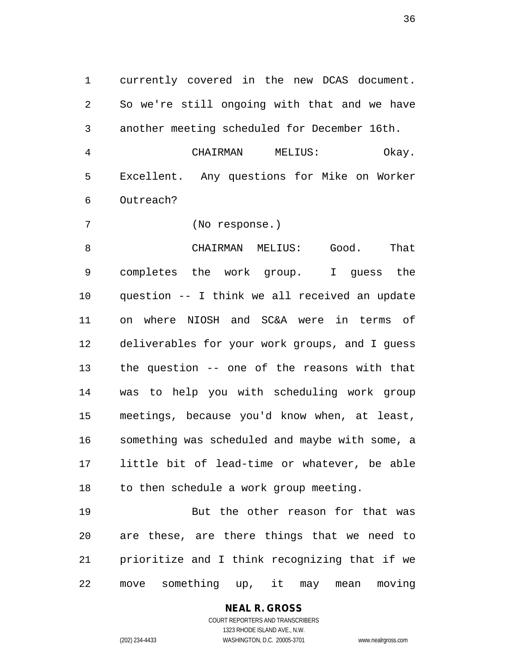currently covered in the new DCAS document. So we're still ongoing with that and we have another meeting scheduled for December 16th.

 CHAIRMAN MELIUS: Okay. Excellent. Any questions for Mike on Worker Outreach?

(No response.)

 CHAIRMAN MELIUS: Good. That completes the work group. I guess the question -- I think we all received an update on where NIOSH and SC&A were in terms of deliverables for your work groups, and I guess the question -- one of the reasons with that was to help you with scheduling work group meetings, because you'd know when, at least, something was scheduled and maybe with some, a little bit of lead-time or whatever, be able to then schedule a work group meeting.

 But the other reason for that was are these, are there things that we need to prioritize and I think recognizing that if we move something up, it may mean moving

> **NEAL R. GROSS** COURT REPORTERS AND TRANSCRIBERS

> > 1323 RHODE ISLAND AVE., N.W.

(202) 234-4433 WASHINGTON, D.C. 20005-3701 www.nealrgross.com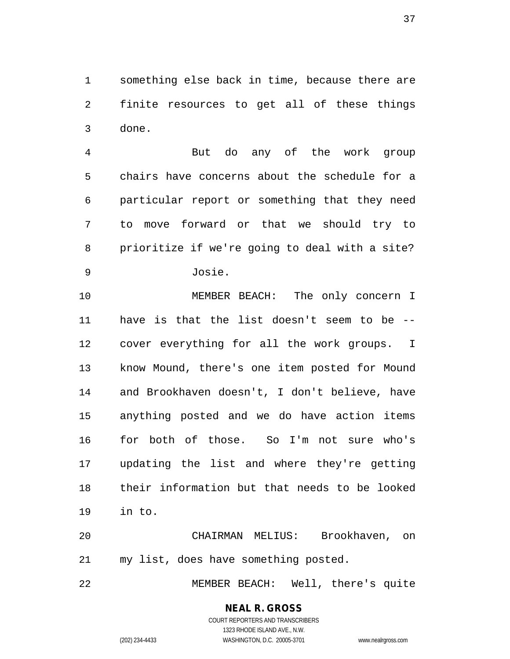something else back in time, because there are finite resources to get all of these things done.

 But do any of the work group chairs have concerns about the schedule for a particular report or something that they need to move forward or that we should try to prioritize if we're going to deal with a site?

Josie.

 MEMBER BEACH: The only concern I have is that the list doesn't seem to be -- cover everything for all the work groups. I know Mound, there's one item posted for Mound and Brookhaven doesn't, I don't believe, have anything posted and we do have action items for both of those. So I'm not sure who's updating the list and where they're getting their information but that needs to be looked in to.

 CHAIRMAN MELIUS: Brookhaven, on my list, does have something posted.

MEMBER BEACH: Well, there's quite

#### **NEAL R. GROSS** COURT REPORTERS AND TRANSCRIBERS

1323 RHODE ISLAND AVE., N.W. (202) 234-4433 WASHINGTON, D.C. 20005-3701 www.nealrgross.com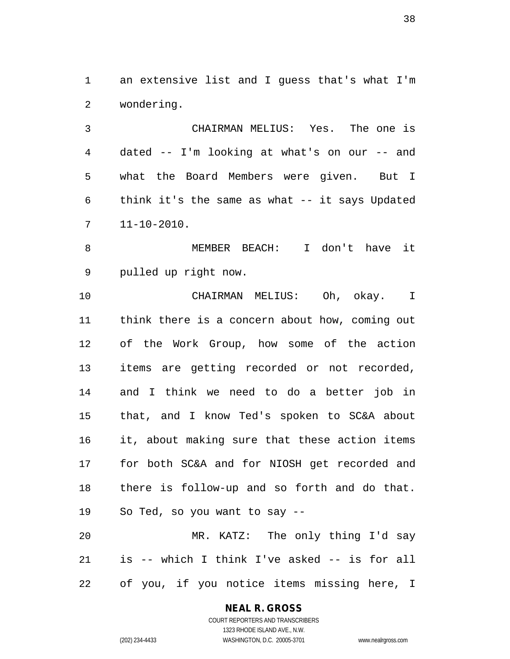an extensive list and I guess that's what I'm wondering.

 CHAIRMAN MELIUS: Yes. The one is dated -- I'm looking at what's on our -- and what the Board Members were given. But I think it's the same as what -- it says Updated 11-10-2010.

 MEMBER BEACH: I don't have it pulled up right now.

 CHAIRMAN MELIUS: Oh, okay. I think there is a concern about how, coming out of the Work Group, how some of the action items are getting recorded or not recorded, and I think we need to do a better job in that, and I know Ted's spoken to SC&A about it, about making sure that these action items for both SC&A and for NIOSH get recorded and there is follow-up and so forth and do that. So Ted, so you want to say -- MR. KATZ: The only thing I'd say

 is -- which I think I've asked -- is for all of you, if you notice items missing here, I

#### **NEAL R. GROSS**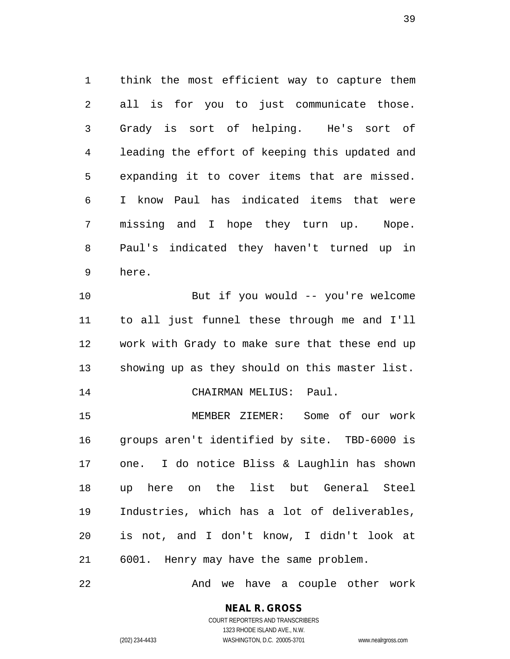think the most efficient way to capture them all is for you to just communicate those. Grady is sort of helping. He's sort of leading the effort of keeping this updated and expanding it to cover items that are missed. I know Paul has indicated items that were missing and I hope they turn up. Nope. Paul's indicated they haven't turned up in here.

 But if you would -- you're welcome to all just funnel these through me and I'll work with Grady to make sure that these end up showing up as they should on this master list.

CHAIRMAN MELIUS: Paul.

 MEMBER ZIEMER: Some of our work groups aren't identified by site. TBD-6000 is one. I do notice Bliss & Laughlin has shown up here on the list but General Steel Industries, which has a lot of deliverables, is not, and I don't know, I didn't look at 6001. Henry may have the same problem.

And we have a couple other work

**NEAL R. GROSS** COURT REPORTERS AND TRANSCRIBERS

1323 RHODE ISLAND AVE., N.W. (202) 234-4433 WASHINGTON, D.C. 20005-3701 www.nealrgross.com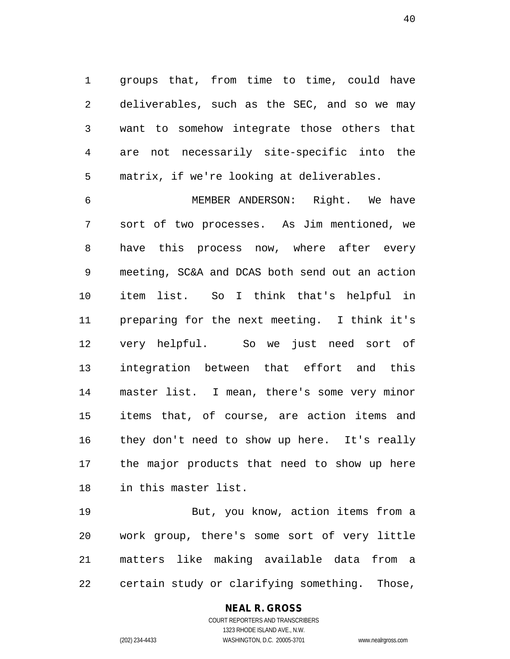groups that, from time to time, could have deliverables, such as the SEC, and so we may want to somehow integrate those others that are not necessarily site-specific into the matrix, if we're looking at deliverables.

 MEMBER ANDERSON: Right. We have sort of two processes. As Jim mentioned, we have this process now, where after every meeting, SC&A and DCAS both send out an action item list. So I think that's helpful in preparing for the next meeting. I think it's very helpful. So we just need sort of integration between that effort and this master list. I mean, there's some very minor items that, of course, are action items and they don't need to show up here. It's really the major products that need to show up here in this master list.

 But, you know, action items from a work group, there's some sort of very little matters like making available data from a certain study or clarifying something. Those,

#### **NEAL R. GROSS**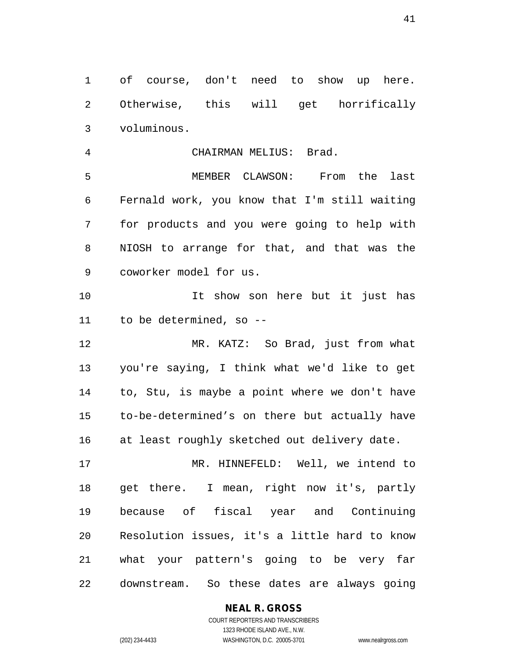of course, don't need to show up here. Otherwise, this will get horrifically voluminous.

CHAIRMAN MELIUS: Brad.

 MEMBER CLAWSON: From the last Fernald work, you know that I'm still waiting for products and you were going to help with NIOSH to arrange for that, and that was the coworker model for us.

 It show son here but it just has to be determined, so --

 MR. KATZ: So Brad, just from what you're saying, I think what we'd like to get to, Stu, is maybe a point where we don't have to-be-determined's on there but actually have at least roughly sketched out delivery date.

 MR. HINNEFELD: Well, we intend to get there. I mean, right now it's, partly because of fiscal year and Continuing Resolution issues, it's a little hard to know what your pattern's going to be very far downstream. So these dates are always going

**NEAL R. GROSS**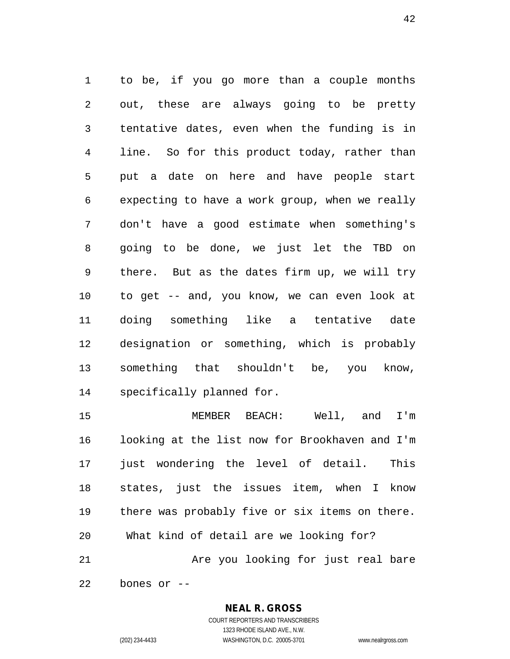to be, if you go more than a couple months out, these are always going to be pretty tentative dates, even when the funding is in line. So for this product today, rather than put a date on here and have people start expecting to have a work group, when we really don't have a good estimate when something's going to be done, we just let the TBD on there. But as the dates firm up, we will try to get -- and, you know, we can even look at doing something like a tentative date designation or something, which is probably something that shouldn't be, you know, specifically planned for.

 MEMBER BEACH: Well, and I'm looking at the list now for Brookhaven and I'm 17 just wondering the level of detail. This states, just the issues item, when I know there was probably five or six items on there. What kind of detail are we looking for? Are you looking for just real bare

bones or --

#### **NEAL R. GROSS**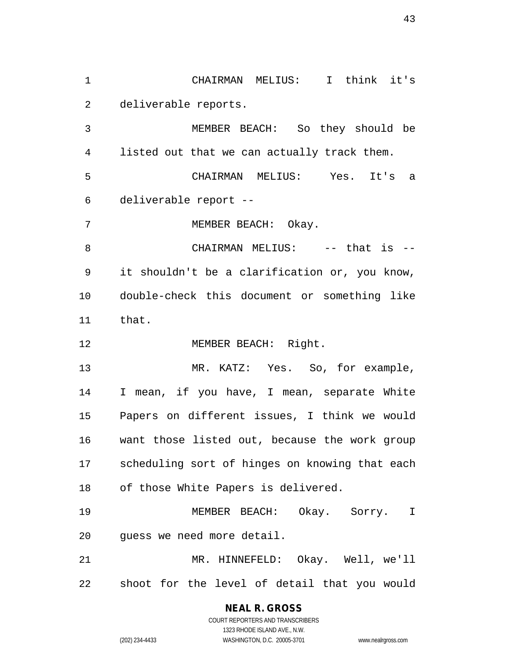CHAIRMAN MELIUS: I think it's deliverable reports.

 MEMBER BEACH: So they should be listed out that we can actually track them. CHAIRMAN MELIUS: Yes. It's a deliverable report --

MEMBER BEACH: Okay.

8 CHAIRMAN MELIUS: -- that is -- it shouldn't be a clarification or, you know, double-check this document or something like that.

12 MEMBER BEACH: Right.

13 MR. KATZ: Yes. So, for example, I mean, if you have, I mean, separate White Papers on different issues, I think we would want those listed out, because the work group scheduling sort of hinges on knowing that each of those White Papers is delivered.

 MEMBER BEACH: Okay. Sorry. I guess we need more detail.

 MR. HINNEFELD: Okay. Well, we'll shoot for the level of detail that you would

> **NEAL R. GROSS** COURT REPORTERS AND TRANSCRIBERS

1323 RHODE ISLAND AVE., N.W. (202) 234-4433 WASHINGTON, D.C. 20005-3701 www.nealrgross.com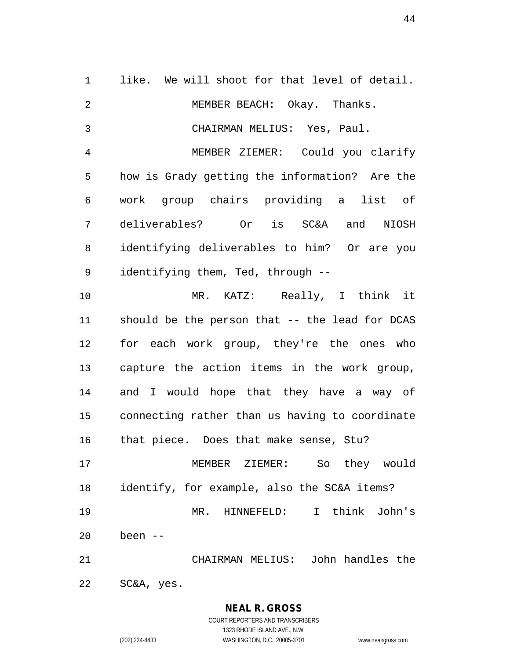like. We will shoot for that level of detail. MEMBER BEACH: Okay. Thanks. CHAIRMAN MELIUS: Yes, Paul. MEMBER ZIEMER: Could you clarify how is Grady getting the information? Are the work group chairs providing a list of deliverables? Or is SC&A and NIOSH identifying deliverables to him? Or are you identifying them, Ted, through -- MR. KATZ: Really, I think it should be the person that -- the lead for DCAS for each work group, they're the ones who capture the action items in the work group, and I would hope that they have a way of connecting rather than us having to coordinate that piece. Does that make sense, Stu? MEMBER ZIEMER: So they would identify, for example, also the SC&A items? MR. HINNEFELD: I think John's been -- CHAIRMAN MELIUS: John handles the SC&A, yes.

> **NEAL R. GROSS** COURT REPORTERS AND TRANSCRIBERS 1323 RHODE ISLAND AVE., N.W. (202) 234-4433 WASHINGTON, D.C. 20005-3701 www.nealrgross.com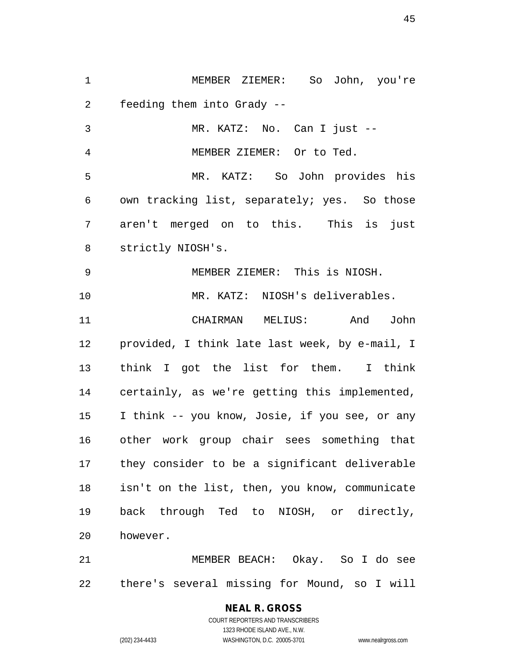MEMBER ZIEMER: So John, you're feeding them into Grady -- MR. KATZ: No. Can I just --

MEMBER ZIEMER: Or to Ted.

 MR. KATZ: So John provides his own tracking list, separately; yes. So those aren't merged on to this. This is just strictly NIOSH's.

 MEMBER ZIEMER: This is NIOSH. MR. KATZ: NIOSH's deliverables.

 CHAIRMAN MELIUS: And John provided, I think late last week, by e-mail, I think I got the list for them. I think certainly, as we're getting this implemented, I think -- you know, Josie, if you see, or any other work group chair sees something that they consider to be a significant deliverable isn't on the list, then, you know, communicate back through Ted to NIOSH, or directly, however.

 MEMBER BEACH: Okay. So I do see there's several missing for Mound, so I will

# **NEAL R. GROSS**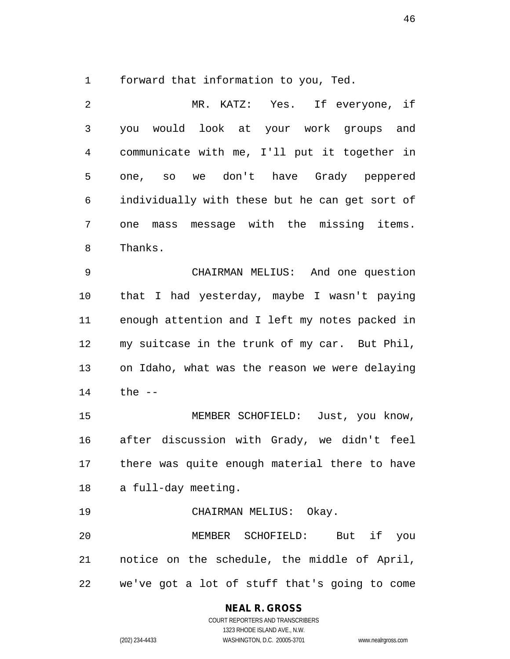forward that information to you, Ted.

 MR. KATZ: Yes. If everyone, if you would look at your work groups and communicate with me, I'll put it together in one, so we don't have Grady peppered individually with these but he can get sort of one mass message with the missing items. Thanks. CHAIRMAN MELIUS: And one question that I had yesterday, maybe I wasn't paying enough attention and I left my notes packed in my suitcase in the trunk of my car. But Phil, on Idaho, what was the reason we were delaying the -- 15 MEMBER SCHOFIELD: Just, you know, after discussion with Grady, we didn't feel there was quite enough material there to have a full-day meeting. CHAIRMAN MELIUS: Okay. MEMBER SCHOFIELD: But if you notice on the schedule, the middle of April, we've got a lot of stuff that's going to come

#### **NEAL R. GROSS**

COURT REPORTERS AND TRANSCRIBERS 1323 RHODE ISLAND AVE., N.W. (202) 234-4433 WASHINGTON, D.C. 20005-3701 www.nealrgross.com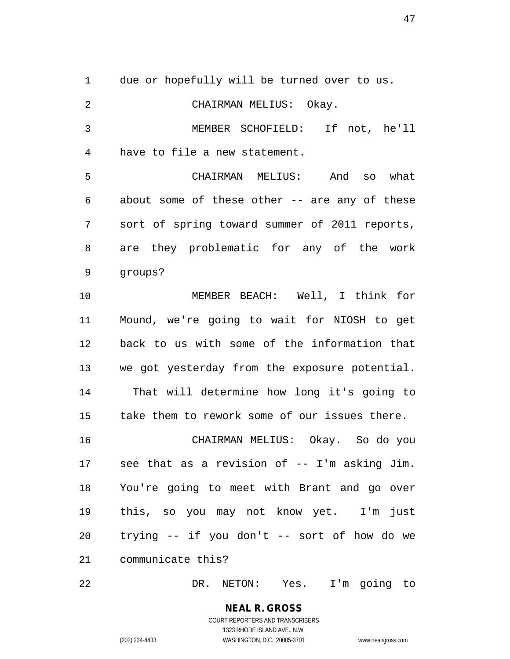due or hopefully will be turned over to us. CHAIRMAN MELIUS: Okay. MEMBER SCHOFIELD: If not, he'll have to file a new statement. CHAIRMAN MELIUS: And so what about some of these other -- are any of these sort of spring toward summer of 2011 reports, are they problematic for any of the work groups? MEMBER BEACH: Well, I think for Mound, we're going to wait for NIOSH to get back to us with some of the information that we got yesterday from the exposure potential. 14 That will determine how long it's going to take them to rework some of our issues there. CHAIRMAN MELIUS: Okay. So do you see that as a revision of -- I'm asking Jim. You're going to meet with Brant and go over this, so you may not know yet. I'm just trying -- if you don't -- sort of how do we communicate this?

DR. NETON: Yes. I'm going to

**NEAL R. GROSS** COURT REPORTERS AND TRANSCRIBERS 1323 RHODE ISLAND AVE., N.W. (202) 234-4433 WASHINGTON, D.C. 20005-3701 www.nealrgross.com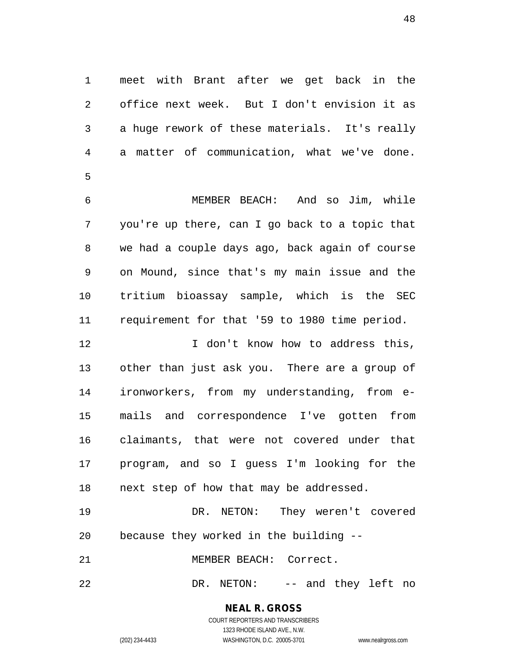meet with Brant after we get back in the office next week. But I don't envision it as a huge rework of these materials. It's really a matter of communication, what we've done. 

 MEMBER BEACH: And so Jim, while you're up there, can I go back to a topic that we had a couple days ago, back again of course on Mound, since that's my main issue and the tritium bioassay sample, which is the SEC requirement for that '59 to 1980 time period.

**I** don't know how to address this, other than just ask you. There are a group of ironworkers, from my understanding, from e- mails and correspondence I've gotten from claimants, that were not covered under that program, and so I guess I'm looking for the next step of how that may be addressed.

 DR. NETON: They weren't covered because they worked in the building --

MEMBER BEACH: Correct.

DR. NETON: -- and they left no

# **NEAL R. GROSS**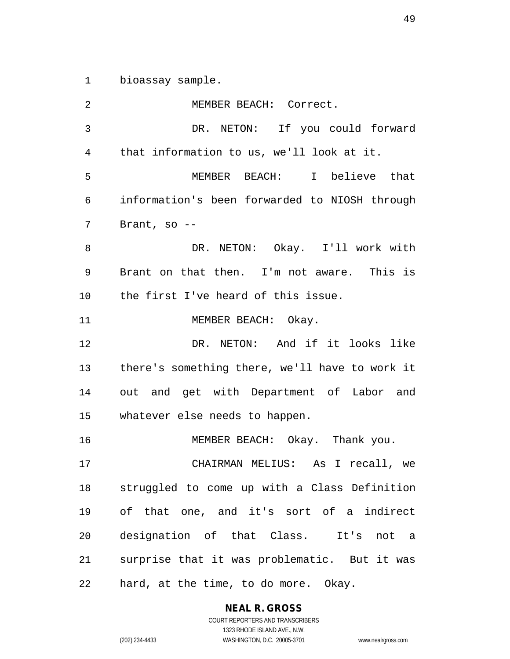bioassay sample.

 MEMBER BEACH: Correct. DR. NETON: If you could forward that information to us, we'll look at it. MEMBER BEACH: I believe that information's been forwarded to NIOSH through Brant, so -- DR. NETON: Okay. I'll work with Brant on that then. I'm not aware. This is the first I've heard of this issue. 11 MEMBER BEACH: Okay. DR. NETON: And if it looks like there's something there, we'll have to work it out and get with Department of Labor and whatever else needs to happen. MEMBER BEACH: Okay. Thank you. CHAIRMAN MELIUS: As I recall, we struggled to come up with a Class Definition of that one, and it's sort of a indirect designation of that Class. It's not a surprise that it was problematic. But it was hard, at the time, to do more. Okay.

> **NEAL R. GROSS** COURT REPORTERS AND TRANSCRIBERS 1323 RHODE ISLAND AVE., N.W.

(202) 234-4433 WASHINGTON, D.C. 20005-3701 www.nealrgross.com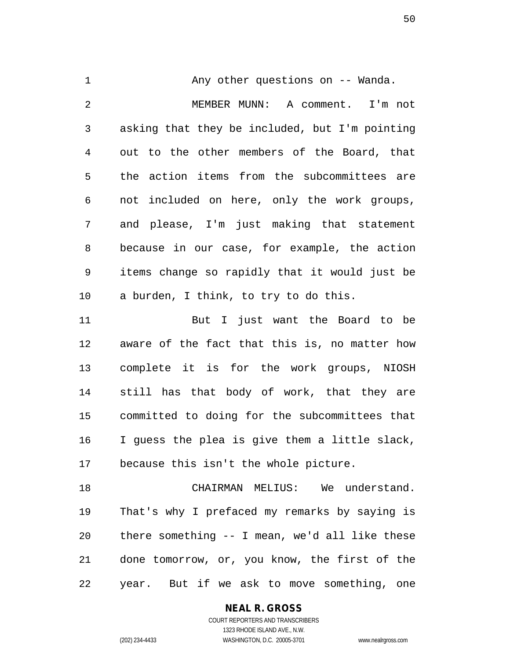1 Any other questions on -- Wanda. MEMBER MUNN: A comment. I'm not asking that they be included, but I'm pointing out to the other members of the Board, that the action items from the subcommittees are not included on here, only the work groups, and please, I'm just making that statement because in our case, for example, the action items change so rapidly that it would just be a burden, I think, to try to do this. But I just want the Board to be

 aware of the fact that this is, no matter how complete it is for the work groups, NIOSH still has that body of work, that they are committed to doing for the subcommittees that I guess the plea is give them a little slack, because this isn't the whole picture.

18 CHAIRMAN MELIUS: We understand. That's why I prefaced my remarks by saying is there something -- I mean, we'd all like these done tomorrow, or, you know, the first of the year. But if we ask to move something, one

**NEAL R. GROSS**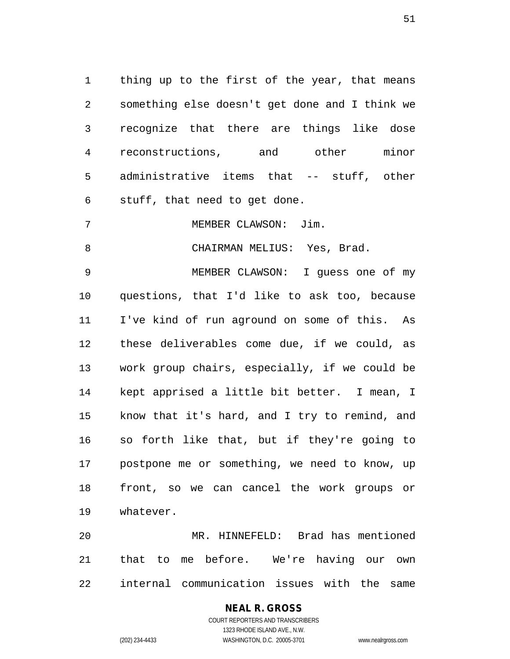thing up to the first of the year, that means something else doesn't get done and I think we recognize that there are things like dose reconstructions, and other minor administrative items that -- stuff, other stuff, that need to get done.

MEMBER CLAWSON: Jim.

8 CHAIRMAN MELIUS: Yes, Brad.

 MEMBER CLAWSON: I guess one of my questions, that I'd like to ask too, because I've kind of run aground on some of this. As these deliverables come due, if we could, as work group chairs, especially, if we could be kept apprised a little bit better. I mean, I know that it's hard, and I try to remind, and so forth like that, but if they're going to postpone me or something, we need to know, up front, so we can cancel the work groups or whatever.

 MR. HINNEFELD: Brad has mentioned that to me before. We're having our own internal communication issues with the same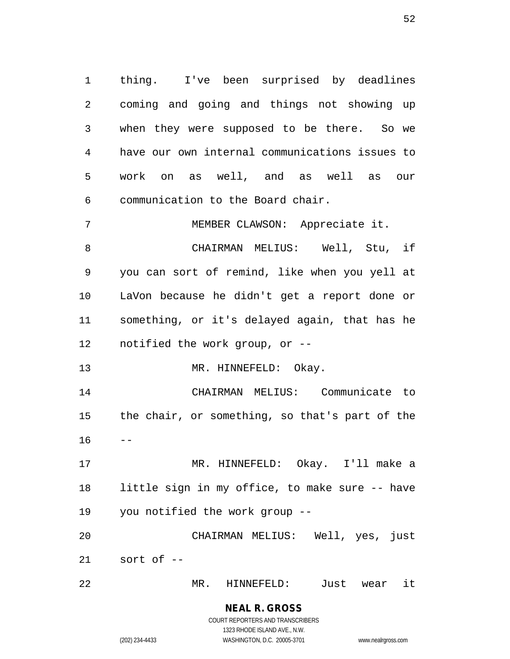thing. I've been surprised by deadlines coming and going and things not showing up when they were supposed to be there. So we have our own internal communications issues to work on as well, and as well as our communication to the Board chair.

 MEMBER CLAWSON: Appreciate it. CHAIRMAN MELIUS: Well, Stu, if you can sort of remind, like when you yell at LaVon because he didn't get a report done or something, or it's delayed again, that has he notified the work group, or --

13 MR. HINNEFELD: Okay.

 CHAIRMAN MELIUS: Communicate to the chair, or something, so that's part of the  $16 - -$ 

 MR. HINNEFELD: Okay. I'll make a little sign in my office, to make sure -- have you notified the work group --

 CHAIRMAN MELIUS: Well, yes, just sort of --

MR. HINNEFELD: Just wear it

**NEAL R. GROSS** COURT REPORTERS AND TRANSCRIBERS 1323 RHODE ISLAND AVE., N.W.

(202) 234-4433 WASHINGTON, D.C. 20005-3701 www.nealrgross.com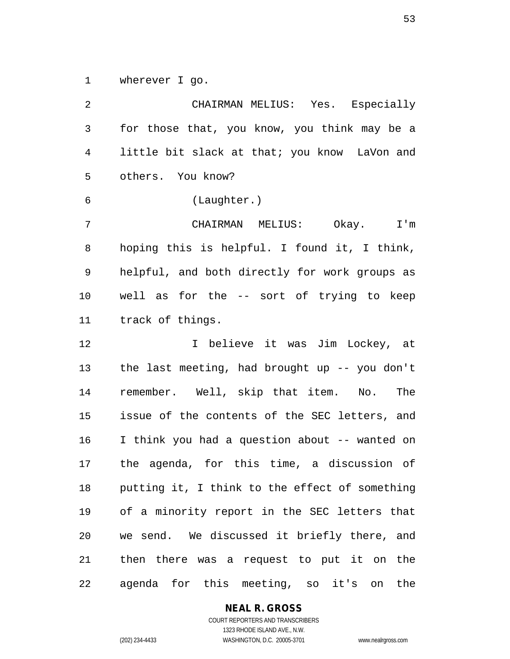wherever I go.

 CHAIRMAN MELIUS: Yes. Especially for those that, you know, you think may be a little bit slack at that; you know LaVon and others. You know? (Laughter.) CHAIRMAN MELIUS: Okay. I'm hoping this is helpful. I found it, I think, helpful, and both directly for work groups as well as for the -- sort of trying to keep track of things. I believe it was Jim Lockey, at the last meeting, had brought up -- you don't remember. Well, skip that item. No. The issue of the contents of the SEC letters, and I think you had a question about -- wanted on the agenda, for this time, a discussion of putting it, I think to the effect of something of a minority report in the SEC letters that we send. We discussed it briefly there, and then there was a request to put it on the agenda for this meeting, so it's on the

#### **NEAL R. GROSS**

COURT REPORTERS AND TRANSCRIBERS 1323 RHODE ISLAND AVE., N.W. (202) 234-4433 WASHINGTON, D.C. 20005-3701 www.nealrgross.com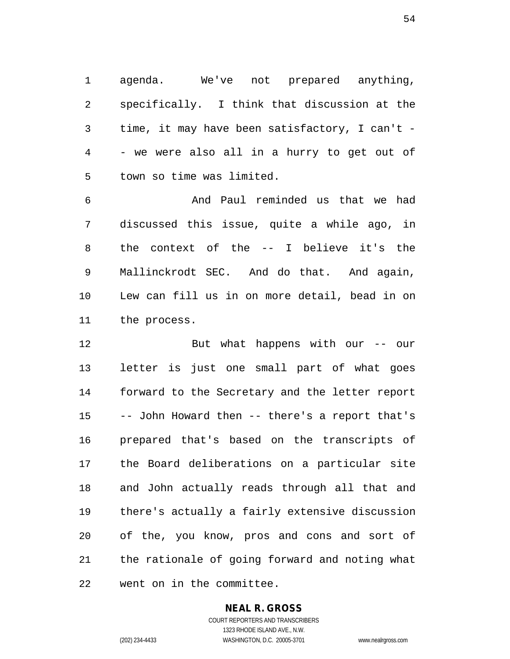agenda. We've not prepared anything, specifically. I think that discussion at the time, it may have been satisfactory, I can't - - we were also all in a hurry to get out of town so time was limited.

 And Paul reminded us that we had discussed this issue, quite a while ago, in the context of the -- I believe it's the Mallinckrodt SEC. And do that. And again, Lew can fill us in on more detail, bead in on the process.

 But what happens with our -- our letter is just one small part of what goes forward to the Secretary and the letter report -- John Howard then -- there's a report that's prepared that's based on the transcripts of the Board deliberations on a particular site and John actually reads through all that and there's actually a fairly extensive discussion of the, you know, pros and cons and sort of the rationale of going forward and noting what went on in the committee.

#### **NEAL R. GROSS**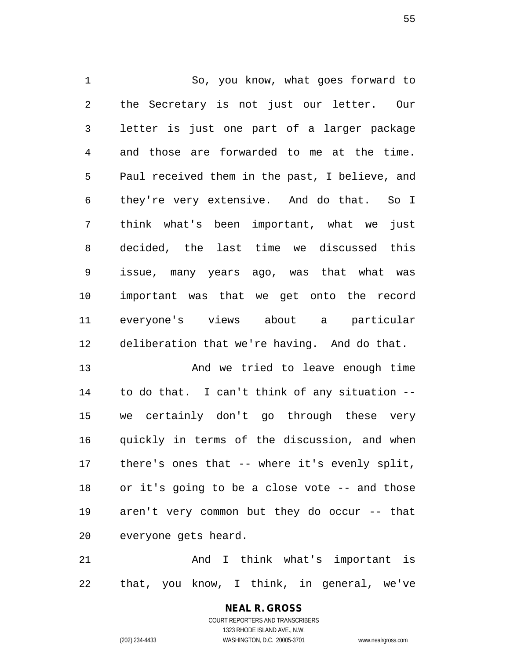So, you know, what goes forward to the Secretary is not just our letter. Our letter is just one part of a larger package and those are forwarded to me at the time. Paul received them in the past, I believe, and they're very extensive. And do that. So I think what's been important, what we just decided, the last time we discussed this issue, many years ago, was that what was important was that we get onto the record everyone's views about a particular deliberation that we're having. And do that.

13 And we tried to leave enough time to do that. I can't think of any situation -- we certainly don't go through these very quickly in terms of the discussion, and when there's ones that -- where it's evenly split, or it's going to be a close vote -- and those aren't very common but they do occur -- that everyone gets heard.

 And I think what's important is that, you know, I think, in general, we've

# **NEAL R. GROSS**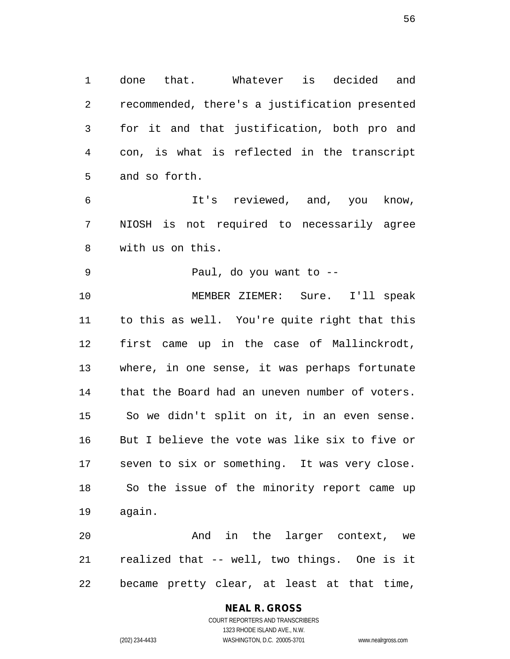done that. Whatever is decided and recommended, there's a justification presented for it and that justification, both pro and con, is what is reflected in the transcript and so forth.

 It's reviewed, and, you know, NIOSH is not required to necessarily agree with us on this.

Paul, do you want to --

 MEMBER ZIEMER: Sure. I'll speak to this as well. You're quite right that this first came up in the case of Mallinckrodt, where, in one sense, it was perhaps fortunate that the Board had an uneven number of voters. So we didn't split on it, in an even sense. But I believe the vote was like six to five or seven to six or something. It was very close. So the issue of the minority report came up again.

 And in the larger context, we realized that -- well, two things. One is it became pretty clear, at least at that time,

# **NEAL R. GROSS**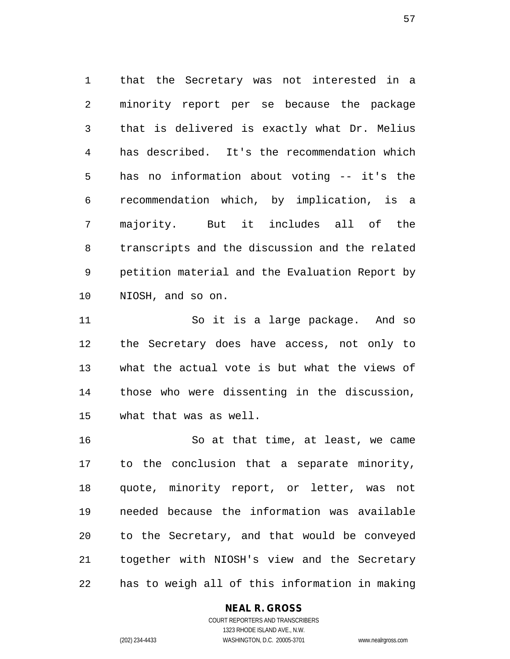that the Secretary was not interested in a minority report per se because the package that is delivered is exactly what Dr. Melius has described. It's the recommendation which has no information about voting -- it's the recommendation which, by implication, is a majority. But it includes all of the transcripts and the discussion and the related petition material and the Evaluation Report by NIOSH, and so on.

 So it is a large package. And so the Secretary does have access, not only to what the actual vote is but what the views of those who were dissenting in the discussion, what that was as well.

 So at that time, at least, we came to the conclusion that a separate minority, quote, minority report, or letter, was not needed because the information was available to the Secretary, and that would be conveyed together with NIOSH's view and the Secretary has to weigh all of this information in making

#### **NEAL R. GROSS**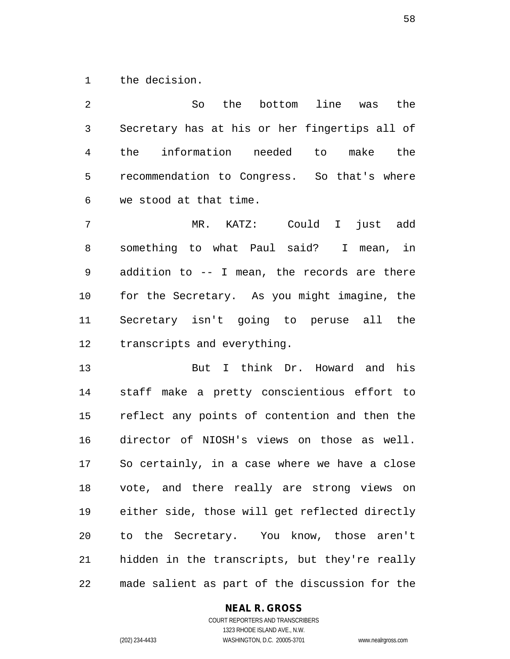the decision.

 So the bottom line was the Secretary has at his or her fingertips all of the information needed to make the recommendation to Congress. So that's where we stood at that time. MR. KATZ: Could I just add something to what Paul said? I mean, in addition to -- I mean, the records are there for the Secretary. As you might imagine, the Secretary isn't going to peruse all the

 But I think Dr. Howard and his staff make a pretty conscientious effort to reflect any points of contention and then the director of NIOSH's views on those as well. So certainly, in a case where we have a close vote, and there really are strong views on either side, those will get reflected directly to the Secretary. You know, those aren't hidden in the transcripts, but they're really made salient as part of the discussion for the

transcripts and everything.

#### **NEAL R. GROSS**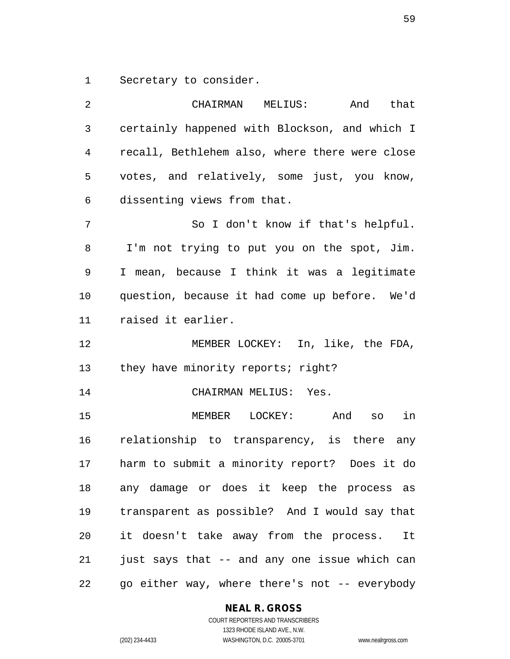Secretary to consider.

| 2  | And that<br>CHAIRMAN MELIUS:                   |
|----|------------------------------------------------|
| 3  | certainly happened with Blockson, and which I  |
| 4  | recall, Bethlehem also, where there were close |
| 5  | votes, and relatively, some just, you know,    |
| 6  | dissenting views from that.                    |
| 7  | So I don't know if that's helpful.             |
| 8  | I'm not trying to put you on the spot, Jim.    |
| 9  | I mean, because I think it was a legitimate    |
| 10 | question, because it had come up before. We'd  |
| 11 | raised it earlier.                             |
| 12 | MEMBER LOCKEY: In, like, the FDA,              |
| 13 | they have minority reports; right?             |
| 14 | CHAIRMAN MELIUS: Yes.                          |
| 15 | MEMBER LOCKEY: And<br>in<br>SO                 |
| 16 | relationship to transparency, is there any     |
| 17 | harm to submit a minority report? Does it do   |
| 18 | any damage or does it keep the process as      |
| 19 | transparent as possible? And I would say that  |
| 20 | it doesn't take away from the process. It      |
| 21 | just says that -- and any one issue which can  |
| 22 | go either way, where there's not -- everybody  |

### **NEAL R. GROSS**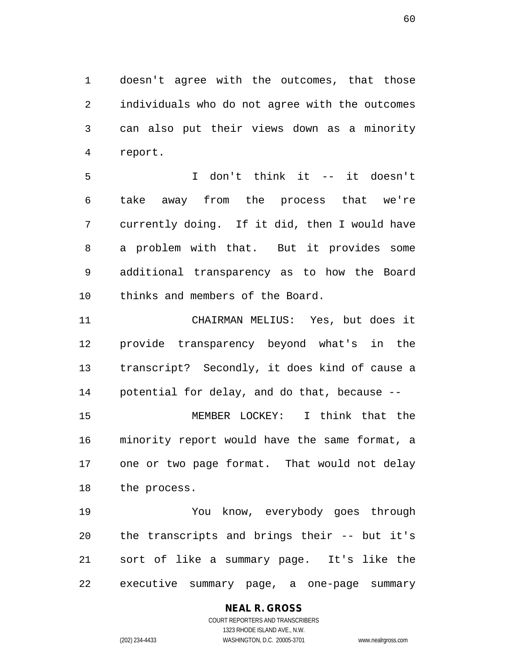doesn't agree with the outcomes, that those individuals who do not agree with the outcomes can also put their views down as a minority report.

 I don't think it -- it doesn't take away from the process that we're currently doing. If it did, then I would have a problem with that. But it provides some additional transparency as to how the Board thinks and members of the Board.

 CHAIRMAN MELIUS: Yes, but does it provide transparency beyond what's in the transcript? Secondly, it does kind of cause a potential for delay, and do that, because --

 MEMBER LOCKEY: I think that the minority report would have the same format, a one or two page format. That would not delay the process.

 You know, everybody goes through the transcripts and brings their -- but it's sort of like a summary page. It's like the executive summary page, a one-page summary

# **NEAL R. GROSS**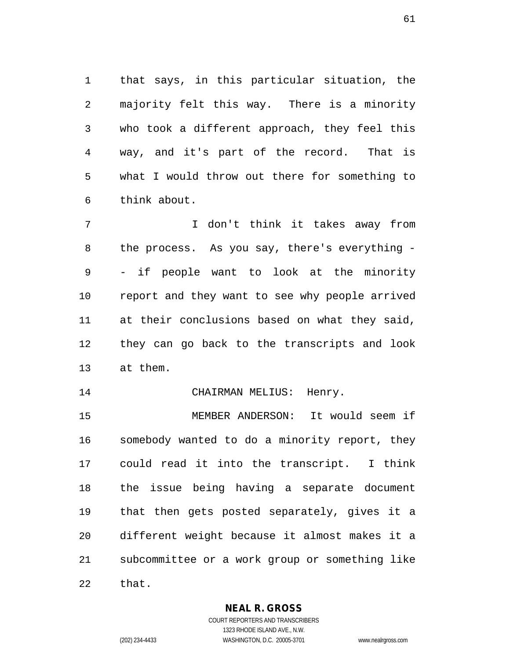that says, in this particular situation, the majority felt this way. There is a minority who took a different approach, they feel this way, and it's part of the record. That is what I would throw out there for something to think about.

 I don't think it takes away from the process. As you say, there's everything - - if people want to look at the minority report and they want to see why people arrived at their conclusions based on what they said, they can go back to the transcripts and look at them.

14 CHAIRMAN MELIUS: Henry.

 MEMBER ANDERSON: It would seem if somebody wanted to do a minority report, they could read it into the transcript. I think the issue being having a separate document that then gets posted separately, gives it a different weight because it almost makes it a subcommittee or a work group or something like that.

**NEAL R. GROSS**

COURT REPORTERS AND TRANSCRIBERS 1323 RHODE ISLAND AVE., N.W. (202) 234-4433 WASHINGTON, D.C. 20005-3701 www.nealrgross.com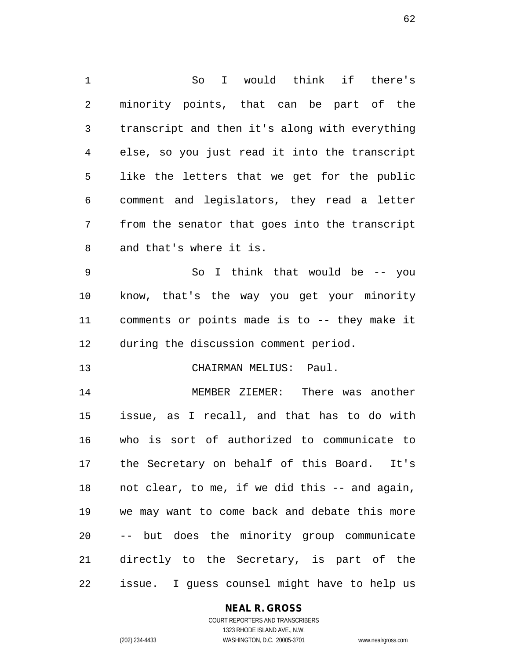So I would think if there's minority points, that can be part of the transcript and then it's along with everything else, so you just read it into the transcript like the letters that we get for the public comment and legislators, they read a letter from the senator that goes into the transcript and that's where it is. So I think that would be -- you know, that's the way you get your minority comments or points made is to -- they make it during the discussion comment period. CHAIRMAN MELIUS: Paul. MEMBER ZIEMER: There was another issue, as I recall, and that has to do with who is sort of authorized to communicate to the Secretary on behalf of this Board. It's not clear, to me, if we did this -- and again, we may want to come back and debate this more -- but does the minority group communicate directly to the Secretary, is part of the issue. I guess counsel might have to help us

#### **NEAL R. GROSS**

COURT REPORTERS AND TRANSCRIBERS 1323 RHODE ISLAND AVE., N.W. (202) 234-4433 WASHINGTON, D.C. 20005-3701 www.nealrgross.com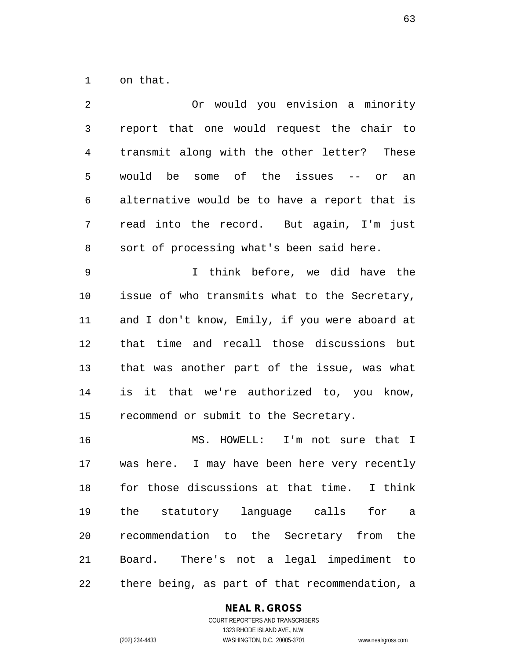on that.

| $\overline{2}$ | Or would you envision a minority               |
|----------------|------------------------------------------------|
| $\mathfrak{Z}$ | report that one would request the chair to     |
| $\overline{4}$ | transmit along with the other letter? These    |
| 5              | would be some of the issues -- or an           |
| 6              | alternative would be to have a report that is  |
| 7              | read into the record. But again, I'm just      |
| 8              | sort of processing what's been said here.      |
| $\mathsf 9$    | I think before, we did have the                |
| 10             | issue of who transmits what to the Secretary,  |
| 11             | and I don't know, Emily, if you were aboard at |
| 12             | that time and recall those discussions but     |
| 13             | that was another part of the issue, was what   |
| 14             | is it that we're authorized to, you know,      |
| 15             | recommend or submit to the Secretary.          |
| 16             | MS. HOWELL: I'm not sure that I                |
| 17             | was here. I may have been here very recently   |
| 18             | for those discussions at that time. I think    |
| 19             | the statutory language calls<br>for a          |
| 20             | recommendation to the Secretary from the       |
| 21             | Board. There's not a legal impediment to       |
| 22             | there being, as part of that recommendation, a |

# **NEAL R. GROSS**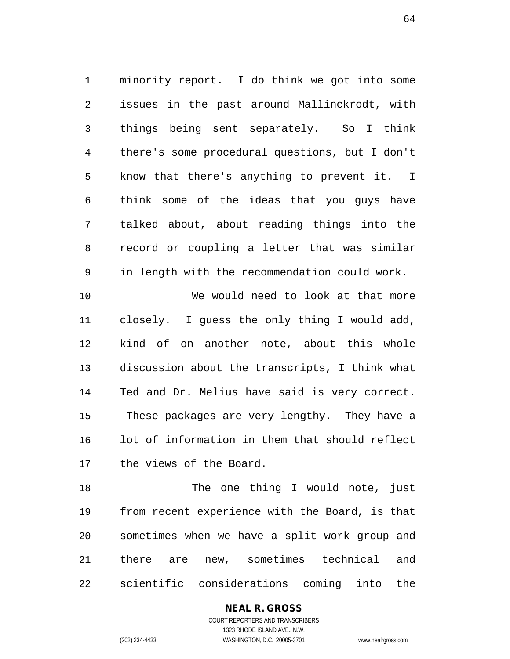minority report. I do think we got into some issues in the past around Mallinckrodt, with things being sent separately. So I think there's some procedural questions, but I don't know that there's anything to prevent it. I think some of the ideas that you guys have talked about, about reading things into the record or coupling a letter that was similar in length with the recommendation could work. We would need to look at that more closely. I guess the only thing I would add, kind of on another note, about this whole discussion about the transcripts, I think what

 Ted and Dr. Melius have said is very correct. These packages are very lengthy. They have a lot of information in them that should reflect the views of the Board.

18 The one thing I would note, just from recent experience with the Board, is that sometimes when we have a split work group and there are new, sometimes technical and scientific considerations coming into the

# **NEAL R. GROSS**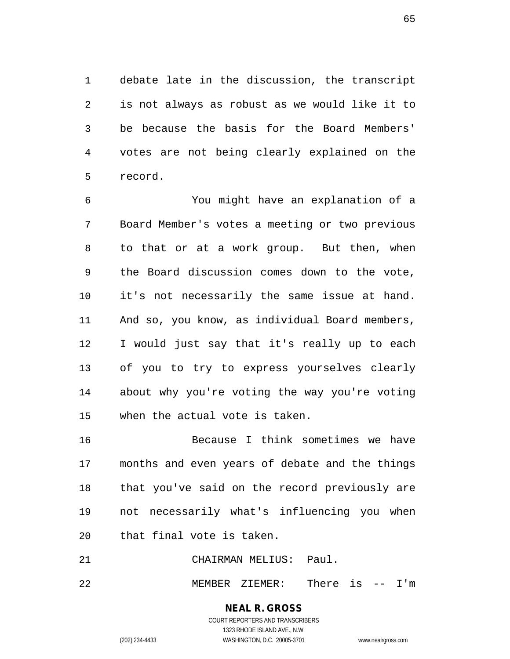debate late in the discussion, the transcript is not always as robust as we would like it to be because the basis for the Board Members' votes are not being clearly explained on the record.

 You might have an explanation of a Board Member's votes a meeting or two previous to that or at a work group. But then, when the Board discussion comes down to the vote, it's not necessarily the same issue at hand. And so, you know, as individual Board members, I would just say that it's really up to each of you to try to express yourselves clearly about why you're voting the way you're voting when the actual vote is taken.

 Because I think sometimes we have months and even years of debate and the things that you've said on the record previously are not necessarily what's influencing you when that final vote is taken.

CHAIRMAN MELIUS: Paul.

MEMBER ZIEMER: There is -- I'm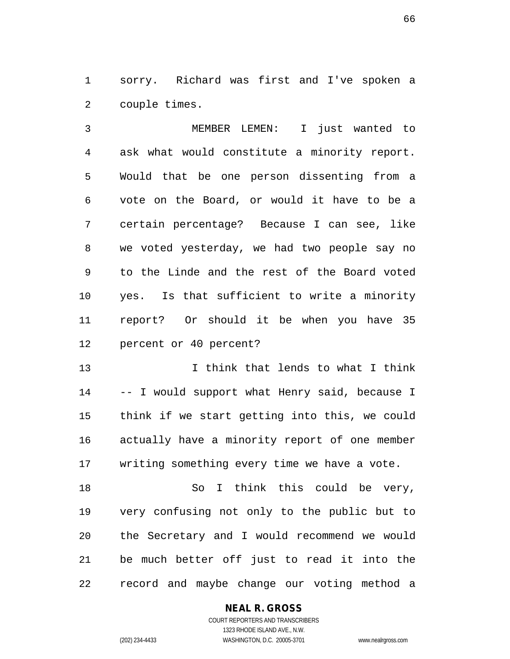sorry. Richard was first and I've spoken a couple times.

 MEMBER LEMEN: I just wanted to ask what would constitute a minority report. Would that be one person dissenting from a vote on the Board, or would it have to be a certain percentage? Because I can see, like we voted yesterday, we had two people say no to the Linde and the rest of the Board voted yes. Is that sufficient to write a minority report? Or should it be when you have 35 percent or 40 percent?

 I think that lends to what I think -- I would support what Henry said, because I think if we start getting into this, we could actually have a minority report of one member writing something every time we have a vote.

18 So I think this could be very, very confusing not only to the public but to the Secretary and I would recommend we would be much better off just to read it into the record and maybe change our voting method a

#### **NEAL R. GROSS**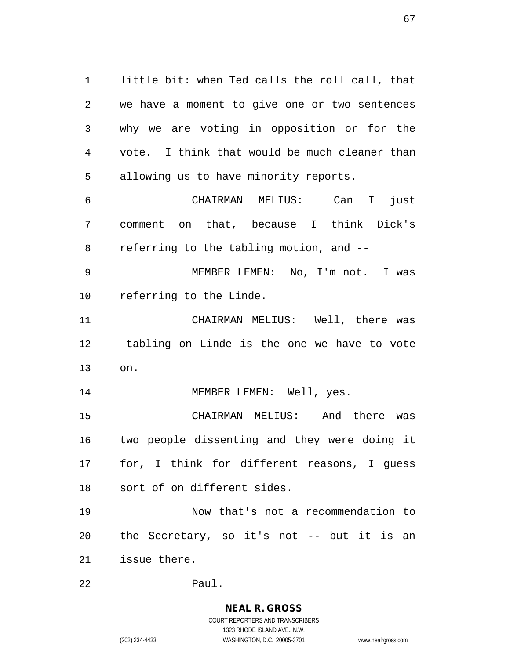little bit: when Ted calls the roll call, that we have a moment to give one or two sentences why we are voting in opposition or for the vote. I think that would be much cleaner than allowing us to have minority reports.

 CHAIRMAN MELIUS: Can I just comment on that, because I think Dick's referring to the tabling motion, and --

 MEMBER LEMEN: No, I'm not. I was referring to the Linde.

 CHAIRMAN MELIUS: Well, there was tabling on Linde is the one we have to vote on.

14 MEMBER LEMEN: Well, yes.

 CHAIRMAN MELIUS: And there was two people dissenting and they were doing it for, I think for different reasons, I guess sort of on different sides.

 Now that's not a recommendation to the Secretary, so it's not -- but it is an issue there.

Paul.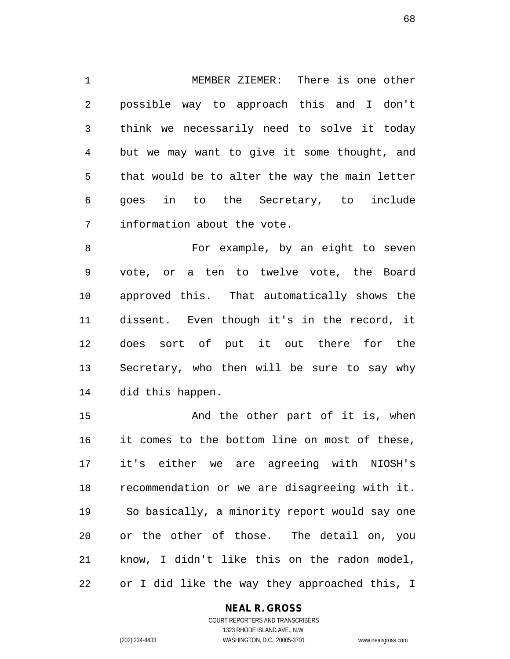MEMBER ZIEMER: There is one other possible way to approach this and I don't think we necessarily need to solve it today but we may want to give it some thought, and that would be to alter the way the main letter goes in to the Secretary, to include information about the vote.

8 For example, by an eight to seven vote, or a ten to twelve vote, the Board approved this. That automatically shows the dissent. Even though it's in the record, it does sort of put it out there for the Secretary, who then will be sure to say why did this happen.

15 And the other part of it is, when it comes to the bottom line on most of these, it's either we are agreeing with NIOSH's recommendation or we are disagreeing with it. So basically, a minority report would say one or the other of those. The detail on, you know, I didn't like this on the radon model, or I did like the way they approached this, I

#### **NEAL R. GROSS**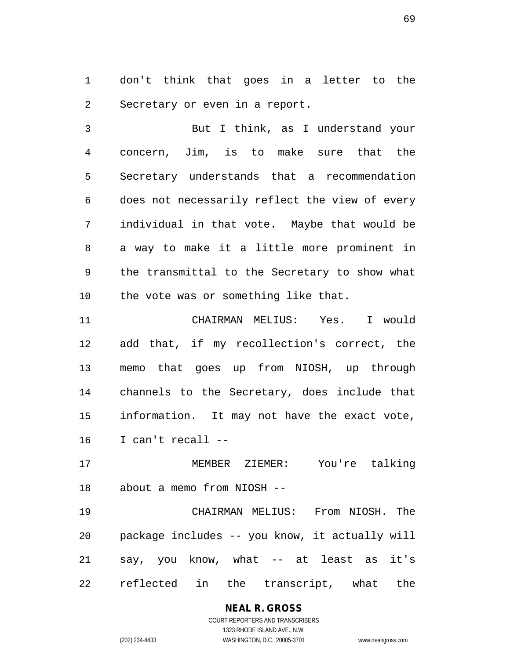don't think that goes in a letter to the Secretary or even in a report.

 But I think, as I understand your concern, Jim, is to make sure that the Secretary understands that a recommendation does not necessarily reflect the view of every individual in that vote. Maybe that would be a way to make it a little more prominent in the transmittal to the Secretary to show what the vote was or something like that.

 CHAIRMAN MELIUS: Yes. I would add that, if my recollection's correct, the memo that goes up from NIOSH, up through channels to the Secretary, does include that information. It may not have the exact vote, I can't recall --

 MEMBER ZIEMER: You're talking about a memo from NIOSH --

 CHAIRMAN MELIUS: From NIOSH. The package includes -- you know, it actually will say, you know, what -- at least as it's reflected in the transcript, what the

# **NEAL R. GROSS**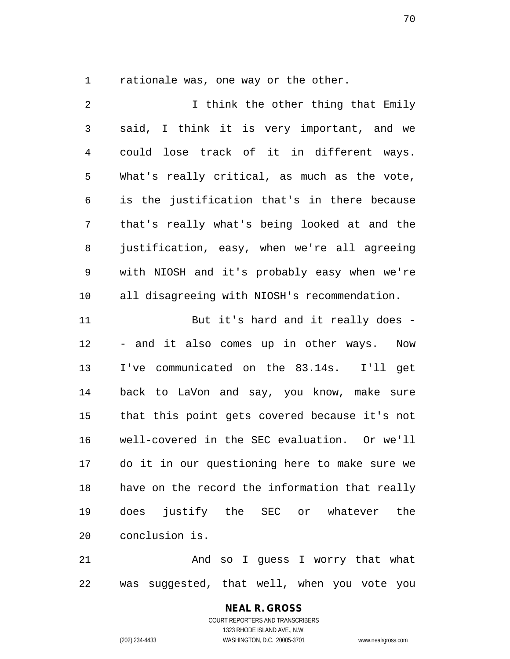rationale was, one way or the other.

2 1 I think the other thing that Emily said, I think it is very important, and we could lose track of it in different ways. What's really critical, as much as the vote, is the justification that's in there because that's really what's being looked at and the justification, easy, when we're all agreeing with NIOSH and it's probably easy when we're all disagreeing with NIOSH's recommendation. 11 But it's hard and it really does - - and it also comes up in other ways. Now I've communicated on the 83.14s. I'll get back to LaVon and say, you know, make sure that this point gets covered because it's not well-covered in the SEC evaluation. Or we'll do it in our questioning here to make sure we have on the record the information that really does justify the SEC or whatever the conclusion is.

 And so I guess I worry that what was suggested, that well, when you vote you

# **NEAL R. GROSS**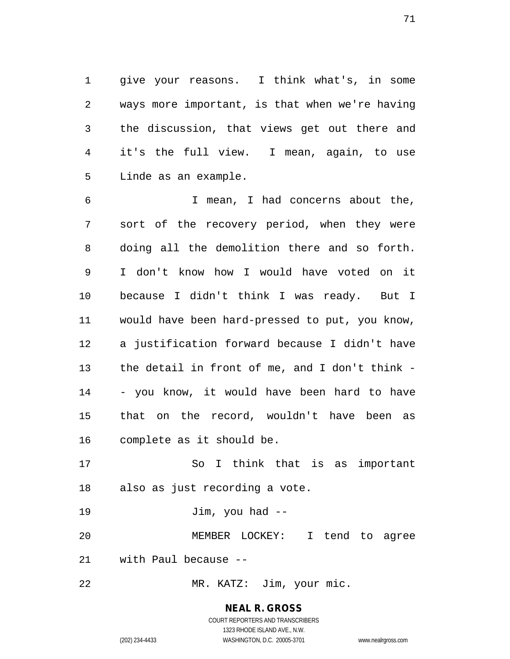give your reasons. I think what's, in some ways more important, is that when we're having the discussion, that views get out there and it's the full view. I mean, again, to use Linde as an example.

 I mean, I had concerns about the, sort of the recovery period, when they were doing all the demolition there and so forth. I don't know how I would have voted on it because I didn't think I was ready. But I would have been hard-pressed to put, you know, a justification forward because I didn't have the detail in front of me, and I don't think - - you know, it would have been hard to have that on the record, wouldn't have been as complete as it should be.

 So I think that is as important also as just recording a vote.

Jim, you had --

 MEMBER LOCKEY: I tend to agree with Paul because --

MR. KATZ: Jim, your mic.

# **NEAL R. GROSS**

COURT REPORTERS AND TRANSCRIBERS 1323 RHODE ISLAND AVE., N.W. (202) 234-4433 WASHINGTON, D.C. 20005-3701 www.nealrgross.com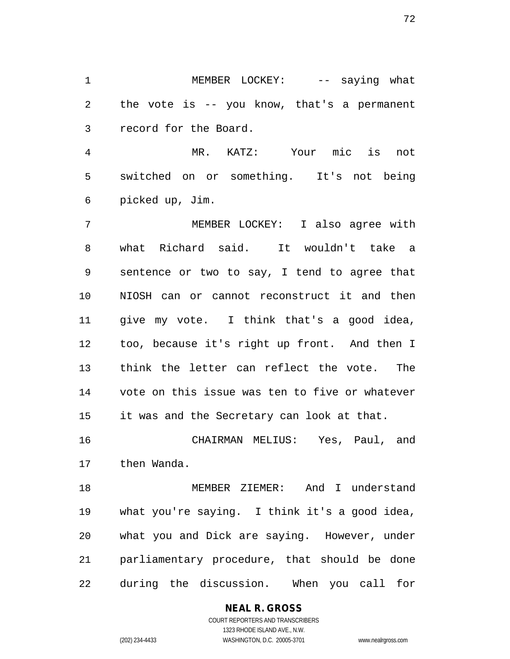1 MEMBER LOCKEY: -- saying what the vote is -- you know, that's a permanent record for the Board.

 MR. KATZ: Your mic is not switched on or something. It's not being picked up, Jim.

 MEMBER LOCKEY: I also agree with what Richard said. It wouldn't take a sentence or two to say, I tend to agree that NIOSH can or cannot reconstruct it and then give my vote. I think that's a good idea, too, because it's right up front. And then I think the letter can reflect the vote. The vote on this issue was ten to five or whatever it was and the Secretary can look at that.

 CHAIRMAN MELIUS: Yes, Paul, and then Wanda.

 MEMBER ZIEMER: And I understand what you're saying. I think it's a good idea, what you and Dick are saying. However, under parliamentary procedure, that should be done during the discussion. When you call for

> COURT REPORTERS AND TRANSCRIBERS 1323 RHODE ISLAND AVE., N.W. (202) 234-4433 WASHINGTON, D.C. 20005-3701 www.nealrgross.com

**NEAL R. GROSS**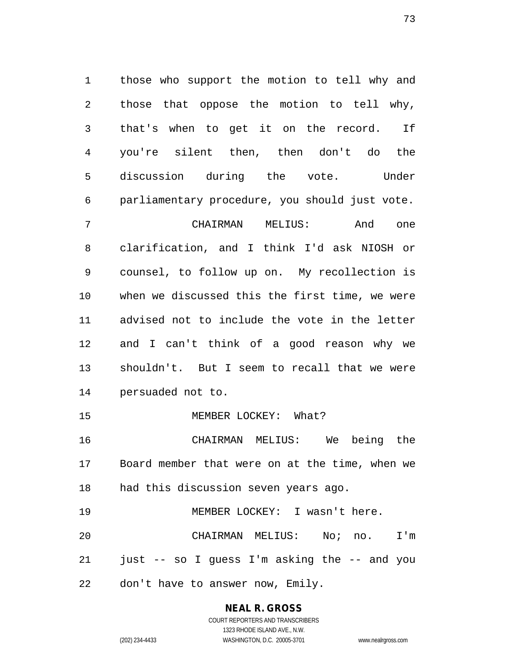those who support the motion to tell why and those that oppose the motion to tell why, that's when to get it on the record. If you're silent then, then don't do the discussion during the vote. Under parliamentary procedure, you should just vote. CHAIRMAN MELIUS: And one clarification, and I think I'd ask NIOSH or counsel, to follow up on. My recollection is when we discussed this the first time, we were advised not to include the vote in the letter and I can't think of a good reason why we shouldn't. But I seem to recall that we were persuaded not to. 15 MEMBER LOCKEY: What? CHAIRMAN MELIUS: We being the Board member that were on at the time, when we had this discussion seven years ago. MEMBER LOCKEY: I wasn't here.

 CHAIRMAN MELIUS: No; no. I'm just -- so I guess I'm asking the -- and you don't have to answer now, Emily.

**NEAL R. GROSS**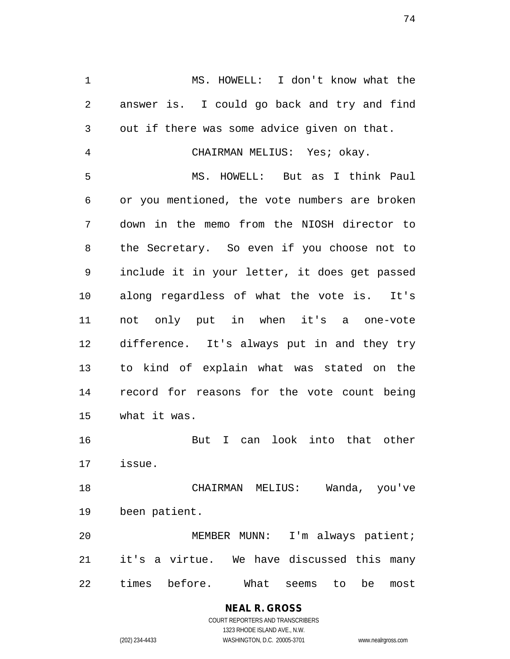MS. HOWELL: I don't know what the answer is. I could go back and try and find out if there was some advice given on that.

CHAIRMAN MELIUS: Yes; okay.

 MS. HOWELL: But as I think Paul or you mentioned, the vote numbers are broken down in the memo from the NIOSH director to the Secretary. So even if you choose not to include it in your letter, it does get passed along regardless of what the vote is. It's not only put in when it's a one-vote difference. It's always put in and they try to kind of explain what was stated on the record for reasons for the vote count being what it was.

 But I can look into that other issue.

 CHAIRMAN MELIUS: Wanda, you've been patient.

 MEMBER MUNN: I'm always patient; it's a virtue. We have discussed this many times before. What seems to be most

> **NEAL R. GROSS** COURT REPORTERS AND TRANSCRIBERS 1323 RHODE ISLAND AVE., N.W. (202) 234-4433 WASHINGTON, D.C. 20005-3701 www.nealrgross.com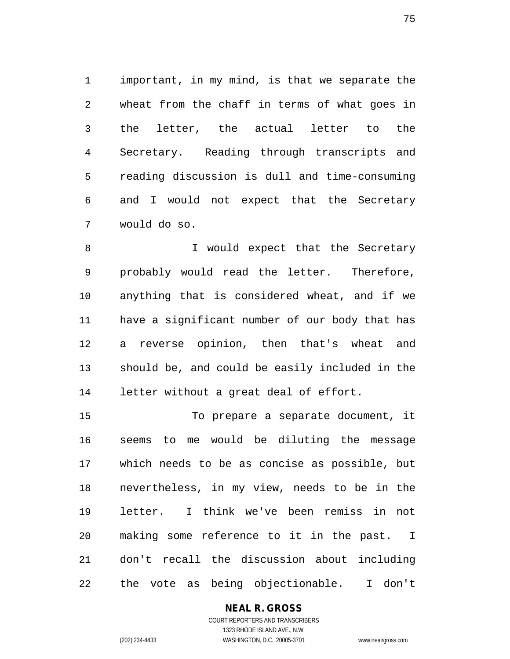important, in my mind, is that we separate the wheat from the chaff in terms of what goes in the letter, the actual letter to the Secretary. Reading through transcripts and reading discussion is dull and time-consuming and I would not expect that the Secretary would do so.

8 I would expect that the Secretary probably would read the letter. Therefore, anything that is considered wheat, and if we have a significant number of our body that has a reverse opinion, then that's wheat and should be, and could be easily included in the letter without a great deal of effort.

 To prepare a separate document, it seems to me would be diluting the message which needs to be as concise as possible, but nevertheless, in my view, needs to be in the letter. I think we've been remiss in not making some reference to it in the past. I don't recall the discussion about including the vote as being objectionable. I don't

# **NEAL R. GROSS**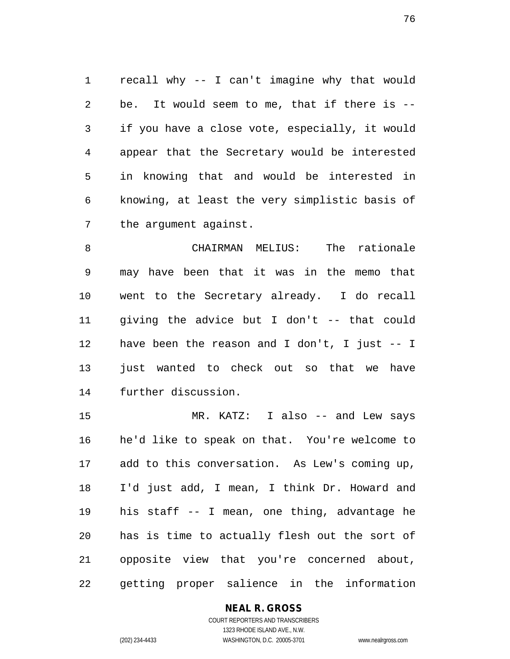recall why -- I can't imagine why that would be. It would seem to me, that if there is -- if you have a close vote, especially, it would appear that the Secretary would be interested in knowing that and would be interested in knowing, at least the very simplistic basis of the argument against.

 CHAIRMAN MELIUS: The rationale may have been that it was in the memo that went to the Secretary already. I do recall giving the advice but I don't -- that could have been the reason and I don't, I just -- I 13 just wanted to check out so that we have further discussion.

 MR. KATZ: I also -- and Lew says he'd like to speak on that. You're welcome to add to this conversation. As Lew's coming up, I'd just add, I mean, I think Dr. Howard and his staff -- I mean, one thing, advantage he has is time to actually flesh out the sort of opposite view that you're concerned about, getting proper salience in the information

# **NEAL R. GROSS**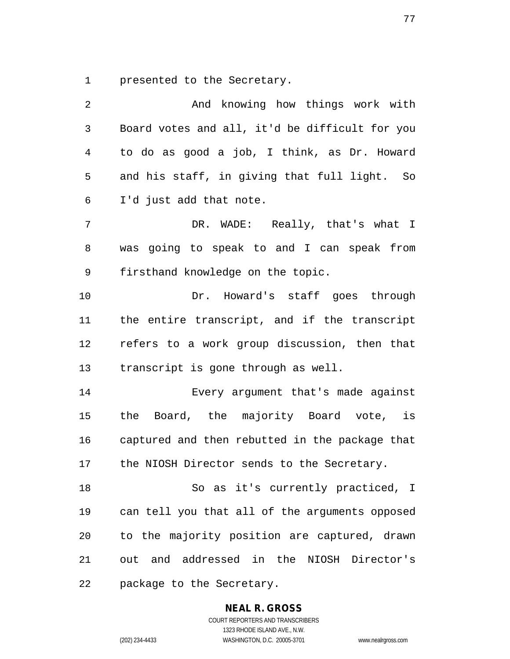presented to the Secretary.

| 2              | And knowing how things work with               |
|----------------|------------------------------------------------|
| $\mathfrak{Z}$ | Board votes and all, it'd be difficult for you |
| $\overline{4}$ | to do as good a job, I think, as Dr. Howard    |
| 5              | and his staff, in giving that full light. So   |
| 6              | I'd just add that note.                        |
| 7              | DR. WADE: Really, that's what I                |
| 8              | was going to speak to and I can speak from     |
| 9              | firsthand knowledge on the topic.              |
| 10             | Dr. Howard's staff goes through                |
| 11             | the entire transcript, and if the transcript   |
| 12             | refers to a work group discussion, then that   |
| 13             | transcript is gone through as well.            |
| 14             | Every argument that's made against             |
| 15             | the Board, the majority Board vote, is         |
| 16             | captured and then rebutted in the package that |
| 17             | the NIOSH Director sends to the Secretary.     |
| 18             | So as it's currently practiced, I              |
| 19             | can tell you that all of the arguments opposed |
| 20             | to the majority position are captured, drawn   |
| 21             | out and addressed in the NIOSH Director's      |
| 22             | package to the Secretary.                      |

# **NEAL R. GROSS**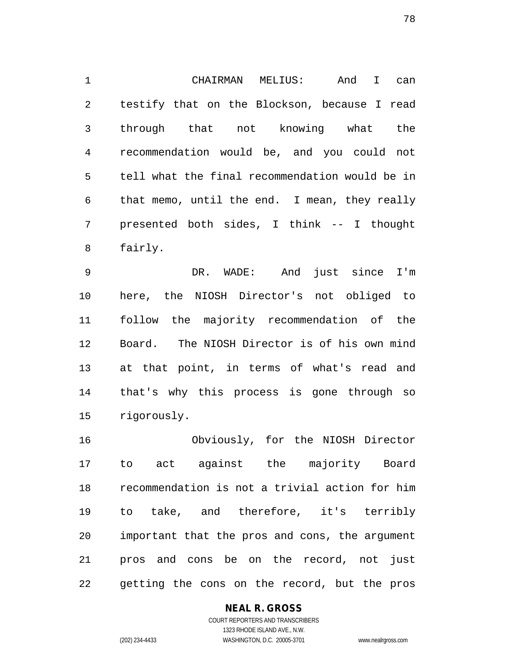CHAIRMAN MELIUS: And I can testify that on the Blockson, because I read through that not knowing what the recommendation would be, and you could not tell what the final recommendation would be in that memo, until the end. I mean, they really presented both sides, I think -- I thought fairly.

 DR. WADE: And just since I'm here, the NIOSH Director's not obliged to follow the majority recommendation of the Board. The NIOSH Director is of his own mind at that point, in terms of what's read and that's why this process is gone through so rigorously.

 Obviously, for the NIOSH Director to act against the majority Board recommendation is not a trivial action for him to take, and therefore, it's terribly important that the pros and cons, the argument pros and cons be on the record, not just getting the cons on the record, but the pros

**NEAL R. GROSS**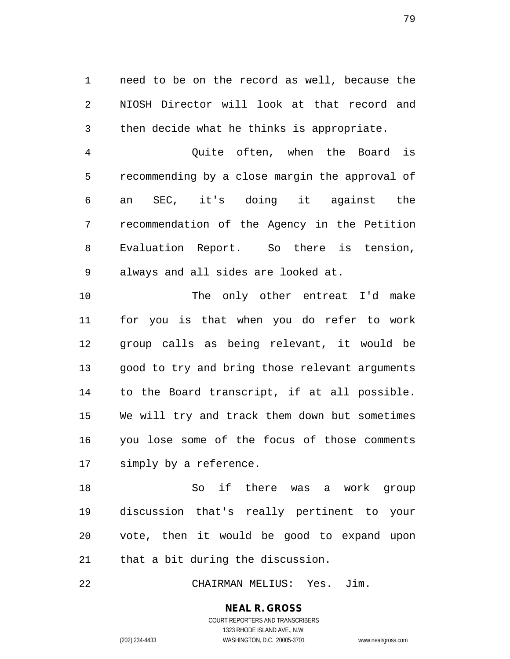need to be on the record as well, because the NIOSH Director will look at that record and then decide what he thinks is appropriate.

 Quite often, when the Board is recommending by a close margin the approval of an SEC, it's doing it against the recommendation of the Agency in the Petition Evaluation Report. So there is tension, always and all sides are looked at.

 The only other entreat I'd make for you is that when you do refer to work group calls as being relevant, it would be good to try and bring those relevant arguments to the Board transcript, if at all possible. We will try and track them down but sometimes you lose some of the focus of those comments simply by a reference.

 So if there was a work group discussion that's really pertinent to your vote, then it would be good to expand upon that a bit during the discussion.

CHAIRMAN MELIUS: Yes. Jim.

# **NEAL R. GROSS**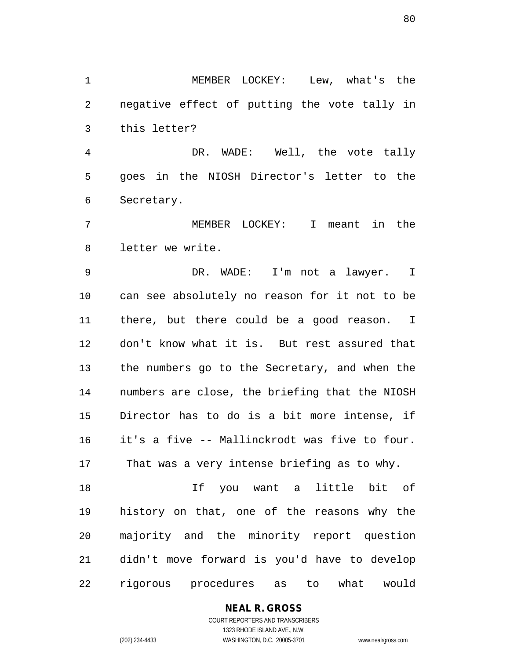MEMBER LOCKEY: Lew, what's the negative effect of putting the vote tally in this letter?

 DR. WADE: Well, the vote tally goes in the NIOSH Director's letter to the Secretary.

 MEMBER LOCKEY: I meant in the letter we write.

 DR. WADE: I'm not a lawyer. I can see absolutely no reason for it not to be there, but there could be a good reason. I don't know what it is. But rest assured that the numbers go to the Secretary, and when the numbers are close, the briefing that the NIOSH Director has to do is a bit more intense, if it's a five -- Mallinckrodt was five to four. That was a very intense briefing as to why.

 If you want a little bit of history on that, one of the reasons why the majority and the minority report question didn't move forward is you'd have to develop rigorous procedures as to what would

**NEAL R. GROSS**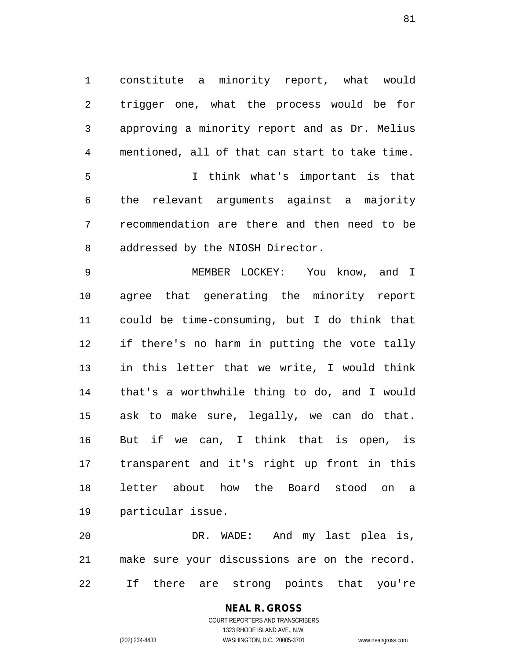constitute a minority report, what would trigger one, what the process would be for approving a minority report and as Dr. Melius mentioned, all of that can start to take time. I think what's important is that the relevant arguments against a majority recommendation are there and then need to be addressed by the NIOSH Director.

 MEMBER LOCKEY: You know, and I agree that generating the minority report could be time-consuming, but I do think that if there's no harm in putting the vote tally in this letter that we write, I would think that's a worthwhile thing to do, and I would ask to make sure, legally, we can do that. But if we can, I think that is open, is transparent and it's right up front in this letter about how the Board stood on a particular issue.

 DR. WADE: And my last plea is, make sure your discussions are on the record. If there are strong points that you're

# **NEAL R. GROSS**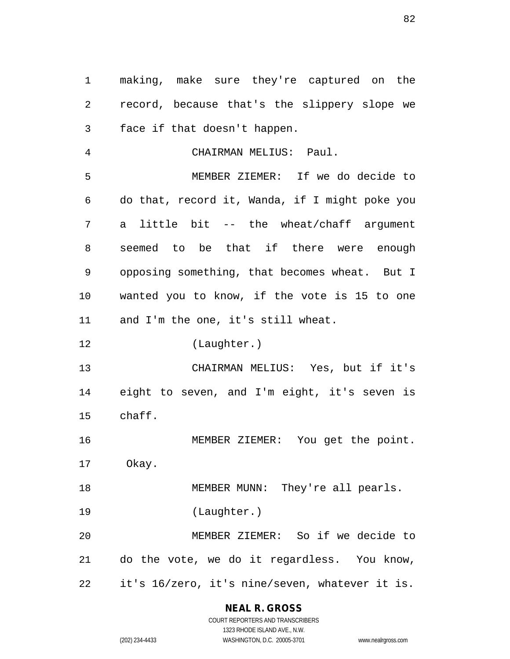making, make sure they're captured on the record, because that's the slippery slope we face if that doesn't happen.

 CHAIRMAN MELIUS: Paul. MEMBER ZIEMER: If we do decide to do that, record it, Wanda, if I might poke you a little bit -- the wheat/chaff argument seemed to be that if there were enough opposing something, that becomes wheat. But I wanted you to know, if the vote is 15 to one and I'm the one, it's still wheat.

(Laughter.)

 CHAIRMAN MELIUS: Yes, but if it's eight to seven, and I'm eight, it's seven is chaff.

MEMBER ZIEMER: You get the point.

Okay.

18 MEMBER MUNN: They're all pearls.

(Laughter.)

 MEMBER ZIEMER: So if we decide to do the vote, we do it regardless. You know, it's 16/zero, it's nine/seven, whatever it is.

> **NEAL R. GROSS** COURT REPORTERS AND TRANSCRIBERS

1323 RHODE ISLAND AVE., N.W. (202) 234-4433 WASHINGTON, D.C. 20005-3701 www.nealrgross.com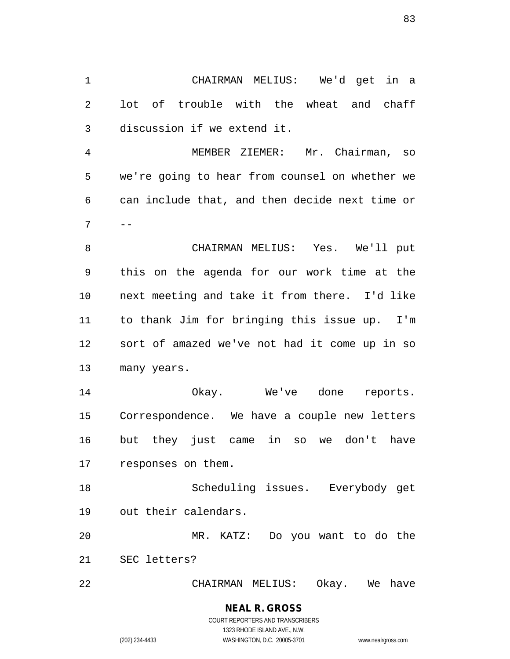CHAIRMAN MELIUS: We'd get in a lot of trouble with the wheat and chaff discussion if we extend it.

 MEMBER ZIEMER: Mr. Chairman, so we're going to hear from counsel on whether we can include that, and then decide next time or  $7 \quad -$ 

 CHAIRMAN MELIUS: Yes. We'll put this on the agenda for our work time at the next meeting and take it from there. I'd like to thank Jim for bringing this issue up. I'm sort of amazed we've not had it come up in so many years.

 Okay. We've done reports. Correspondence. We have a couple new letters but they just came in so we don't have responses on them.

 Scheduling issues. Everybody get out their calendars.

 MR. KATZ: Do you want to do the SEC letters?

CHAIRMAN MELIUS: Okay. We have

# **NEAL R. GROSS** COURT REPORTERS AND TRANSCRIBERS 1323 RHODE ISLAND AVE., N.W.

(202) 234-4433 WASHINGTON, D.C. 20005-3701 www.nealrgross.com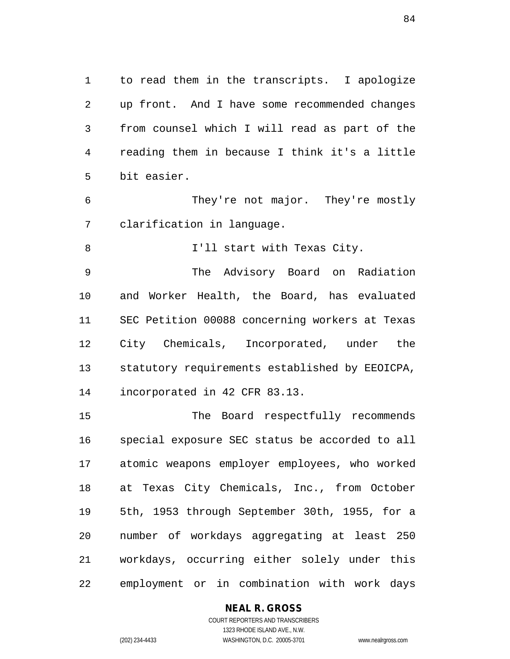to read them in the transcripts. I apologize up front. And I have some recommended changes from counsel which I will read as part of the reading them in because I think it's a little bit easier.

 They're not major. They're mostly clarification in language.

I'll start with Texas City.

 The Advisory Board on Radiation and Worker Health, the Board, has evaluated SEC Petition 00088 concerning workers at Texas City Chemicals, Incorporated, under the statutory requirements established by EEOICPA, incorporated in 42 CFR 83.13.

 The Board respectfully recommends special exposure SEC status be accorded to all atomic weapons employer employees, who worked at Texas City Chemicals, Inc., from October 5th, 1953 through September 30th, 1955, for a number of workdays aggregating at least 250 workdays, occurring either solely under this employment or in combination with work days

# **NEAL R. GROSS**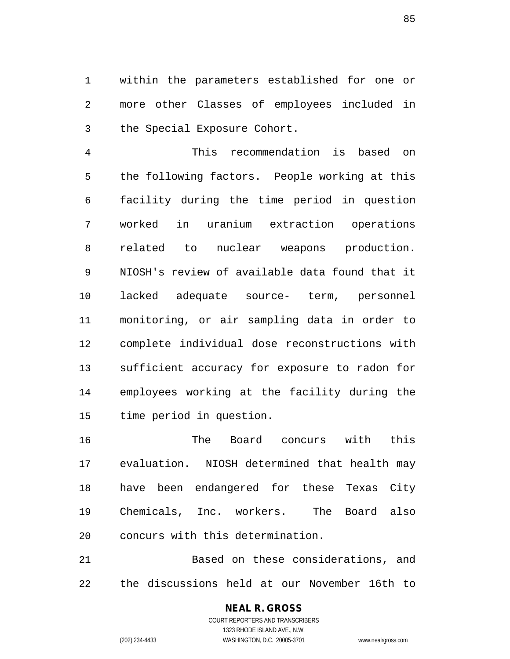within the parameters established for one or more other Classes of employees included in the Special Exposure Cohort.

 This recommendation is based on the following factors. People working at this facility during the time period in question worked in uranium extraction operations related to nuclear weapons production. NIOSH's review of available data found that it lacked adequate source- term, personnel monitoring, or air sampling data in order to complete individual dose reconstructions with sufficient accuracy for exposure to radon for employees working at the facility during the time period in question.

 The Board concurs with this evaluation. NIOSH determined that health may have been endangered for these Texas City Chemicals, Inc. workers. The Board also concurs with this determination.

 Based on these considerations, and the discussions held at our November 16th to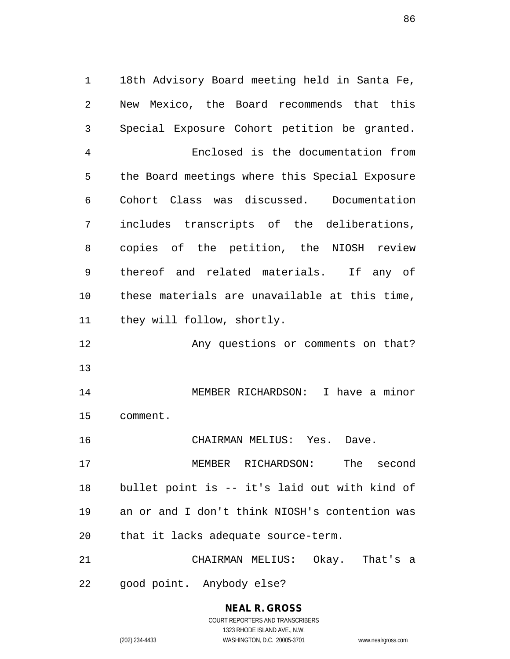18th Advisory Board meeting held in Santa Fe, New Mexico, the Board recommends that this Special Exposure Cohort petition be granted. Enclosed is the documentation from the Board meetings where this Special Exposure Cohort Class was discussed. Documentation includes transcripts of the deliberations, copies of the petition, the NIOSH review thereof and related materials. If any of these materials are unavailable at this time, they will follow, shortly. Any questions or comments on that? MEMBER RICHARDSON: I have a minor comment. CHAIRMAN MELIUS: Yes. Dave. MEMBER RICHARDSON: The second bullet point is -- it's laid out with kind of an or and I don't think NIOSH's contention was that it lacks adequate source-term. CHAIRMAN MELIUS: Okay. That's a good point. Anybody else?

> **NEAL R. GROSS** COURT REPORTERS AND TRANSCRIBERS 1323 RHODE ISLAND AVE., N.W. (202) 234-4433 WASHINGTON, D.C. 20005-3701 www.nealrgross.com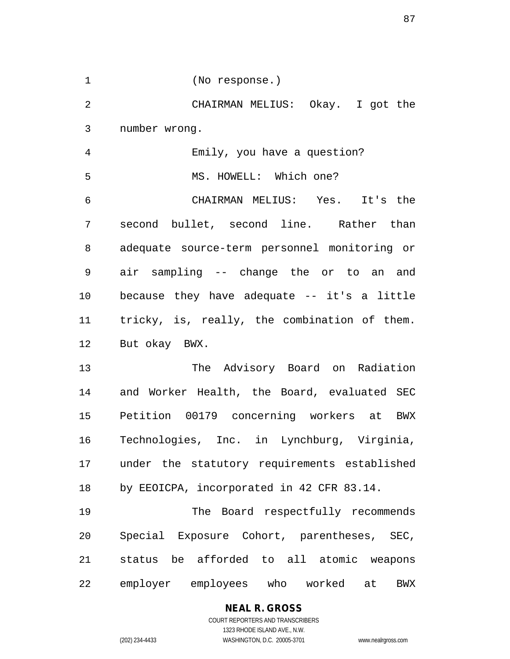(No response.) CHAIRMAN MELIUS: Okay. I got the number wrong. Emily, you have a question? 5 MS. HOWELL: Which one? CHAIRMAN MELIUS: Yes. It's the second bullet, second line. Rather than adequate source-term personnel monitoring or air sampling -- change the or to an and because they have adequate -- it's a little tricky, is, really, the combination of them. But okay BWX. The Advisory Board on Radiation and Worker Health, the Board, evaluated SEC Petition 00179 concerning workers at BWX Technologies, Inc. in Lynchburg, Virginia, under the statutory requirements established by EEOICPA, incorporated in 42 CFR 83.14. The Board respectfully recommends Special Exposure Cohort, parentheses, SEC, status be afforded to all atomic weapons employer employees who worked at BWX

#### **NEAL R. GROSS** COURT REPORTERS AND TRANSCRIBERS

1323 RHODE ISLAND AVE., N.W.

(202) 234-4433 WASHINGTON, D.C. 20005-3701 www.nealrgross.com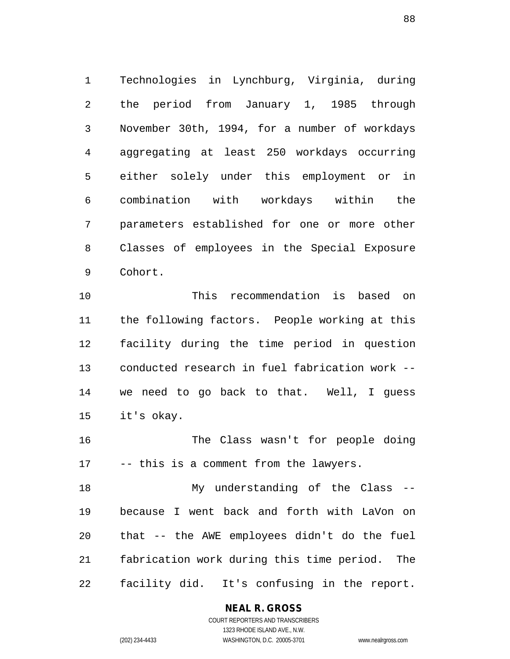Technologies in Lynchburg, Virginia, during the period from January 1, 1985 through November 30th, 1994, for a number of workdays aggregating at least 250 workdays occurring either solely under this employment or in combination with workdays within the parameters established for one or more other Classes of employees in the Special Exposure Cohort.

 This recommendation is based on the following factors. People working at this facility during the time period in question conducted research in fuel fabrication work -- we need to go back to that. Well, I guess it's okay.

 The Class wasn't for people doing -- this is a comment from the lawyers.

 My understanding of the Class -- because I went back and forth with LaVon on that -- the AWE employees didn't do the fuel fabrication work during this time period. The facility did. It's confusing in the report.

#### **NEAL R. GROSS**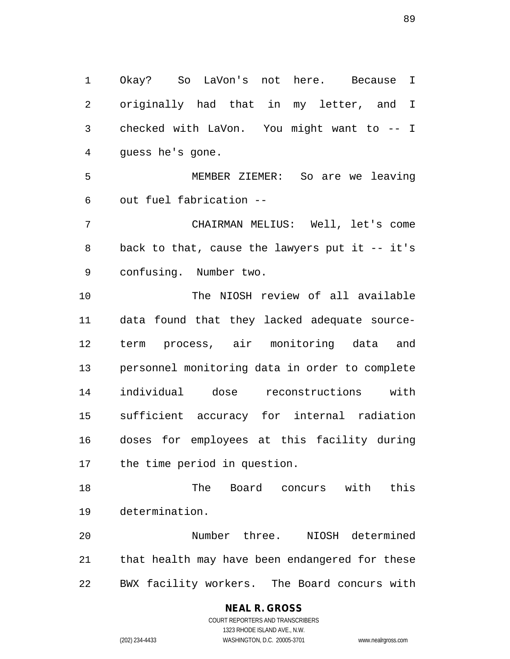Okay? So LaVon's not here. Because I originally had that in my letter, and I checked with LaVon. You might want to -- I guess he's gone. MEMBER ZIEMER: So are we leaving out fuel fabrication -- CHAIRMAN MELIUS: Well, let's come back to that, cause the lawyers put it -- it's confusing. Number two. The NIOSH review of all available data found that they lacked adequate source- term process, air monitoring data and personnel monitoring data in order to complete individual dose reconstructions with sufficient accuracy for internal radiation doses for employees at this facility during the time period in question. The Board concurs with this determination. Number three. NIOSH determined that health may have been endangered for these

BWX facility workers. The Board concurs with

### **NEAL R. GROSS** COURT REPORTERS AND TRANSCRIBERS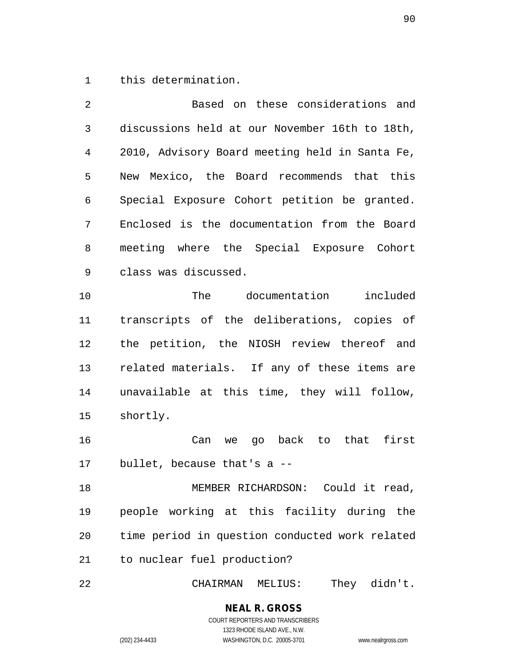this determination.

 Based on these considerations and discussions held at our November 16th to 18th, 2010, Advisory Board meeting held in Santa Fe, New Mexico, the Board recommends that this Special Exposure Cohort petition be granted. Enclosed is the documentation from the Board meeting where the Special Exposure Cohort class was discussed. The documentation included transcripts of the deliberations, copies of the petition, the NIOSH review thereof and related materials. If any of these items are unavailable at this time, they will follow, shortly. Can we go back to that first bullet, because that's a -- 18 MEMBER RICHARDSON: Could it read, people working at this facility during the time period in question conducted work related

to nuclear fuel production?

CHAIRMAN MELIUS: They didn't.

# **NEAL R. GROSS** COURT REPORTERS AND TRANSCRIBERS

1323 RHODE ISLAND AVE., N.W. (202) 234-4433 WASHINGTON, D.C. 20005-3701 www.nealrgross.com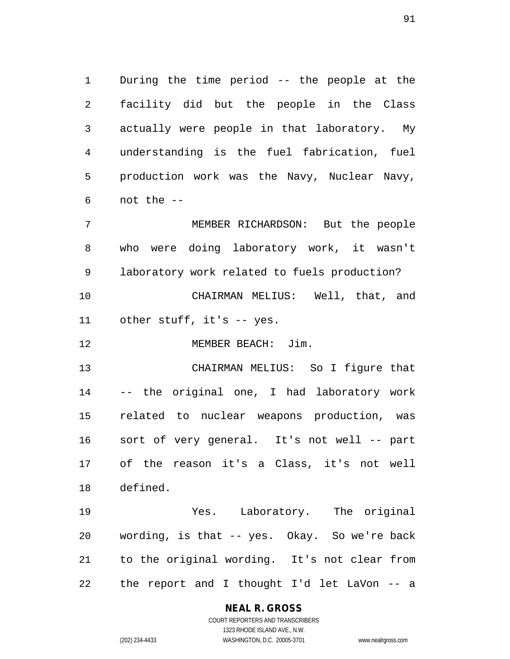During the time period -- the people at the facility did but the people in the Class actually were people in that laboratory. My understanding is the fuel fabrication, fuel production work was the Navy, Nuclear Navy, not the --

 MEMBER RICHARDSON: But the people who were doing laboratory work, it wasn't laboratory work related to fuels production? CHAIRMAN MELIUS: Well, that, and other stuff, it's -- yes.

12 MEMBER BEACH: Jim.

 CHAIRMAN MELIUS: So I figure that -- the original one, I had laboratory work related to nuclear weapons production, was sort of very general. It's not well -- part of the reason it's a Class, it's not well defined.

 Yes. Laboratory. The original wording, is that -- yes. Okay. So we're back to the original wording. It's not clear from the report and I thought I'd let LaVon -- a

# **NEAL R. GROSS**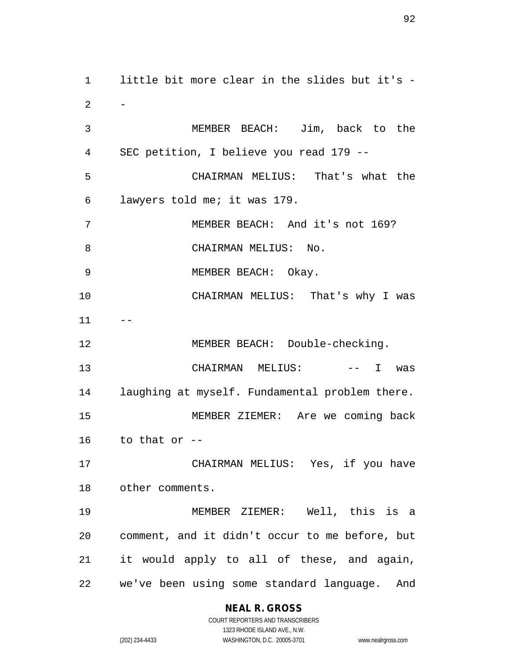little bit more clear in the slides but it's -  $-$  MEMBER BEACH: Jim, back to the SEC petition, I believe you read 179 -- CHAIRMAN MELIUS: That's what the lawyers told me; it was 179. MEMBER BEACH: And it's not 169? 8 CHAIRMAN MELIUS: No. MEMBER BEACH: Okay. CHAIRMAN MELIUS: That's why I was 12 MEMBER BEACH: Double-checking. 13 CHAIRMAN MELIUS: -- I was laughing at myself. Fundamental problem there. MEMBER ZIEMER: Are we coming back to that or -- CHAIRMAN MELIUS: Yes, if you have other comments. MEMBER ZIEMER: Well, this is a comment, and it didn't occur to me before, but it would apply to all of these, and again, we've been using some standard language. And

# **NEAL R. GROSS**

COURT REPORTERS AND TRANSCRIBERS 1323 RHODE ISLAND AVE., N.W. (202) 234-4433 WASHINGTON, D.C. 20005-3701 www.nealrgross.com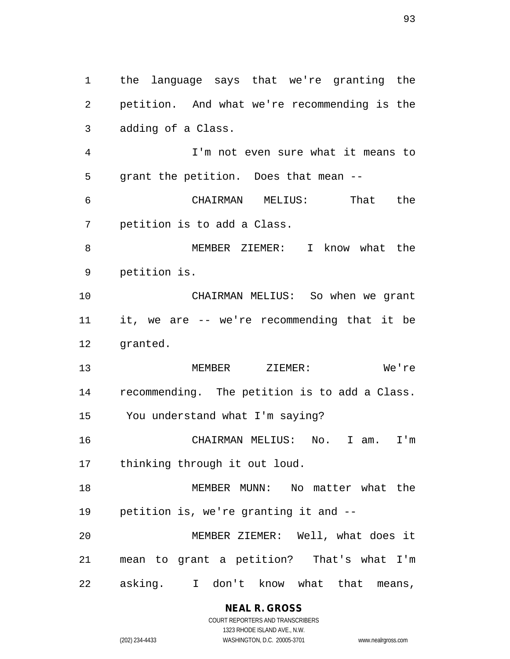the language says that we're granting the petition. And what we're recommending is the adding of a Class. I'm not even sure what it means to grant the petition. Does that mean -- CHAIRMAN MELIUS: That the petition is to add a Class. MEMBER ZIEMER: I know what the petition is. CHAIRMAN MELIUS: So when we grant it, we are -- we're recommending that it be granted. MEMBER ZIEMER: We're recommending. The petition is to add a Class. You understand what I'm saying? CHAIRMAN MELIUS: No. I am. I'm thinking through it out loud. MEMBER MUNN: No matter what the petition is, we're granting it and -- MEMBER ZIEMER: Well, what does it mean to grant a petition? That's what I'm asking. I don't know what that means,

> **NEAL R. GROSS** COURT REPORTERS AND TRANSCRIBERS

1323 RHODE ISLAND AVE., N.W. (202) 234-4433 WASHINGTON, D.C. 20005-3701 www.nealrgross.com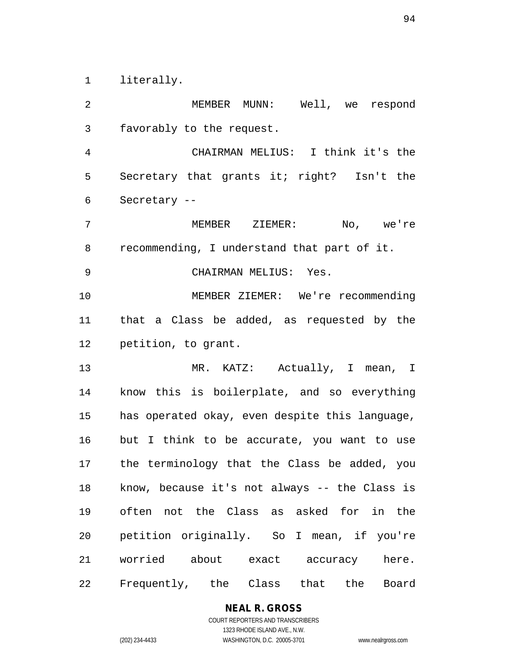literally.

 MEMBER MUNN: Well, we respond favorably to the request. CHAIRMAN MELIUS: I think it's the Secretary that grants it; right? Isn't the Secretary -- MEMBER ZIEMER: No, we're recommending, I understand that part of it. CHAIRMAN MELIUS: Yes. MEMBER ZIEMER: We're recommending that a Class be added, as requested by the petition, to grant. MR. KATZ: Actually, I mean, I know this is boilerplate, and so everything has operated okay, even despite this language, but I think to be accurate, you want to use the terminology that the Class be added, you know, because it's not always -- the Class is often not the Class as asked for in the petition originally. So I mean, if you're worried about exact accuracy here. Frequently, the Class that the Board

> **NEAL R. GROSS** COURT REPORTERS AND TRANSCRIBERS 1323 RHODE ISLAND AVE., N.W.

(202) 234-4433 WASHINGTON, D.C. 20005-3701 www.nealrgross.com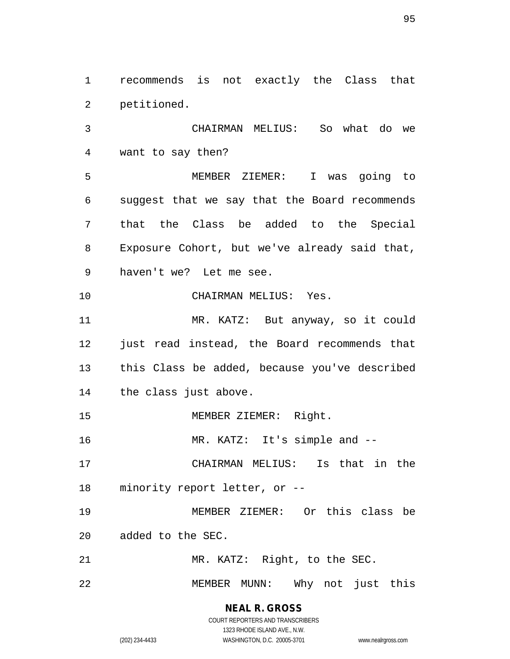recommends is not exactly the Class that petitioned.

 CHAIRMAN MELIUS: So what do we want to say then?

 MEMBER ZIEMER: I was going to suggest that we say that the Board recommends that the Class be added to the Special Exposure Cohort, but we've already said that, haven't we? Let me see.

CHAIRMAN MELIUS: Yes.

 MR. KATZ: But anyway, so it could just read instead, the Board recommends that this Class be added, because you've described the class just above.

15 MEMBER ZIEMER: Right.

16 MR. KATZ: It's simple and --

 CHAIRMAN MELIUS: Is that in the minority report letter, or --

 MEMBER ZIEMER: Or this class be added to the SEC.

MR. KATZ: Right, to the SEC.

MEMBER MUNN: Why not just this

# **NEAL R. GROSS**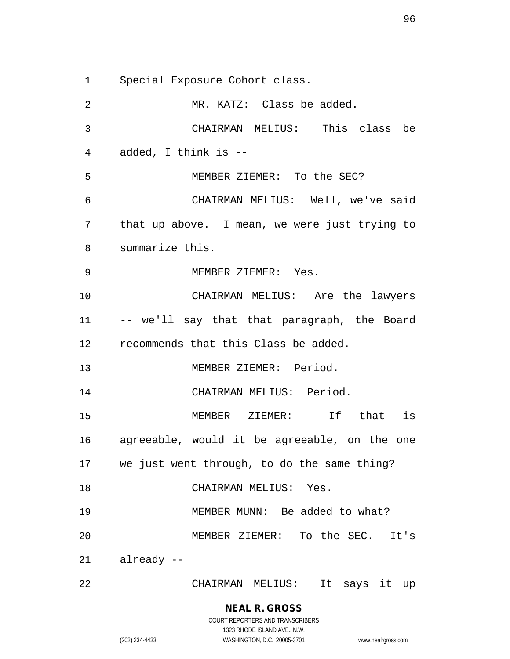Special Exposure Cohort class.

 MR. KATZ: Class be added. CHAIRMAN MELIUS: This class be added, I think is -- MEMBER ZIEMER: To the SEC? CHAIRMAN MELIUS: Well, we've said that up above. I mean, we were just trying to summarize this. MEMBER ZIEMER: Yes. CHAIRMAN MELIUS: Are the lawyers -- we'll say that that paragraph, the Board recommends that this Class be added. MEMBER ZIEMER: Period. CHAIRMAN MELIUS: Period. MEMBER ZIEMER: If that is agreeable, would it be agreeable, on the one we just went through, to do the same thing? CHAIRMAN MELIUS: Yes. MEMBER MUNN: Be added to what? MEMBER ZIEMER: To the SEC. It's already -- CHAIRMAN MELIUS: It says it up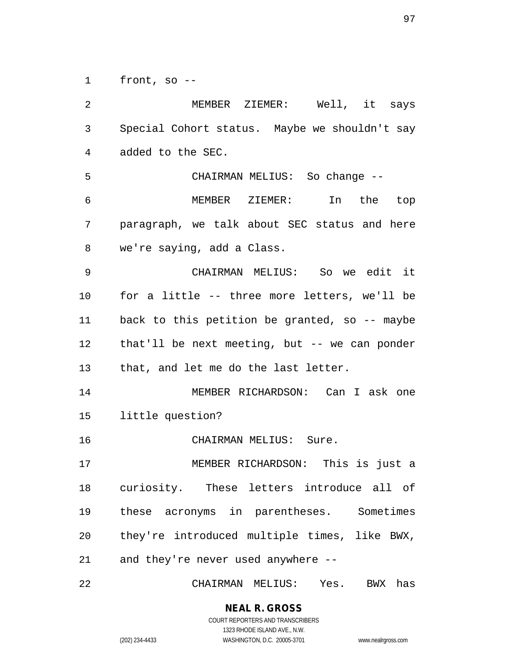front, so --

 MEMBER ZIEMER: Well, it says Special Cohort status. Maybe we shouldn't say added to the SEC. CHAIRMAN MELIUS: So change -- MEMBER ZIEMER: In the top paragraph, we talk about SEC status and here we're saying, add a Class. CHAIRMAN MELIUS: So we edit it for a little -- three more letters, we'll be back to this petition be granted, so -- maybe that'll be next meeting, but -- we can ponder that, and let me do the last letter. MEMBER RICHARDSON: Can I ask one little question? CHAIRMAN MELIUS: Sure. MEMBER RICHARDSON: This is just a curiosity. These letters introduce all of these acronyms in parentheses. Sometimes they're introduced multiple times, like BWX, and they're never used anywhere --

CHAIRMAN MELIUS: Yes. BWX has

**NEAL R. GROSS** COURT REPORTERS AND TRANSCRIBERS

1323 RHODE ISLAND AVE., N.W. (202) 234-4433 WASHINGTON, D.C. 20005-3701 www.nealrgross.com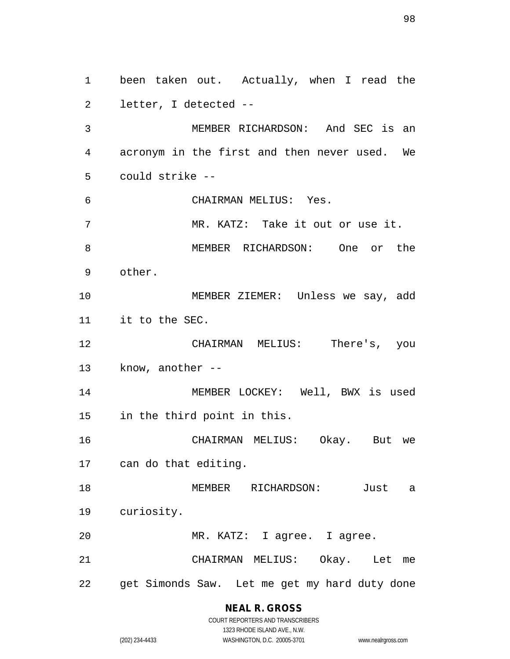been taken out. Actually, when I read the letter, I detected -- MEMBER RICHARDSON: And SEC is an acronym in the first and then never used. We could strike -- CHAIRMAN MELIUS: Yes. MR. KATZ: Take it out or use it. MEMBER RICHARDSON: One or the other. MEMBER ZIEMER: Unless we say, add it to the SEC. CHAIRMAN MELIUS: There's, you know, another -- MEMBER LOCKEY: Well, BWX is used in the third point in this. CHAIRMAN MELIUS: Okay. But we can do that editing. MEMBER RICHARDSON: Just a curiosity. MR. KATZ: I agree. I agree. CHAIRMAN MELIUS: Okay. Let me get Simonds Saw. Let me get my hard duty done

> **NEAL R. GROSS** COURT REPORTERS AND TRANSCRIBERS

1323 RHODE ISLAND AVE., N.W. (202) 234-4433 WASHINGTON, D.C. 20005-3701 www.nealrgross.com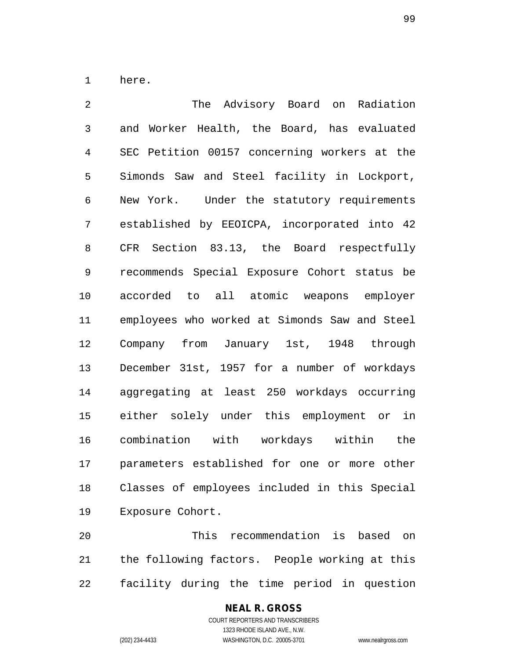here.

 The Advisory Board on Radiation and Worker Health, the Board, has evaluated SEC Petition 00157 concerning workers at the Simonds Saw and Steel facility in Lockport, New York. Under the statutory requirements established by EEOICPA, incorporated into 42 CFR Section 83.13, the Board respectfully recommends Special Exposure Cohort status be accorded to all atomic weapons employer employees who worked at Simonds Saw and Steel Company from January 1st, 1948 through December 31st, 1957 for a number of workdays aggregating at least 250 workdays occurring either solely under this employment or in combination with workdays within the parameters established for one or more other Classes of employees included in this Special Exposure Cohort.

 This recommendation is based on the following factors. People working at this facility during the time period in question

# **NEAL R. GROSS**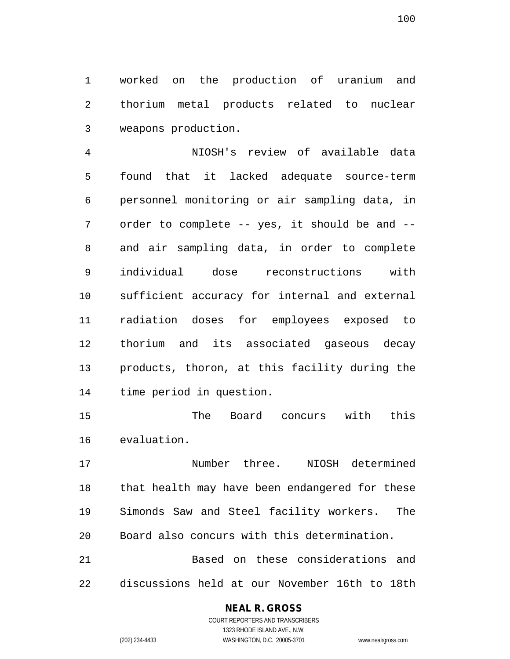worked on the production of uranium and thorium metal products related to nuclear weapons production.

 NIOSH's review of available data found that it lacked adequate source-term personnel monitoring or air sampling data, in order to complete -- yes, it should be and -- and air sampling data, in order to complete individual dose reconstructions with sufficient accuracy for internal and external radiation doses for employees exposed to thorium and its associated gaseous decay products, thoron, at this facility during the time period in question.

 The Board concurs with this evaluation.

 Number three. NIOSH determined that health may have been endangered for these Simonds Saw and Steel facility workers. The Board also concurs with this determination.

 Based on these considerations and discussions held at our November 16th to 18th

# **NEAL R. GROSS**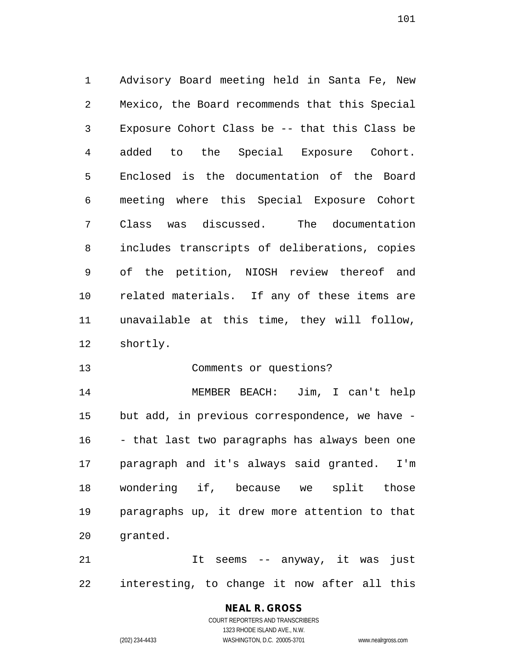Advisory Board meeting held in Santa Fe, New Mexico, the Board recommends that this Special Exposure Cohort Class be -- that this Class be added to the Special Exposure Cohort. Enclosed is the documentation of the Board meeting where this Special Exposure Cohort Class was discussed. The documentation includes transcripts of deliberations, copies of the petition, NIOSH review thereof and related materials. If any of these items are unavailable at this time, they will follow, shortly.

Comments or questions?

 MEMBER BEACH: Jim, I can't help but add, in previous correspondence, we have - - that last two paragraphs has always been one paragraph and it's always said granted. I'm wondering if, because we split those paragraphs up, it drew more attention to that granted.

 It seems -- anyway, it was just interesting, to change it now after all this

# **NEAL R. GROSS** COURT REPORTERS AND TRANSCRIBERS

1323 RHODE ISLAND AVE., N.W.

(202) 234-4433 WASHINGTON, D.C. 20005-3701 www.nealrgross.com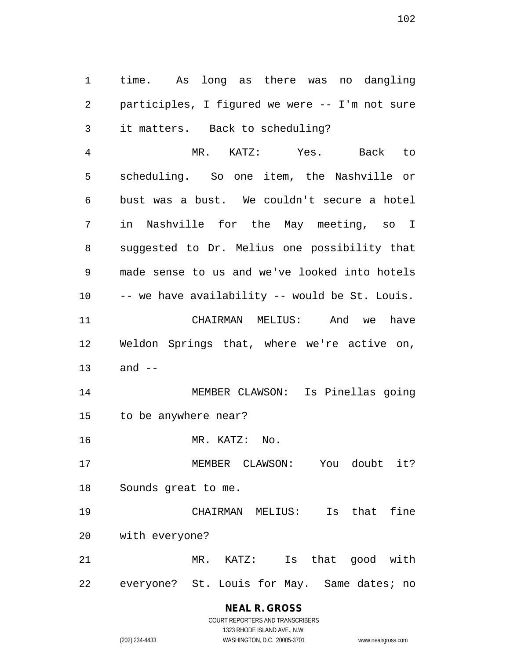time. As long as there was no dangling participles, I figured we were -- I'm not sure it matters. Back to scheduling?

 MR. KATZ: Yes. Back to scheduling. So one item, the Nashville or bust was a bust. We couldn't secure a hotel in Nashville for the May meeting, so I suggested to Dr. Melius one possibility that made sense to us and we've looked into hotels -- we have availability -- would be St. Louis. CHAIRMAN MELIUS: And we have Weldon Springs that, where we're active on, and -- MEMBER CLAWSON: Is Pinellas going to be anywhere near? MR. KATZ: No. MEMBER CLAWSON: You doubt it? Sounds great to me. CHAIRMAN MELIUS: Is that fine with everyone? MR. KATZ: Is that good with

everyone? St. Louis for May. Same dates; no

# **NEAL R. GROSS**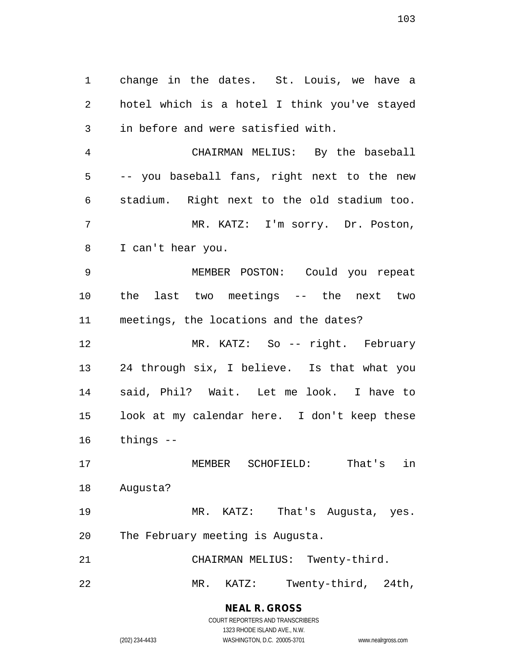change in the dates. St. Louis, we have a hotel which is a hotel I think you've stayed in before and were satisfied with.

 CHAIRMAN MELIUS: By the baseball -- you baseball fans, right next to the new stadium. Right next to the old stadium too. MR. KATZ: I'm sorry. Dr. Poston, I can't hear you.

 MEMBER POSTON: Could you repeat the last two meetings -- the next two meetings, the locations and the dates?

 MR. KATZ: So -- right. February 24 through six, I believe. Is that what you said, Phil? Wait. Let me look. I have to look at my calendar here. I don't keep these things --

 MEMBER SCHOFIELD: That's in Augusta?

 MR. KATZ: That's Augusta, yes. The February meeting is Augusta.

CHAIRMAN MELIUS: Twenty-third.

MR. KATZ: Twenty-third, 24th,

**NEAL R. GROSS** COURT REPORTERS AND TRANSCRIBERS 1323 RHODE ISLAND AVE., N.W.

(202) 234-4433 WASHINGTON, D.C. 20005-3701 www.nealrgross.com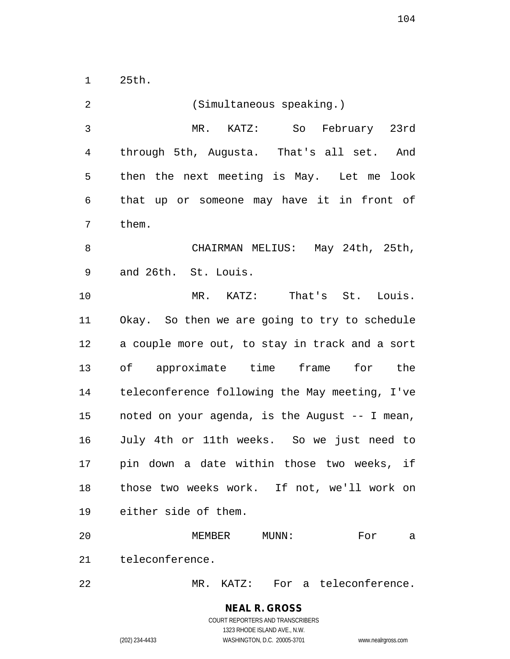25th.

| 2              | (Simultaneous speaking.)                       |
|----------------|------------------------------------------------|
| $\mathfrak{Z}$ | MR. KATZ: So February 23rd                     |
| 4              | through 5th, Augusta. That's all set. And      |
| 5              | then the next meeting is May. Let me look      |
| 6              | that up or someone may have it in front of     |
| 7              | them.                                          |
| 8              | CHAIRMAN MELIUS: May 24th, 25th,               |
| 9              | and 26th. St. Louis.                           |
| 10             | MR. KATZ: That's St. Louis.                    |
| 11             | Okay. So then we are going to try to schedule  |
| 12             | a couple more out, to stay in track and a sort |
| 13             | of approximate time frame for the              |
| 14             | teleconference following the May meeting, I've |
| 15             | noted on your agenda, is the August -- I mean, |
| 16             | July 4th or 11th weeks. So we just need to     |
| 17             | pin down a date within those two weeks, if     |
| 18             | those two weeks work. If not, we'll work on    |
| 19             | either side of them.                           |
| 20             | MEMBER<br>MUNN:<br>For<br>а                    |
| 21             | teleconference.                                |
| 22             | MR. KATZ: For a teleconference.                |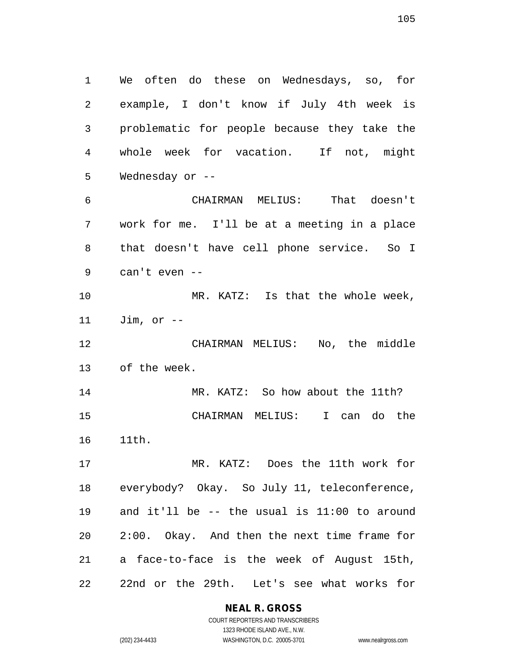We often do these on Wednesdays, so, for example, I don't know if July 4th week is problematic for people because they take the whole week for vacation. If not, might Wednesday or --

 CHAIRMAN MELIUS: That doesn't work for me. I'll be at a meeting in a place that doesn't have cell phone service. So I can't even --

10 MR. KATZ: Is that the whole week, Jim, or --

 CHAIRMAN MELIUS: No, the middle of the week.

 MR. KATZ: So how about the 11th? CHAIRMAN MELIUS: I can do the 11th.

 MR. KATZ: Does the 11th work for everybody? Okay. So July 11, teleconference, and it'll be -- the usual is 11:00 to around 2:00. Okay. And then the next time frame for a face-to-face is the week of August 15th, 22nd or the 29th. Let's see what works for

**NEAL R. GROSS**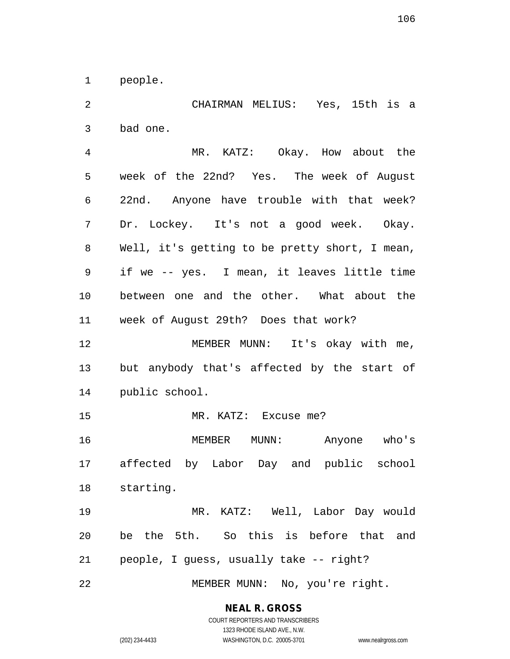people.

 CHAIRMAN MELIUS: Yes, 15th is a bad one. MR. KATZ: Okay. How about the week of the 22nd? Yes. The week of August 22nd. Anyone have trouble with that week? Dr. Lockey. It's not a good week. Okay. Well, it's getting to be pretty short, I mean, if we -- yes. I mean, it leaves little time between one and the other. What about the week of August 29th? Does that work? MEMBER MUNN: It's okay with me, but anybody that's affected by the start of public school. MR. KATZ: Excuse me? MEMBER MUNN: Anyone who's affected by Labor Day and public school starting. MR. KATZ: Well, Labor Day would be the 5th. So this is before that and people, I guess, usually take -- right? MEMBER MUNN: No, you're right.

1323 RHODE ISLAND AVE., N.W.

(202) 234-4433 WASHINGTON, D.C. 20005-3701 www.nealrgross.com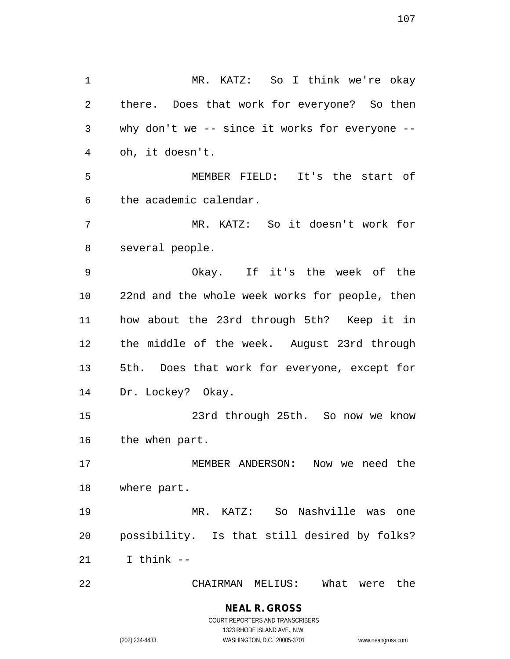MR. KATZ: So I think we're okay there. Does that work for everyone? So then why don't we -- since it works for everyone -- oh, it doesn't. MEMBER FIELD: It's the start of the academic calendar. MR. KATZ: So it doesn't work for several people. Okay. If it's the week of the 22nd and the whole week works for people, then how about the 23rd through 5th? Keep it in the middle of the week. August 23rd through 5th. Does that work for everyone, except for Dr. Lockey? Okay. 23rd through 25th. So now we know the when part. MEMBER ANDERSON: Now we need the where part. MR. KATZ: So Nashville was one possibility. Is that still desired by folks? I think -- CHAIRMAN MELIUS: What were the

COURT REPORTERS AND TRANSCRIBERS 1323 RHODE ISLAND AVE., N.W.

**NEAL R. GROSS**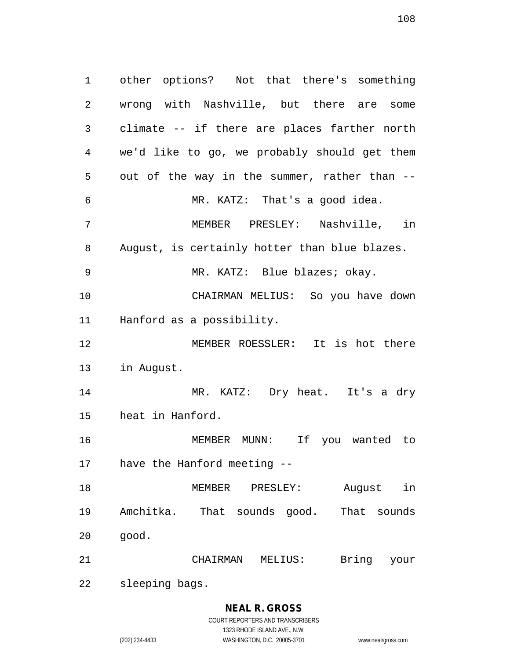other options? Not that there's something wrong with Nashville, but there are some climate -- if there are places farther north we'd like to go, we probably should get them out of the way in the summer, rather than -- MR. KATZ: That's a good idea. MEMBER PRESLEY: Nashville, in August, is certainly hotter than blue blazes. 9 MR. KATZ: Blue blazes; okay. CHAIRMAN MELIUS: So you have down Hanford as a possibility. MEMBER ROESSLER: It is hot there in August. MR. KATZ: Dry heat. It's a dry heat in Hanford. MEMBER MUNN: If you wanted to have the Hanford meeting -- MEMBER PRESLEY: August in Amchitka. That sounds good. That sounds good. CHAIRMAN MELIUS: Bring your

sleeping bags.

# **NEAL R. GROSS**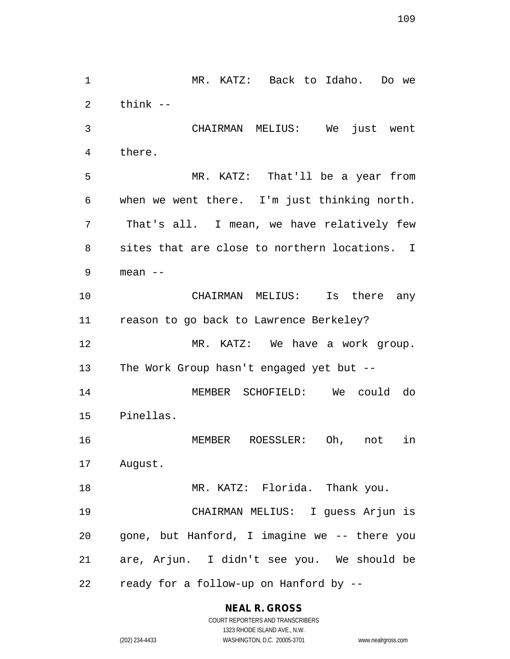MR. KATZ: Back to Idaho. Do we think -- CHAIRMAN MELIUS: We just went there. MR. KATZ: That'll be a year from when we went there. I'm just thinking north. That's all. I mean, we have relatively few sites that are close to northern locations. I mean -- CHAIRMAN MELIUS: Is there any reason to go back to Lawrence Berkeley? MR. KATZ: We have a work group. The Work Group hasn't engaged yet but -- MEMBER SCHOFIELD: We could do Pinellas. MEMBER ROESSLER: Oh, not in August. 18 MR. KATZ: Florida. Thank you. CHAIRMAN MELIUS: I guess Arjun is gone, but Hanford, I imagine we -- there you are, Arjun. I didn't see you. We should be ready for a follow-up on Hanford by --

> **NEAL R. GROSS** COURT REPORTERS AND TRANSCRIBERS

1323 RHODE ISLAND AVE., N.W. (202) 234-4433 WASHINGTON, D.C. 20005-3701 www.nealrgross.com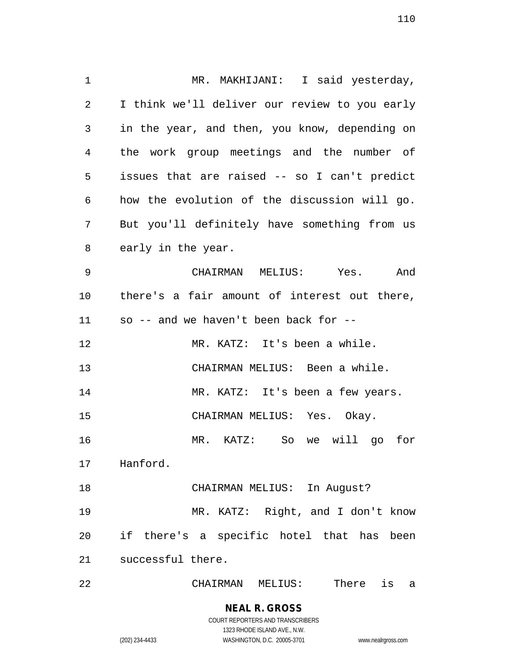1 MR. MAKHIJANI: I said yesterday, I think we'll deliver our review to you early in the year, and then, you know, depending on the work group meetings and the number of issues that are raised -- so I can't predict how the evolution of the discussion will go. But you'll definitely have something from us early in the year. CHAIRMAN MELIUS: Yes. And there's a fair amount of interest out there, so -- and we haven't been back for -- MR. KATZ: It's been a while. CHAIRMAN MELIUS: Been a while. 14 MR. KATZ: It's been a few years. CHAIRMAN MELIUS: Yes. Okay. MR. KATZ: So we will go for Hanford. CHAIRMAN MELIUS: In August? MR. KATZ: Right, and I don't know if there's a specific hotel that has been successful there. CHAIRMAN MELIUS: There is a

> **NEAL R. GROSS** COURT REPORTERS AND TRANSCRIBERS 1323 RHODE ISLAND AVE., N.W. (202) 234-4433 WASHINGTON, D.C. 20005-3701 www.nealrgross.com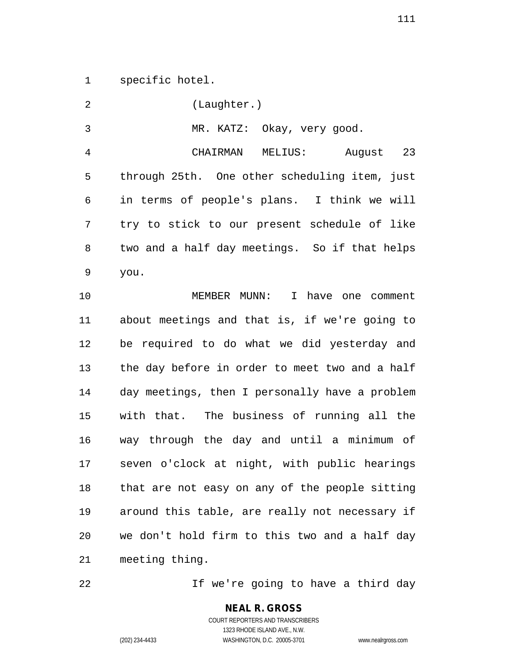specific hotel.

 (Laughter.) MR. KATZ: Okay, very good. CHAIRMAN MELIUS: August 23 through 25th. One other scheduling item, just in terms of people's plans. I think we will try to stick to our present schedule of like two and a half day meetings. So if that helps you. MEMBER MUNN: I have one comment about meetings and that is, if we're going to be required to do what we did yesterday and the day before in order to meet two and a half day meetings, then I personally have a problem with that. The business of running all the way through the day and until a minimum of seven o'clock at night, with public hearings that are not easy on any of the people sitting around this table, are really not necessary if we don't hold firm to this two and a half day meeting thing.

If we're going to have a third day

COURT REPORTERS AND TRANSCRIBERS 1323 RHODE ISLAND AVE., N.W. (202) 234-4433 WASHINGTON, D.C. 20005-3701 www.nealrgross.com

**NEAL R. GROSS**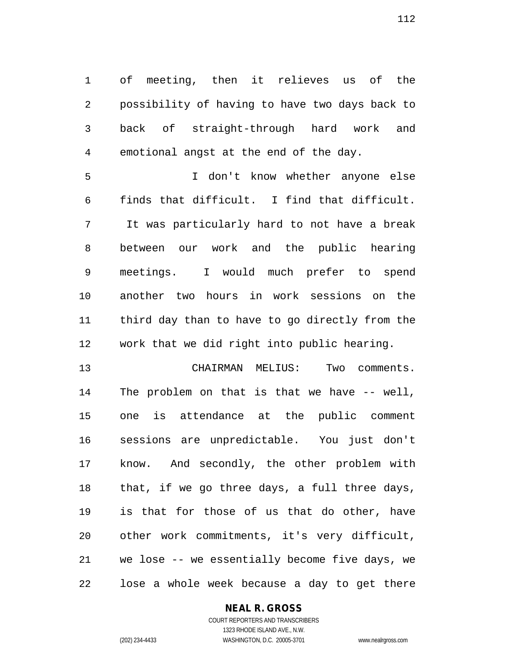of meeting, then it relieves us of the possibility of having to have two days back to back of straight-through hard work and emotional angst at the end of the day.

 I don't know whether anyone else finds that difficult. I find that difficult. It was particularly hard to not have a break between our work and the public hearing meetings. I would much prefer to spend another two hours in work sessions on the third day than to have to go directly from the work that we did right into public hearing.

 CHAIRMAN MELIUS: Two comments. The problem on that is that we have -- well, one is attendance at the public comment sessions are unpredictable. You just don't know. And secondly, the other problem with that, if we go three days, a full three days, is that for those of us that do other, have other work commitments, it's very difficult, we lose -- we essentially become five days, we lose a whole week because a day to get there

#### **NEAL R. GROSS** COURT REPORTERS AND TRANSCRIBERS

1323 RHODE ISLAND AVE., N.W. (202) 234-4433 WASHINGTON, D.C. 20005-3701 www.nealrgross.com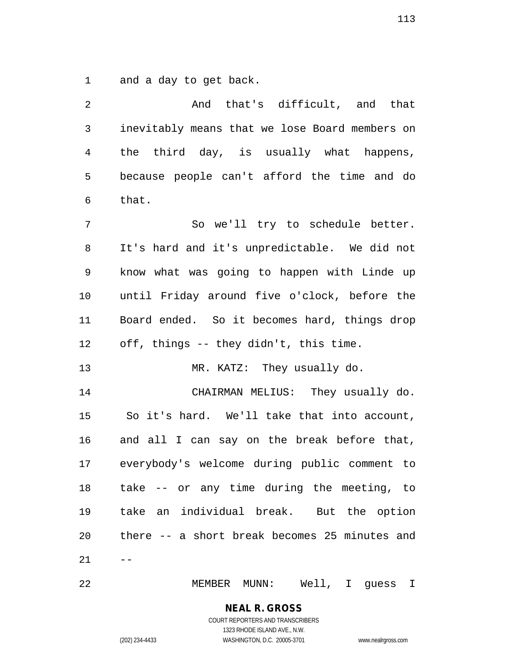and a day to get back.

| $\overline{2}$ | And that's difficult, and that                 |
|----------------|------------------------------------------------|
| 3              | inevitably means that we lose Board members on |
| 4              | the third day, is usually what happens,        |
| 5              | because people can't afford the time and do    |
| 6              | that.                                          |
| 7              | So we'll try to schedule better.               |
| 8              | It's hard and it's unpredictable. We did not   |
| 9              | know what was going to happen with Linde up    |
| 10             | until Friday around five o'clock, before the   |
| 11             | Board ended. So it becomes hard, things drop   |
| 12             | off, things -- they didn't, this time.         |
| 13             | MR. KATZ: They usually do.                     |
| 14             | CHAIRMAN MELIUS: They usually do.              |
| 15             | So it's hard. We'll take that into account,    |
| 16             | and all I can say on the break before that,    |
| 17             | everybody's welcome during public comment to   |
| 18             | take -- or any time during the meeting, to     |
| 19             | take an individual break. But the option       |
| 20             | there -- a short break becomes 25 minutes and  |
| 21             | $- -$                                          |
| 22             | MEMBER MUNN: Well, I guess I                   |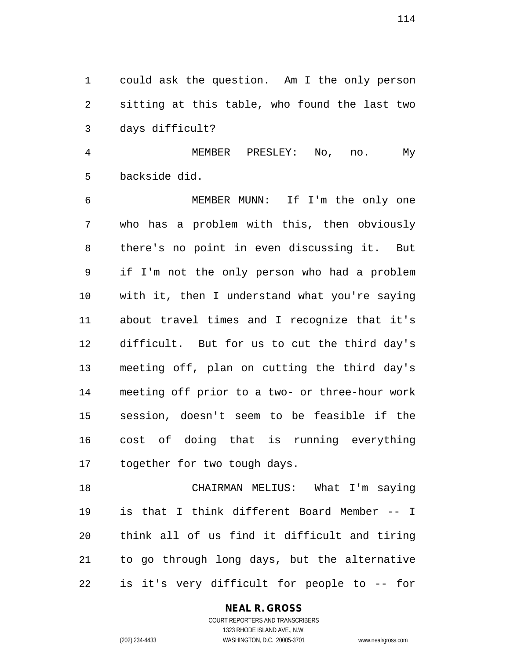could ask the question. Am I the only person sitting at this table, who found the last two days difficult?

 MEMBER PRESLEY: No, no. My backside did.

 MEMBER MUNN: If I'm the only one who has a problem with this, then obviously there's no point in even discussing it. But if I'm not the only person who had a problem with it, then I understand what you're saying about travel times and I recognize that it's difficult. But for us to cut the third day's meeting off, plan on cutting the third day's meeting off prior to a two- or three-hour work session, doesn't seem to be feasible if the cost of doing that is running everything together for two tough days.

 CHAIRMAN MELIUS: What I'm saying is that I think different Board Member -- I think all of us find it difficult and tiring to go through long days, but the alternative is it's very difficult for people to -- for

#### **NEAL R. GROSS**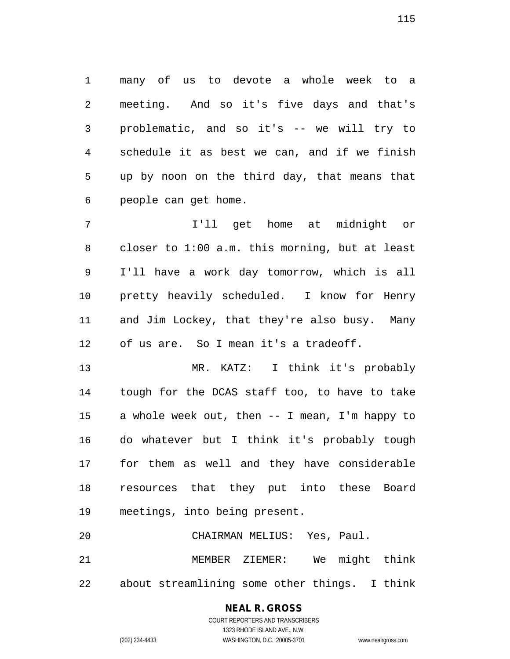many of us to devote a whole week to a meeting. And so it's five days and that's problematic, and so it's -- we will try to schedule it as best we can, and if we finish up by noon on the third day, that means that people can get home.

 I'll get home at midnight or closer to 1:00 a.m. this morning, but at least I'll have a work day tomorrow, which is all pretty heavily scheduled. I know for Henry and Jim Lockey, that they're also busy. Many of us are. So I mean it's a tradeoff.

 MR. KATZ: I think it's probably tough for the DCAS staff too, to have to take a whole week out, then -- I mean, I'm happy to do whatever but I think it's probably tough for them as well and they have considerable resources that they put into these Board meetings, into being present.

 CHAIRMAN MELIUS: Yes, Paul. MEMBER ZIEMER: We might think about streamlining some other things. I think

# **NEAL R. GROSS**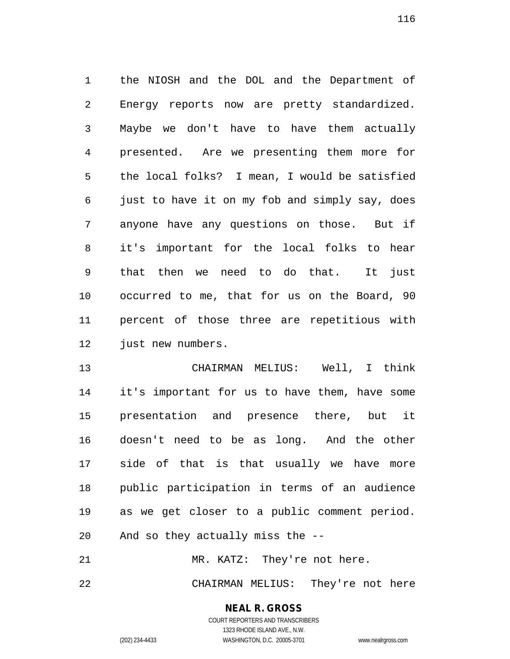the NIOSH and the DOL and the Department of Energy reports now are pretty standardized. Maybe we don't have to have them actually presented. Are we presenting them more for the local folks? I mean, I would be satisfied just to have it on my fob and simply say, does anyone have any questions on those. But if it's important for the local folks to hear that then we need to do that. It just occurred to me, that for us on the Board, 90 percent of those three are repetitious with 12 just new numbers.

 CHAIRMAN MELIUS: Well, I think it's important for us to have them, have some presentation and presence there, but it doesn't need to be as long. And the other side of that is that usually we have more public participation in terms of an audience as we get closer to a public comment period. And so they actually miss the --

21 MR. KATZ: They're not here.

CHAIRMAN MELIUS: They're not here

#### **NEAL R. GROSS**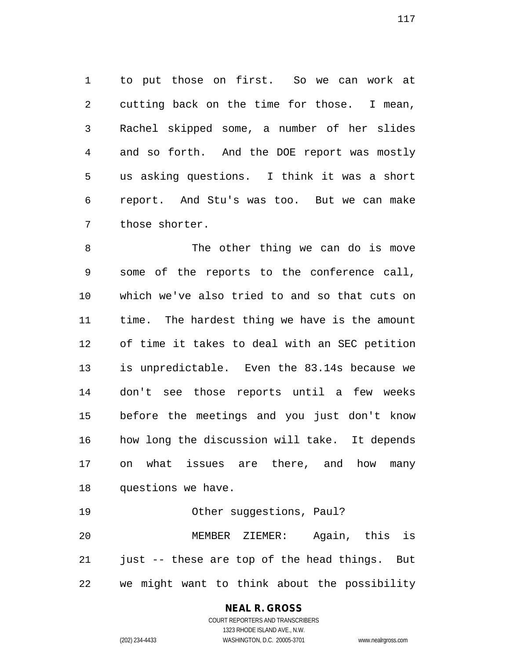to put those on first. So we can work at cutting back on the time for those. I mean, Rachel skipped some, a number of her slides and so forth. And the DOE report was mostly us asking questions. I think it was a short report. And Stu's was too. But we can make those shorter.

8 The other thing we can do is move some of the reports to the conference call, which we've also tried to and so that cuts on time. The hardest thing we have is the amount of time it takes to deal with an SEC petition is unpredictable. Even the 83.14s because we don't see those reports until a few weeks before the meetings and you just don't know how long the discussion will take. It depends on what issues are there, and how many questions we have.

Other suggestions, Paul?

 MEMBER ZIEMER: Again, this is 21 just -- these are top of the head things. But we might want to think about the possibility

## **NEAL R. GROSS**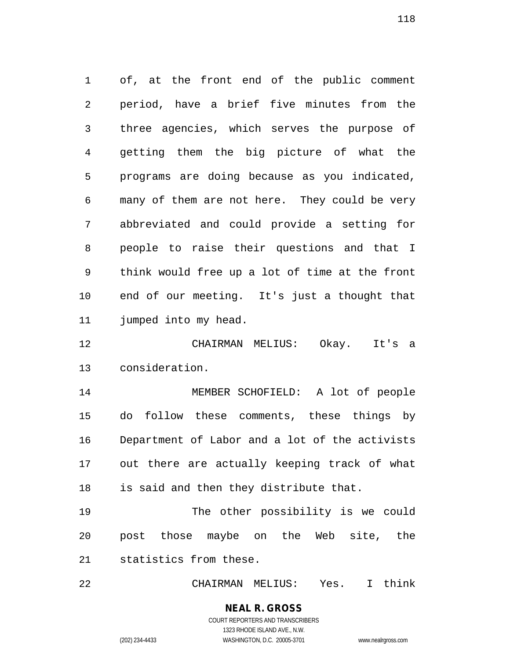of, at the front end of the public comment period, have a brief five minutes from the three agencies, which serves the purpose of getting them the big picture of what the programs are doing because as you indicated, many of them are not here. They could be very abbreviated and could provide a setting for people to raise their questions and that I think would free up a lot of time at the front end of our meeting. It's just a thought that jumped into my head.

 CHAIRMAN MELIUS: Okay. It's a consideration.

 MEMBER SCHOFIELD: A lot of people do follow these comments, these things by Department of Labor and a lot of the activists out there are actually keeping track of what is said and then they distribute that.

 The other possibility is we could post those maybe on the Web site, the statistics from these.

CHAIRMAN MELIUS: Yes. I think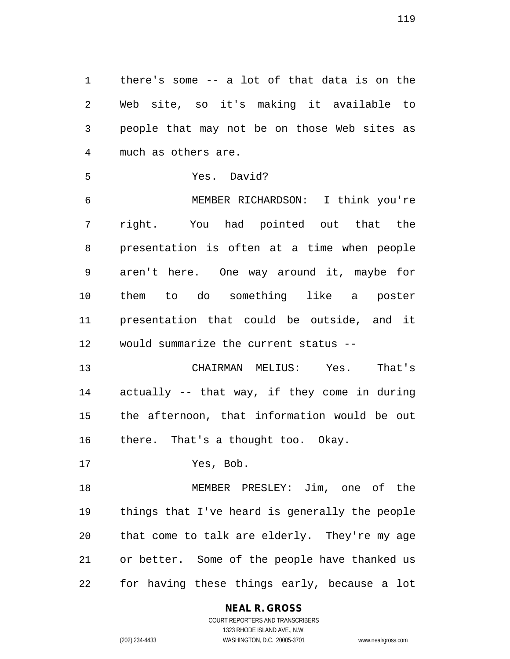there's some -- a lot of that data is on the Web site, so it's making it available to people that may not be on those Web sites as much as others are.

```
5 Yes. David?
```
 MEMBER RICHARDSON: I think you're right. You had pointed out that the presentation is often at a time when people aren't here. One way around it, maybe for them to do something like a poster presentation that could be outside, and it would summarize the current status --

 CHAIRMAN MELIUS: Yes. That's actually -- that way, if they come in during the afternoon, that information would be out there. That's a thought too. Okay.

Yes, Bob.

 MEMBER PRESLEY: Jim, one of the things that I've heard is generally the people that come to talk are elderly. They're my age or better. Some of the people have thanked us for having these things early, because a lot

**NEAL R. GROSS**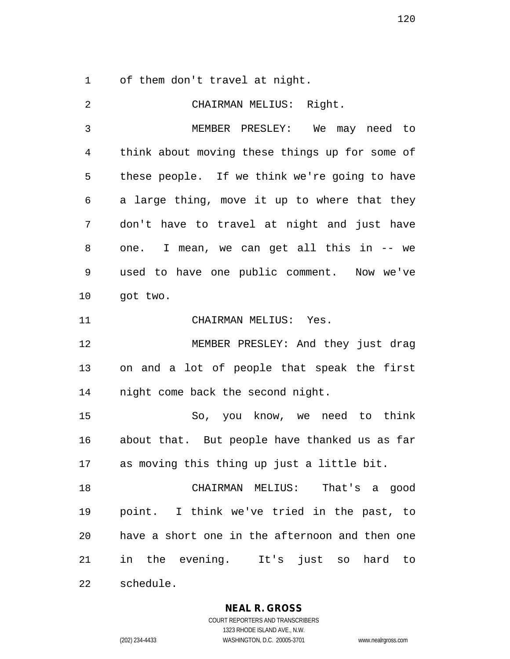of them don't travel at night.

| 2  | CHAIRMAN MELIUS: Right.                        |
|----|------------------------------------------------|
| 3  | MEMBER PRESLEY: We may need to                 |
| 4  | think about moving these things up for some of |
| 5  | these people. If we think we're going to have  |
| 6  | a large thing, move it up to where that they   |
| 7  | don't have to travel at night and just have    |
| 8  | one. I mean, we can get all this in -- we      |
| 9  | used to have one public comment. Now we've     |
| 10 | got two.                                       |
| 11 | CHAIRMAN MELIUS: Yes.                          |
| 12 | MEMBER PRESLEY: And they just drag             |
| 13 | on and a lot of people that speak the first    |
| 14 | night come back the second night.              |
| 15 | So, you know, we need to think                 |
| 16 | about that. But people have thanked us as far  |
| 17 | as moving this thing up just a little bit.     |
| 18 | CHAIRMAN MELIUS: That's a good                 |
| 19 | point. I think we've tried in the past, to     |
| 20 | have a short one in the afternoon and then one |
| 21 | in the evening. It's just so hard to           |
| 22 | schedule.                                      |

**NEAL R. GROSS**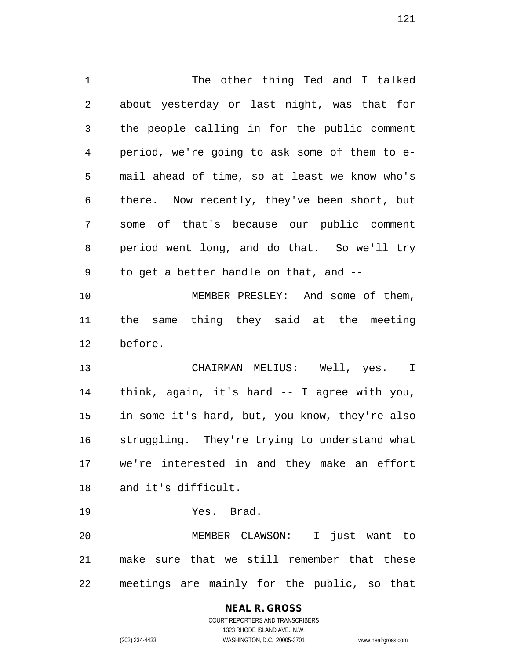The other thing Ted and I talked about yesterday or last night, was that for the people calling in for the public comment period, we're going to ask some of them to e- mail ahead of time, so at least we know who's there. Now recently, they've been short, but some of that's because our public comment period went long, and do that. So we'll try to get a better handle on that, and -- MEMBER PRESLEY: And some of them, the same thing they said at the meeting before. CHAIRMAN MELIUS: Well, yes. I think, again, it's hard -- I agree with you, in some it's hard, but, you know, they're also struggling. They're trying to understand what we're interested in and they make an effort and it's difficult. Yes. Brad. MEMBER CLAWSON: I just want to make sure that we still remember that these

meetings are mainly for the public, so that

## COURT REPORTERS AND TRANSCRIBERS 1323 RHODE ISLAND AVE., N.W. (202) 234-4433 WASHINGTON, D.C. 20005-3701 www.nealrgross.com

**NEAL R. GROSS**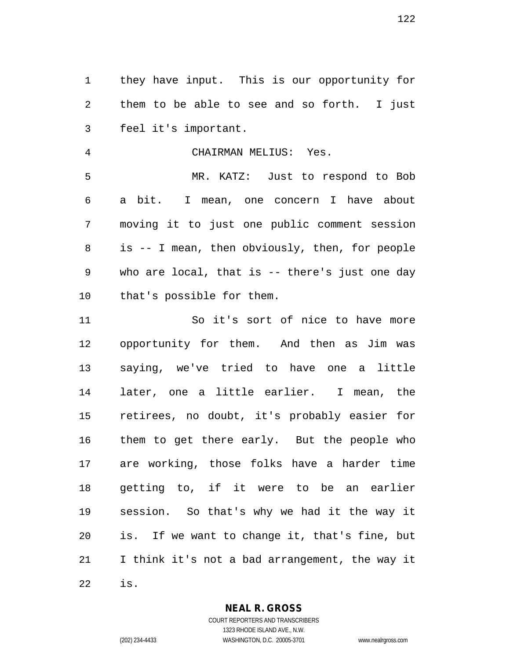they have input. This is our opportunity for them to be able to see and so forth. I just feel it's important.

CHAIRMAN MELIUS: Yes.

 MR. KATZ: Just to respond to Bob a bit. I mean, one concern I have about moving it to just one public comment session is -- I mean, then obviously, then, for people who are local, that is -- there's just one day that's possible for them.

 So it's sort of nice to have more opportunity for them. And then as Jim was saying, we've tried to have one a little later, one a little earlier. I mean, the retirees, no doubt, it's probably easier for them to get there early. But the people who are working, those folks have a harder time getting to, if it were to be an earlier session. So that's why we had it the way it is. If we want to change it, that's fine, but I think it's not a bad arrangement, the way it is.

**NEAL R. GROSS**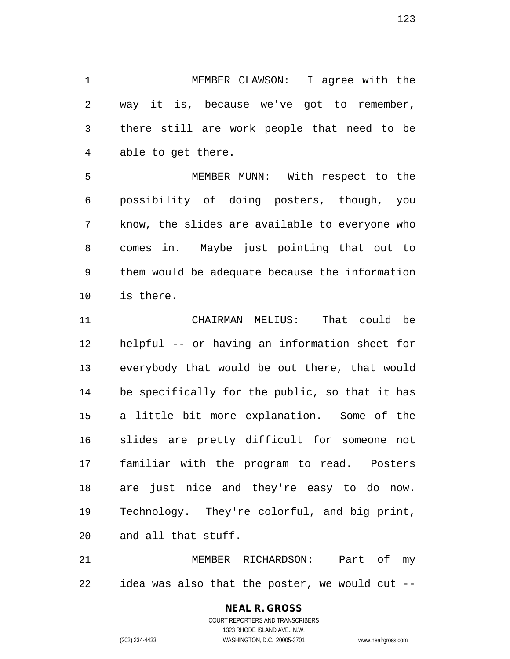MEMBER CLAWSON: I agree with the way it is, because we've got to remember, there still are work people that need to be able to get there.

 MEMBER MUNN: With respect to the possibility of doing posters, though, you know, the slides are available to everyone who comes in. Maybe just pointing that out to them would be adequate because the information is there.

 CHAIRMAN MELIUS: That could be helpful -- or having an information sheet for everybody that would be out there, that would be specifically for the public, so that it has a little bit more explanation. Some of the slides are pretty difficult for someone not familiar with the program to read. Posters are just nice and they're easy to do now. Technology. They're colorful, and big print, and all that stuff.

 MEMBER RICHARDSON: Part of my idea was also that the poster, we would cut --

#### **NEAL R. GROSS**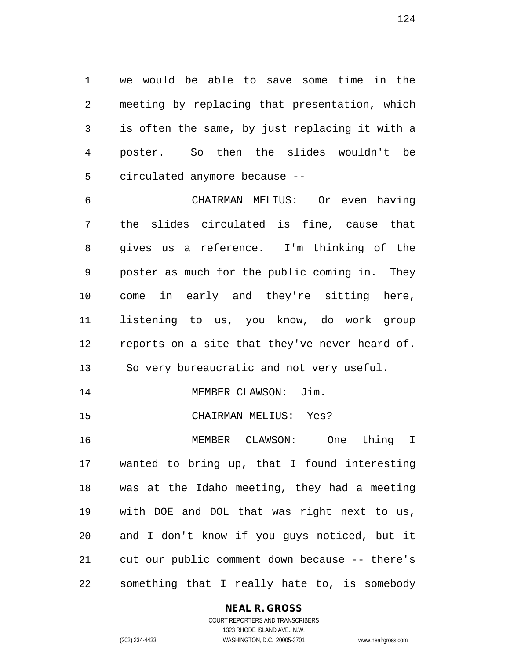we would be able to save some time in the meeting by replacing that presentation, which is often the same, by just replacing it with a poster. So then the slides wouldn't be circulated anymore because --

 CHAIRMAN MELIUS: Or even having the slides circulated is fine, cause that gives us a reference. I'm thinking of the poster as much for the public coming in. They come in early and they're sitting here, listening to us, you know, do work group reports on a site that they've never heard of. So very bureaucratic and not very useful. 14 MEMBER CLAWSON: Jim. CHAIRMAN MELIUS: Yes?

 MEMBER CLAWSON: One thing I wanted to bring up, that I found interesting was at the Idaho meeting, they had a meeting with DOE and DOL that was right next to us, and I don't know if you guys noticed, but it cut our public comment down because -- there's something that I really hate to, is somebody

#### **NEAL R. GROSS**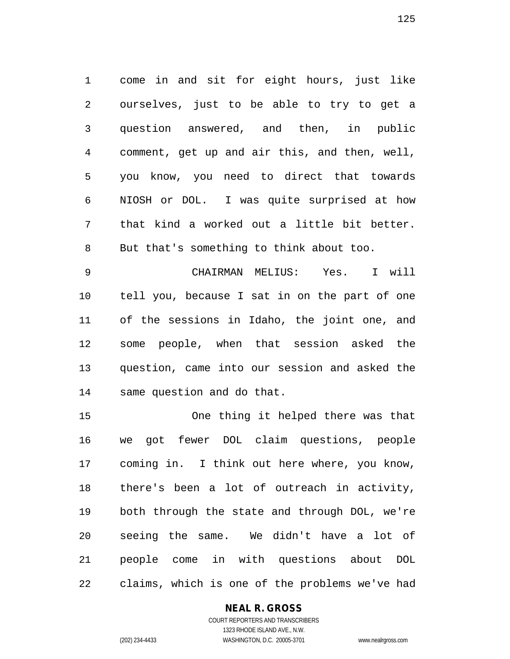come in and sit for eight hours, just like ourselves, just to be able to try to get a question answered, and then, in public comment, get up and air this, and then, well, you know, you need to direct that towards NIOSH or DOL. I was quite surprised at how that kind a worked out a little bit better. But that's something to think about too.

 CHAIRMAN MELIUS: Yes. I will tell you, because I sat in on the part of one of the sessions in Idaho, the joint one, and some people, when that session asked the question, came into our session and asked the same question and do that.

 One thing it helped there was that we got fewer DOL claim questions, people coming in. I think out here where, you know, there's been a lot of outreach in activity, both through the state and through DOL, we're seeing the same. We didn't have a lot of people come in with questions about DOL claims, which is one of the problems we've had

#### **NEAL R. GROSS**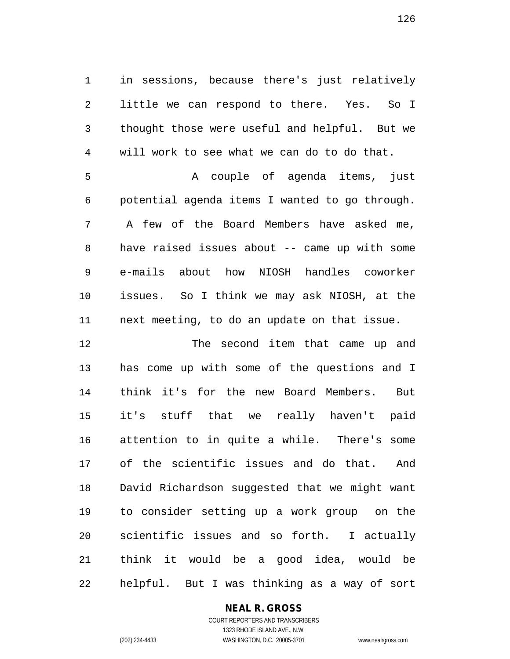in sessions, because there's just relatively little we can respond to there. Yes. So I thought those were useful and helpful. But we will work to see what we can do to do that.

 A couple of agenda items, just potential agenda items I wanted to go through. A few of the Board Members have asked me, have raised issues about -- came up with some e-mails about how NIOSH handles coworker issues. So I think we may ask NIOSH, at the next meeting, to do an update on that issue.

 The second item that came up and has come up with some of the questions and I think it's for the new Board Members. But it's stuff that we really haven't paid attention to in quite a while. There's some of the scientific issues and do that. And David Richardson suggested that we might want to consider setting up a work group on the scientific issues and so forth. I actually think it would be a good idea, would be helpful. But I was thinking as a way of sort

#### **NEAL R. GROSS**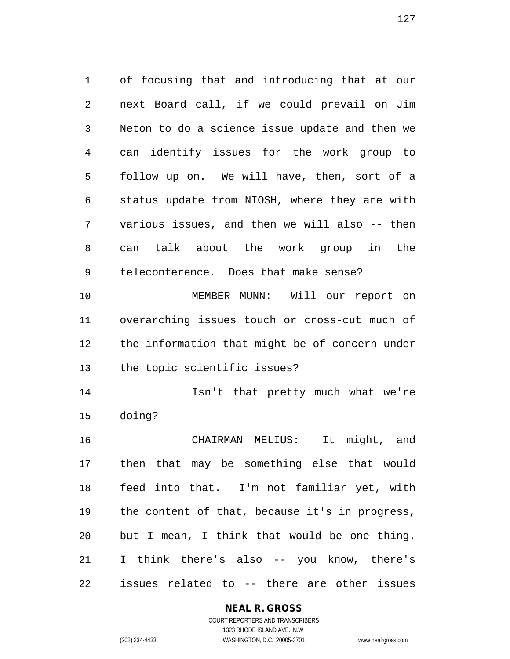of focusing that and introducing that at our next Board call, if we could prevail on Jim Neton to do a science issue update and then we can identify issues for the work group to follow up on. We will have, then, sort of a status update from NIOSH, where they are with various issues, and then we will also -- then can talk about the work group in the teleconference. Does that make sense? MEMBER MUNN: Will our report on overarching issues touch or cross-cut much of the information that might be of concern under the topic scientific issues? Isn't that pretty much what we're doing? CHAIRMAN MELIUS: It might, and

 then that may be something else that would feed into that. I'm not familiar yet, with the content of that, because it's in progress, but I mean, I think that would be one thing. I think there's also -- you know, there's issues related to -- there are other issues

#### **NEAL R. GROSS**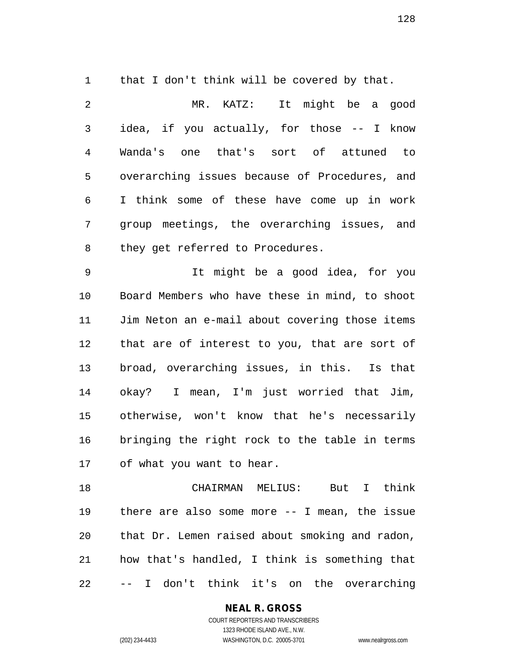that I don't think will be covered by that.

| $\overline{2}$ | MR. KATZ: It might be a good                   |
|----------------|------------------------------------------------|
| $\mathsf{3}$   | idea, if you actually, for those -- I know     |
| 4              | Wanda's one that's sort of attuned to          |
| 5              | overarching issues because of Procedures, and  |
| 6              | I think some of these have come up in work     |
| 7              | group meetings, the overarching issues, and    |
| 8              | they get referred to Procedures.               |
| 9              | It might be a good idea, for you               |
| 10             | Board Members who have these in mind, to shoot |
| 11             | Jim Neton an e-mail about covering those items |
| 12             | that are of interest to you, that are sort of  |
| 13             | broad, overarching issues, in this. Is that    |
| 14             | okay? I mean, I'm just worried that Jim,       |
| 15             | otherwise, won't know that he's necessarily    |
| 16             | bringing the right rock to the table in terms  |

of what you want to hear.

 CHAIRMAN MELIUS: But I think there are also some more -- I mean, the issue that Dr. Lemen raised about smoking and radon, how that's handled, I think is something that -- I don't think it's on the overarching

**NEAL R. GROSS**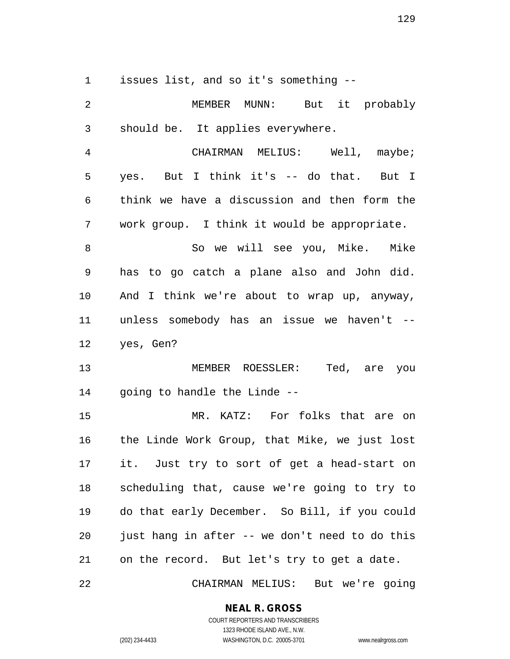issues list, and so it's something --

| $\overline{2}$ | MEMBER MUNN: But it probably                   |
|----------------|------------------------------------------------|
| $\mathsf 3$    | should be. It applies everywhere.              |
| $\overline{4}$ | CHAIRMAN MELIUS: Well, maybe;                  |
| 5              | yes. But I think it's -- do that. But I        |
| 6              | think we have a discussion and then form the   |
| 7              | work group. I think it would be appropriate.   |
| 8              | So we will see you, Mike. Mike                 |
| 9              | has to go catch a plane also and John did.     |
| 10             | And I think we're about to wrap up, anyway,    |
| 11             | unless somebody has an issue we haven't --     |
| 12             | yes, Gen?                                      |
| 13             | MEMBER ROESSLER: Ted, are you                  |
| 14             | going to handle the Linde --                   |
| 15             | MR. KATZ: For folks that are on                |
| 16             | the Linde Work Group, that Mike, we just lost  |
| 17             | it. Just try to sort of get a head-start on    |
| 18             | scheduling that, cause we're going to try to   |
| 19             | do that early December. So Bill, if you could  |
| 20             | just hang in after -- we don't need to do this |
| 21             | on the record. But let's try to get a date.    |

CHAIRMAN MELIUS: But we're going

### **NEAL R. GROSS**

COURT REPORTERS AND TRANSCRIBERS 1323 RHODE ISLAND AVE., N.W. (202) 234-4433 WASHINGTON, D.C. 20005-3701 www.nealrgross.com